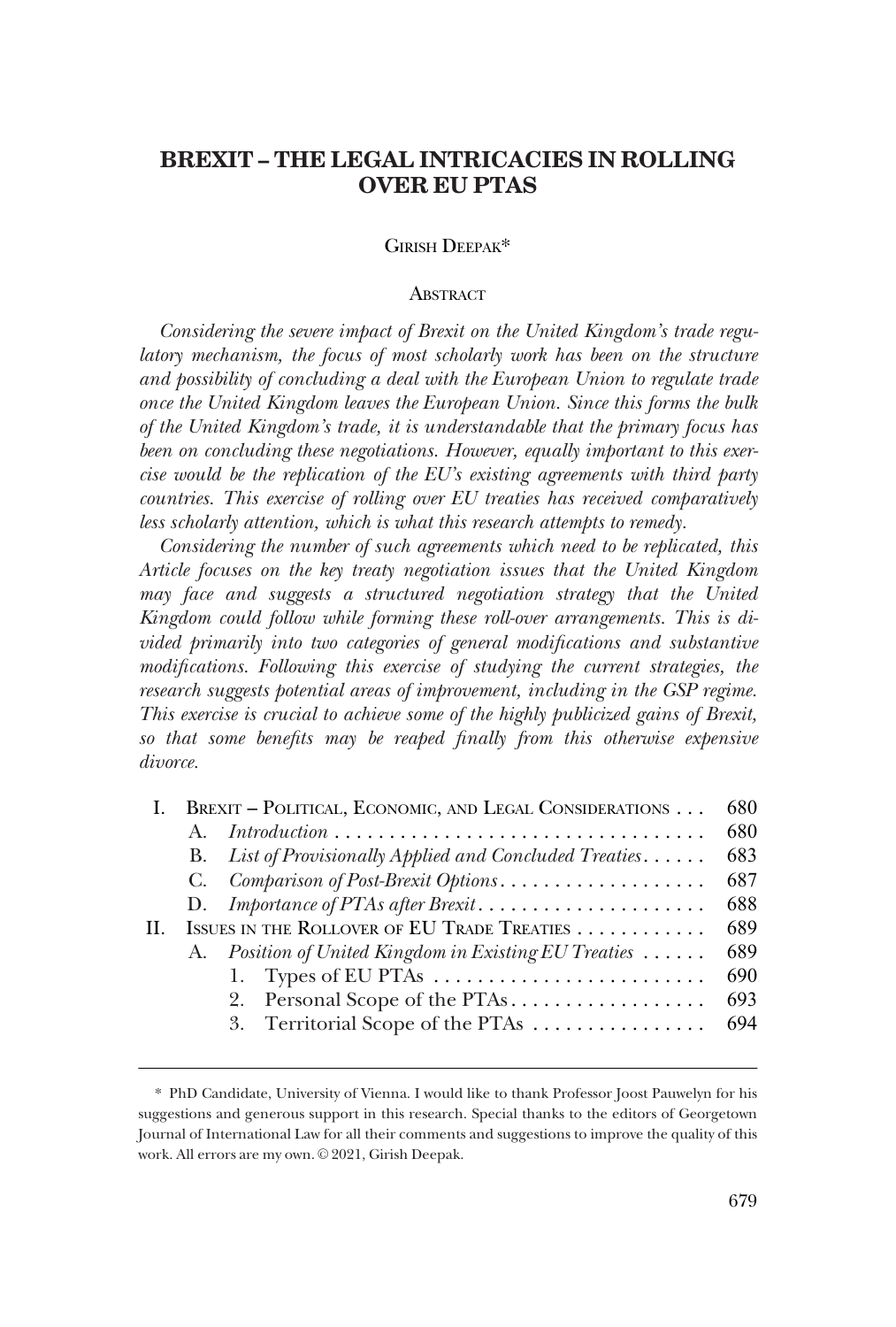# **BREXIT – THE LEGAL INTRICACIES IN ROLLING OVER EU PTAS**

### GIRISH DEEPAK\*

### **ABSTRACT**

*Considering the severe impact of Brexit on the United Kingdom's trade regulatory mechanism, the focus of most scholarly work has been on the structure and possibility of concluding a deal with the European Union to regulate trade once the United Kingdom leaves the European Union. Since this forms the bulk of the United Kingdom's trade, it is understandable that the primary focus has been on concluding these negotiations. However, equally important to this exercise would be the replication of the EU's existing agreements with third party countries. This exercise of rolling over EU treaties has received comparatively less scholarly attention, which is what this research attempts to remedy.* 

*Considering the number of such agreements which need to be replicated, this Article focuses on the key treaty negotiation issues that the United Kingdom may face and suggests a structured negotiation strategy that the United Kingdom could follow while forming these roll-over arrangements. This is divided primarily into two categories of general modifications and substantive modifications. Following this exercise of studying the current strategies, the research suggests potential areas of improvement, including in the GSP regime. This exercise is crucial to achieve some of the highly publicized gains of Brexit, so that some benefits may be reaped finally from this otherwise expensive divorce.* 

|    |         | BREXIT - POLITICAL, ECONOMIC, AND LEGAL CONSIDERATIONS  | 680 |
|----|---------|---------------------------------------------------------|-----|
|    | $A_{-}$ |                                                         | 680 |
|    |         | B. List of Provisionally Applied and Concluded Treaties | 683 |
|    |         | C. Comparison of Post-Brexit Options                    | 687 |
|    |         | D. Importance of PTAs after Brexit                      | 688 |
| H. |         | ISSUES IN THE ROLLOVER OF EU TRADE TREATIES             | 689 |
|    |         | A. Position of United Kingdom in Existing EU Treaties   | 689 |
|    |         | 1. Types of EU PTAs                                     | 690 |
|    |         | 2. Personal Scope of the PTAs                           | 693 |
|    |         | 3. Territorial Scope of the PTAs                        | 694 |

<sup>\*</sup> PhD Candidate, University of Vienna. I would like to thank Professor Joost Pauwelyn for his suggestions and generous support in this research. Special thanks to the editors of Georgetown Journal of International Law for all their comments and suggestions to improve the quality of this work. All errors are my own. © 2021, Girish Deepak.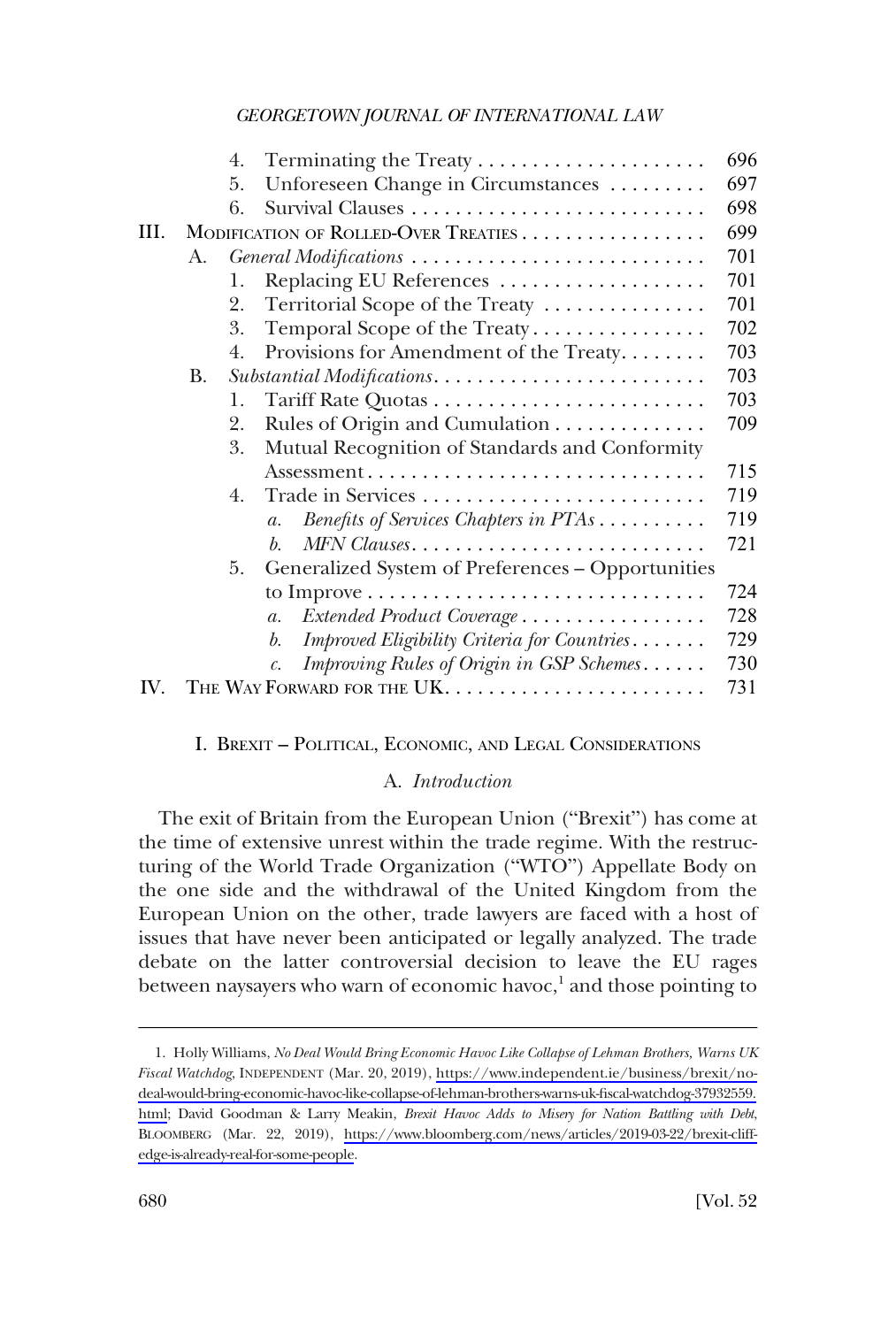<span id="page-1-0"></span>

|     |           | 4. |                                                                                                    | 696 |
|-----|-----------|----|----------------------------------------------------------------------------------------------------|-----|
|     |           | 5. | Unforeseen Change in Circumstances                                                                 | 697 |
|     |           | 6. |                                                                                                    | 698 |
| HI. |           |    | MODIFICATION OF ROLLED-OVER TREATIES                                                               | 699 |
|     | A.        |    | General Modifications                                                                              | 701 |
|     |           | 1. | Replacing EU References                                                                            | 701 |
|     |           | 2. | Territorial Scope of the Treaty                                                                    | 701 |
|     |           | 3. | Temporal Scope of the Treaty                                                                       | 702 |
|     |           | 4. | Provisions for Amendment of the Treaty                                                             | 703 |
|     | <b>B.</b> |    |                                                                                                    | 703 |
|     |           | 1. |                                                                                                    | 703 |
|     |           | 2. | Rules of Origin and Cumulation                                                                     | 709 |
|     |           | 3. | Mutual Recognition of Standards and Conformity                                                     |     |
|     |           |    | $\overline{\mathrm{Assessment}} \dots \dots \dots \dots \dots \dots \dots \dots \dots \dots \dots$ | 715 |
|     |           | 4. |                                                                                                    | 719 |
|     |           |    | Benefits of Services Chapters in PTAs<br>$\mathfrak{a}.$                                           | 719 |
|     |           |    | MFN Clauses<br>b.                                                                                  | 721 |
|     |           | 5. | Generalized System of Preferences - Opportunities                                                  |     |
|     |           |    |                                                                                                    | 724 |
|     |           |    | Extended Product Coverage<br>$\mathfrak{a}.$                                                       | 728 |
|     |           |    | Improved Eligibility Criteria for Countries<br>b.                                                  | 729 |
|     |           |    | Improving Rules of Origin in GSP Schemes                                                           | 730 |
| IV. |           |    |                                                                                                    | 731 |

### I. BREXIT – POLITICAL, ECONOMIC, AND LEGAL CONSIDERATIONS

### A. *Introduction*

The exit of Britain from the European Union ("Brexit") has come at the time of extensive unrest within the trade regime. With the restructuring of the World Trade Organization ("WTO") Appellate Body on the one side and the withdrawal of the United Kingdom from the European Union on the other, trade lawyers are faced with a host of issues that have never been anticipated or legally analyzed. The trade debate on the latter controversial decision to leave the EU rages between naysayers who warn of economic havoc, $^1$  and those pointing to

<sup>1.</sup> Holly Williams, *No Deal Would Bring Economic Havoc Like Collapse of Lehman Brothers, Warns UK Fiscal Watchdog*, INDEPENDENT (Mar. 20, 2019), [https://www.independent.ie/business/brexit/no](https://www.independent.ie/business/brexit/no-deal-would-bring-economic-havoc-like-collapse-of-lehman-brothers-warns-uk-fiscal-watchdog-37932559.html)[deal-would-bring-economic-havoc-like-collapse-of-lehman-brothers-warns-uk-fiscal-watchdog-37932559.](https://www.independent.ie/business/brexit/no-deal-would-bring-economic-havoc-like-collapse-of-lehman-brothers-warns-uk-fiscal-watchdog-37932559.html) [html;](https://www.independent.ie/business/brexit/no-deal-would-bring-economic-havoc-like-collapse-of-lehman-brothers-warns-uk-fiscal-watchdog-37932559.html) David Goodman & Larry Meakin, *Brexit Havoc Adds to Misery for Nation Battling with Debt*, BLOOMBERG (Mar. 22, 2019), [https://www.bloomberg.com/news/articles/2019-03-22/brexit-cliff](https://www.bloomberg.com/news/articles/2019-03-22/brexit-cliff-edge-is-already-real-for-some-people)[edge-is-already-real-for-some-people](https://www.bloomberg.com/news/articles/2019-03-22/brexit-cliff-edge-is-already-real-for-some-people).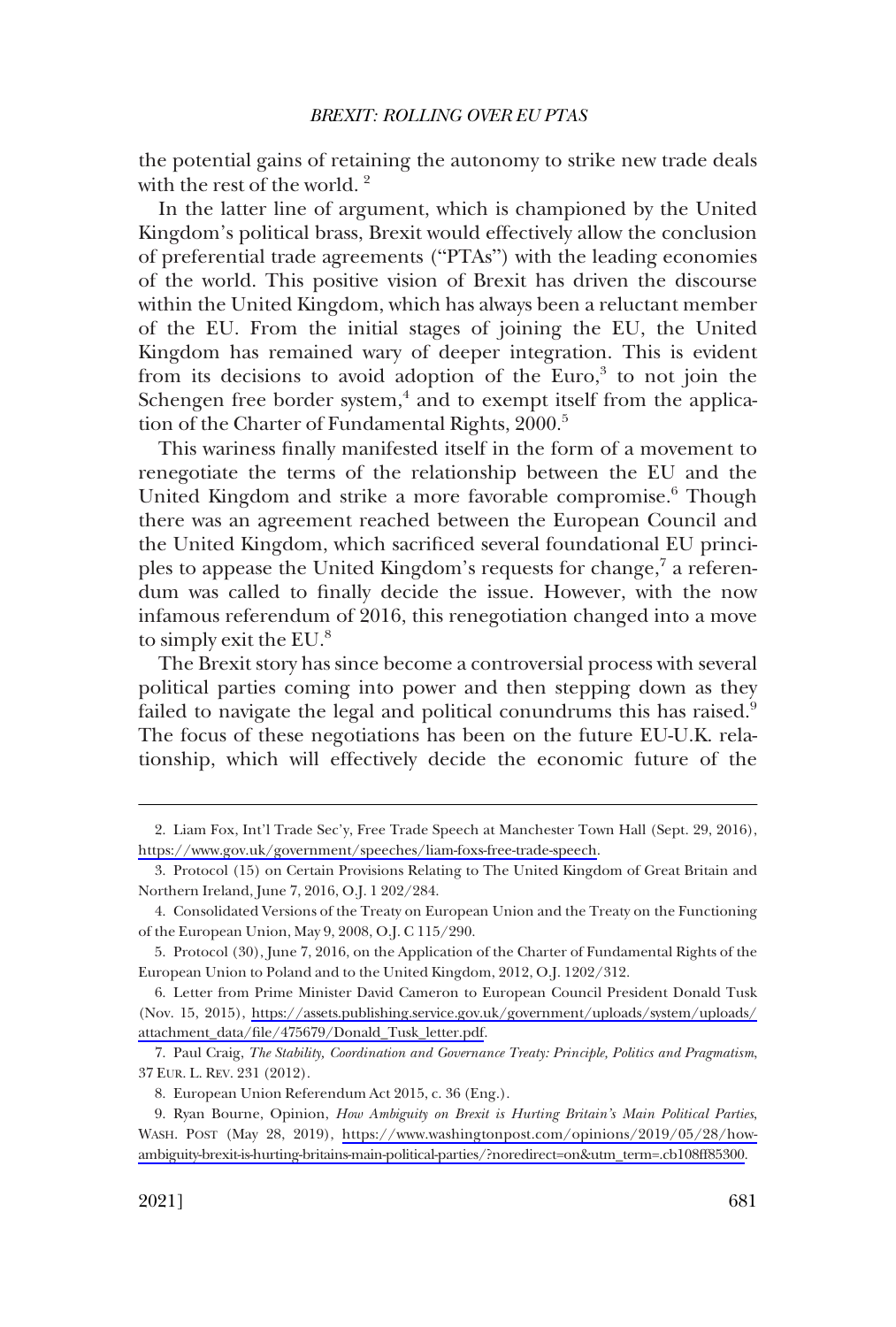the potential gains of retaining the autonomy to strike new trade deals with the rest of the world.<sup>2</sup>

In the latter line of argument, which is championed by the United Kingdom's political brass, Brexit would effectively allow the conclusion of preferential trade agreements ("PTAs") with the leading economies of the world. This positive vision of Brexit has driven the discourse within the United Kingdom, which has always been a reluctant member of the EU. From the initial stages of joining the EU, the United Kingdom has remained wary of deeper integration. This is evident from its decisions to avoid adoption of the Euro, $3$  to not join the Schengen free border system, $4$  and to exempt itself from the application of the Charter of Fundamental Rights, 2000.<sup>5</sup>

This wariness finally manifested itself in the form of a movement to renegotiate the terms of the relationship between the EU and the United Kingdom and strike a more favorable compromise.<sup>6</sup> Though there was an agreement reached between the European Council and the United Kingdom, which sacrificed several foundational EU principles to appease the United Kingdom's requests for change,<sup>7</sup> a referendum was called to finally decide the issue. However, with the now infamous referendum of 2016, this renegotiation changed into a move to simply exit the EU.<sup>8</sup>

The Brexit story has since become a controversial process with several political parties coming into power and then stepping down as they failed to navigate the legal and political conundrums this has raised.<sup>9</sup> The focus of these negotiations has been on the future EU-U.K. relationship, which will effectively decide the economic future of the

<sup>2.</sup> Liam Fox, Int'l Trade Sec'y, Free Trade Speech at Manchester Town Hall (Sept. 29, 2016), [https://www.gov.uk/government/speeches/liam-foxs-free-trade-speech.](https://www.gov.uk/government/speeches/liam-foxs-free-trade-speech)

<sup>3.</sup> Protocol (15) on Certain Provisions Relating to The United Kingdom of Great Britain and Northern Ireland, June 7, 2016, O.J. 1 202/284.

<sup>4.</sup> Consolidated Versions of the Treaty on European Union and the Treaty on the Functioning of the European Union, May 9, 2008, O.J. C 115/290.

<sup>5.</sup> Protocol (30), June 7, 2016, on the Application of the Charter of Fundamental Rights of the European Union to Poland and to the United Kingdom, 2012, O.J. 1202/312.

<sup>6.</sup> Letter from Prime Minister David Cameron to European Council President Donald Tusk (Nov. 15, 2015), [https://assets.publishing.service.gov.uk/government/uploads/system/uploads/](https://assets.publishing.service.gov.uk/government/uploads/system/uploads/attachment_data/file/475679/Donald_Tusk_letter.pdf)  [attachment\\_data/file/475679/Donald\\_Tusk\\_letter.pdf.](https://assets.publishing.service.gov.uk/government/uploads/system/uploads/attachment_data/file/475679/Donald_Tusk_letter.pdf)

<sup>7.</sup> Paul Craig, *The Stability, Coordination and Governance Treaty: Principle, Politics and Pragmatism*, 37 EUR. L. REV. 231 (2012).

<sup>8.</sup> European Union Referendum Act 2015, c. 36 (Eng.).

Ryan Bourne, Opinion, *How Ambiguity on Brexit is Hurting Britain's Main Political Parties*, 9. WASH. POST (May 28, 2019), [https://www.washingtonpost.com/opinions/2019/05/28/how](https://www.washingtonpost.com/opinions/2019/05/28/how-ambiguity-brexit-is-hurting-britains-main-political-parties/?noredirect=on&utm_term=.cb108ff85300)[ambiguity-brexit-is-hurting-britains-main-political-parties/?noredirect=on&utm\\_term=.cb108ff85300](https://www.washingtonpost.com/opinions/2019/05/28/how-ambiguity-brexit-is-hurting-britains-main-political-parties/?noredirect=on&utm_term=.cb108ff85300).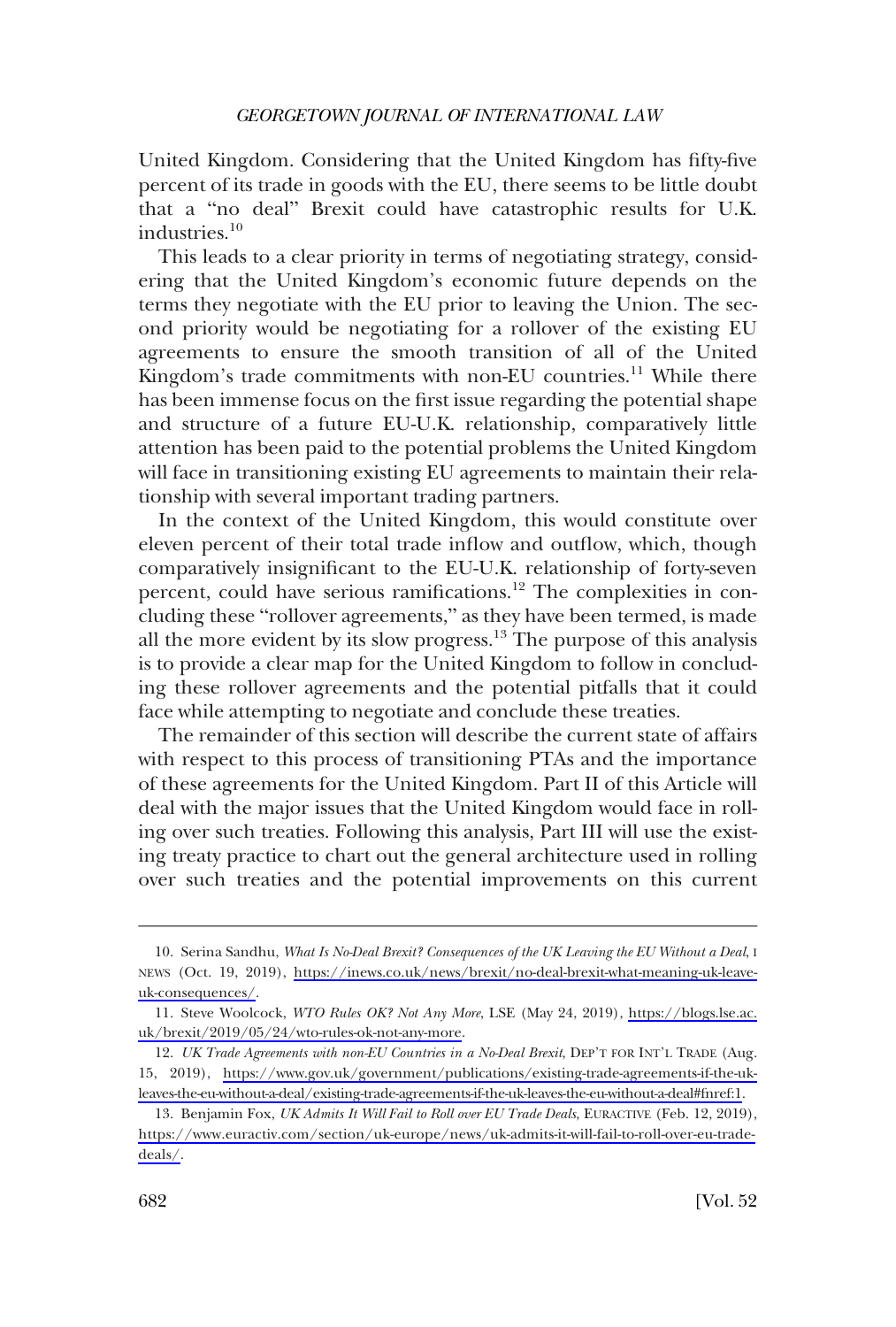United Kingdom. Considering that the United Kingdom has fifty-five percent of its trade in goods with the EU, there seems to be little doubt that a "no deal" Brexit could have catastrophic results for U.K. industries.10

This leads to a clear priority in terms of negotiating strategy, considering that the United Kingdom's economic future depends on the terms they negotiate with the EU prior to leaving the Union. The second priority would be negotiating for a rollover of the existing EU agreements to ensure the smooth transition of all of the United Kingdom's trade commitments with non-EU countries.<sup>11</sup> While there has been immense focus on the first issue regarding the potential shape and structure of a future EU-U.K. relationship, comparatively little attention has been paid to the potential problems the United Kingdom will face in transitioning existing EU agreements to maintain their relationship with several important trading partners.

In the context of the United Kingdom, this would constitute over eleven percent of their total trade inflow and outflow, which, though comparatively insignificant to the EU-U.K. relationship of forty-seven percent, could have serious ramifications.<sup>12</sup> The complexities in concluding these "rollover agreements," as they have been termed, is made all the more evident by its slow progress.13 The purpose of this analysis is to provide a clear map for the United Kingdom to follow in concluding these rollover agreements and the potential pitfalls that it could face while attempting to negotiate and conclude these treaties.

The remainder of this section will describe the current state of affairs with respect to this process of transitioning PTAs and the importance of these agreements for the United Kingdom. Part II of this Article will deal with the major issues that the United Kingdom would face in rolling over such treaties. Following this analysis, Part III will use the existing treaty practice to chart out the general architecture used in rolling over such treaties and the potential improvements on this current

<sup>10.</sup> Serina Sandhu, *What Is No-Deal Brexit? Consequences of the UK Leaving the EU Without a Deal*, I NEWS (Oct. 19, 2019), [https://inews.co.uk/news/brexit/no-deal-brexit-what-meaning-uk-leave](https://inews.co.uk/news/brexit/no-deal-brexit-what-meaning-uk-leave-uk-consequences/)[uk-consequences/.](https://inews.co.uk/news/brexit/no-deal-brexit-what-meaning-uk-leave-uk-consequences/)

Steve Woolcock, *WTO Rules OK? Not Any More*, LSE (May 24, 2019), [https://blogs.lse.ac.](https://blogs.lse.ac.uk/brexit/2019/05/24/wto-rules-ok-not-any-more) 11. [uk/brexit/2019/05/24/wto-rules-ok-not-any-more.](https://blogs.lse.ac.uk/brexit/2019/05/24/wto-rules-ok-not-any-more)

<sup>12.</sup> *UK Trade Agreements with non-EU Countries in a No-Deal Brexit*, DEP'T FOR INT'L TRADE (Aug. 15, 2019), [https://www.gov.uk/government/publications/existing-trade-agreements-if-the-uk](https://www.gov.uk/government/publications/existing-trade-agreements-if-the-uk-leaves-the-eu-without-a-deal/existing-trade-agreements-if-the-uk-leaves-the-eu-without-a-deal#fnref:1)[leaves-the-eu-without-a-deal/existing-trade-agreements-if-the-uk-leaves-the-eu-without-a-deal#fnref:1.](https://www.gov.uk/government/publications/existing-trade-agreements-if-the-uk-leaves-the-eu-without-a-deal/existing-trade-agreements-if-the-uk-leaves-the-eu-without-a-deal#fnref:1)

<sup>13.</sup> Benjamin Fox, *UK Admits It Will Fail to Roll over EU Trade Deals*, EURACTIVE (Feb. 12, 2019), [https://www.euractiv.com/section/uk-europe/news/uk-admits-it-will-fail-to-roll-over-eu-trade](https://www.euractiv.com/section/uk-europe/news/uk-admits-it-will-fail-to-roll-over-eu-trade-deals/)[deals/.](https://www.euractiv.com/section/uk-europe/news/uk-admits-it-will-fail-to-roll-over-eu-trade-deals/)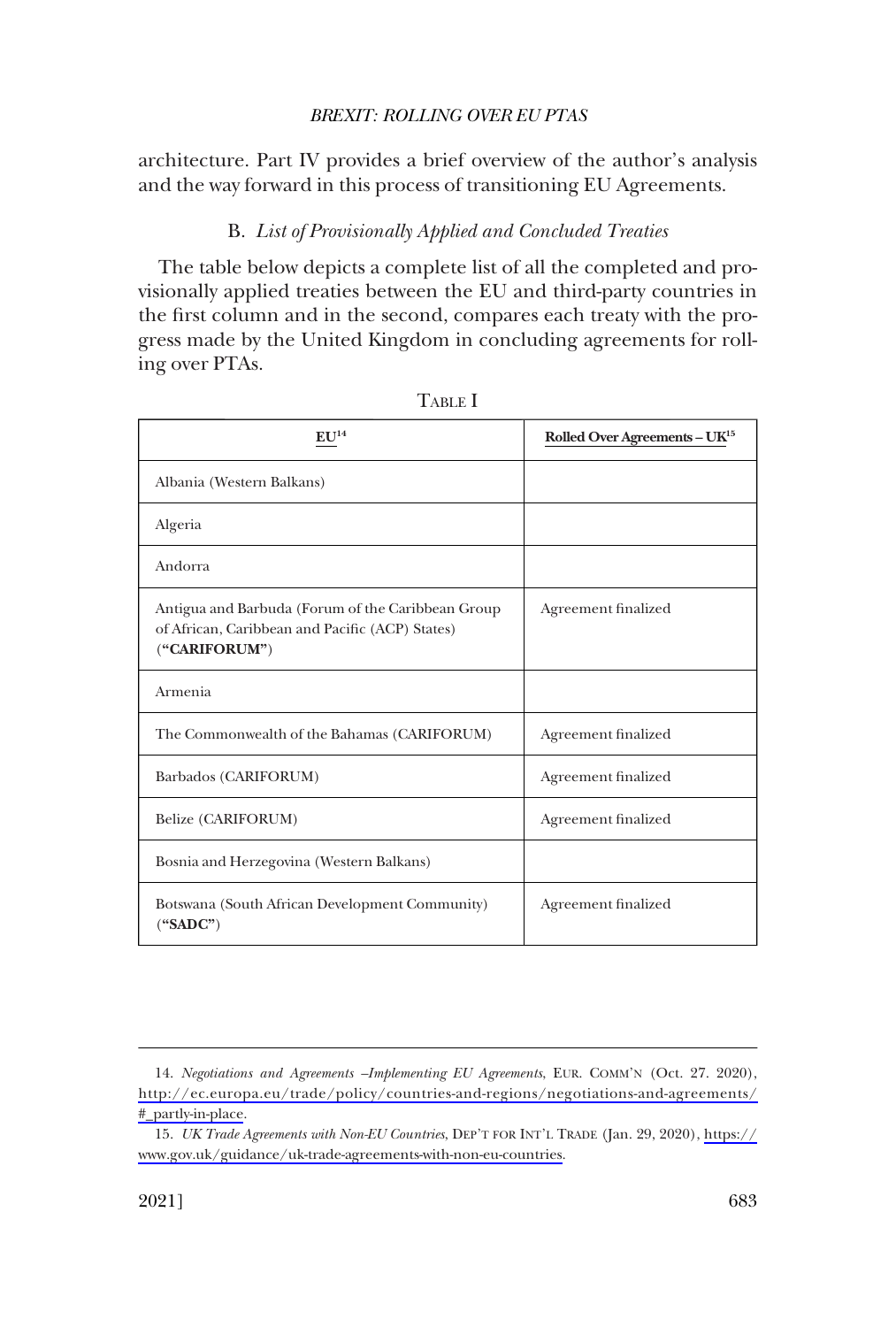<span id="page-4-0"></span>architecture. Part IV provides a brief overview of the author's analysis and the way forward in this process of transitioning EU Agreements.

## B. *List of Provisionally Applied and Concluded Treaties*

The table below depicts a complete list of all the completed and provisionally applied treaties between the EU and third-party countries in the first column and in the second, compares each treaty with the progress made by the United Kingdom in concluding agreements for rolling over PTAs.

| $\mathbf{FI}$ T14                                                                                                     | Rolled Over Agreements - UK <sup>15</sup> |
|-----------------------------------------------------------------------------------------------------------------------|-------------------------------------------|
| Albania (Western Balkans)                                                                                             |                                           |
| Algeria                                                                                                               |                                           |
| Andorra                                                                                                               |                                           |
| Antigua and Barbuda (Forum of the Caribbean Group<br>of African, Caribbean and Pacific (ACP) States)<br>("CARIFORUM") | Agreement finalized                       |
| Armenia                                                                                                               |                                           |
| The Commonwealth of the Bahamas (CARIFORUM)                                                                           | Agreement finalized                       |
| Barbados (CARIFORUM)                                                                                                  | Agreement finalized                       |
| Belize (CARIFORUM)                                                                                                    | Agreement finalized                       |
| Bosnia and Herzegovina (Western Balkans)                                                                              |                                           |
| Botswana (South African Development Community)<br>$(*SADC")$                                                          | Agreement finalized                       |

TABLE I

<sup>14.</sup> Negotiations and Agreements -*Implementing EU Agreements*, EUR. COMM'N (Oct. 27. 2020), [http://ec.europa.eu/trade/policy/countries-and-regions/negotiations-and-agreements/](http://ec.europa.eu/trade/policy/countries-and-regions/negotiations-and-agreements/#_partly-in-place) [#\\_partly-in-place](http://ec.europa.eu/trade/policy/countries-and-regions/negotiations-and-agreements/#_partly-in-place).

*UK Trade Agreements with Non-EU Countries*, DEP'T FOR INT'L TRADE (Jan. 29, 2020), [https://](https://www.gov.uk/guidance/uk-trade-agreements-with-non-eu-countries) 15. [www.gov.uk/guidance/uk-trade-agreements-with-non-eu-countries](https://www.gov.uk/guidance/uk-trade-agreements-with-non-eu-countries).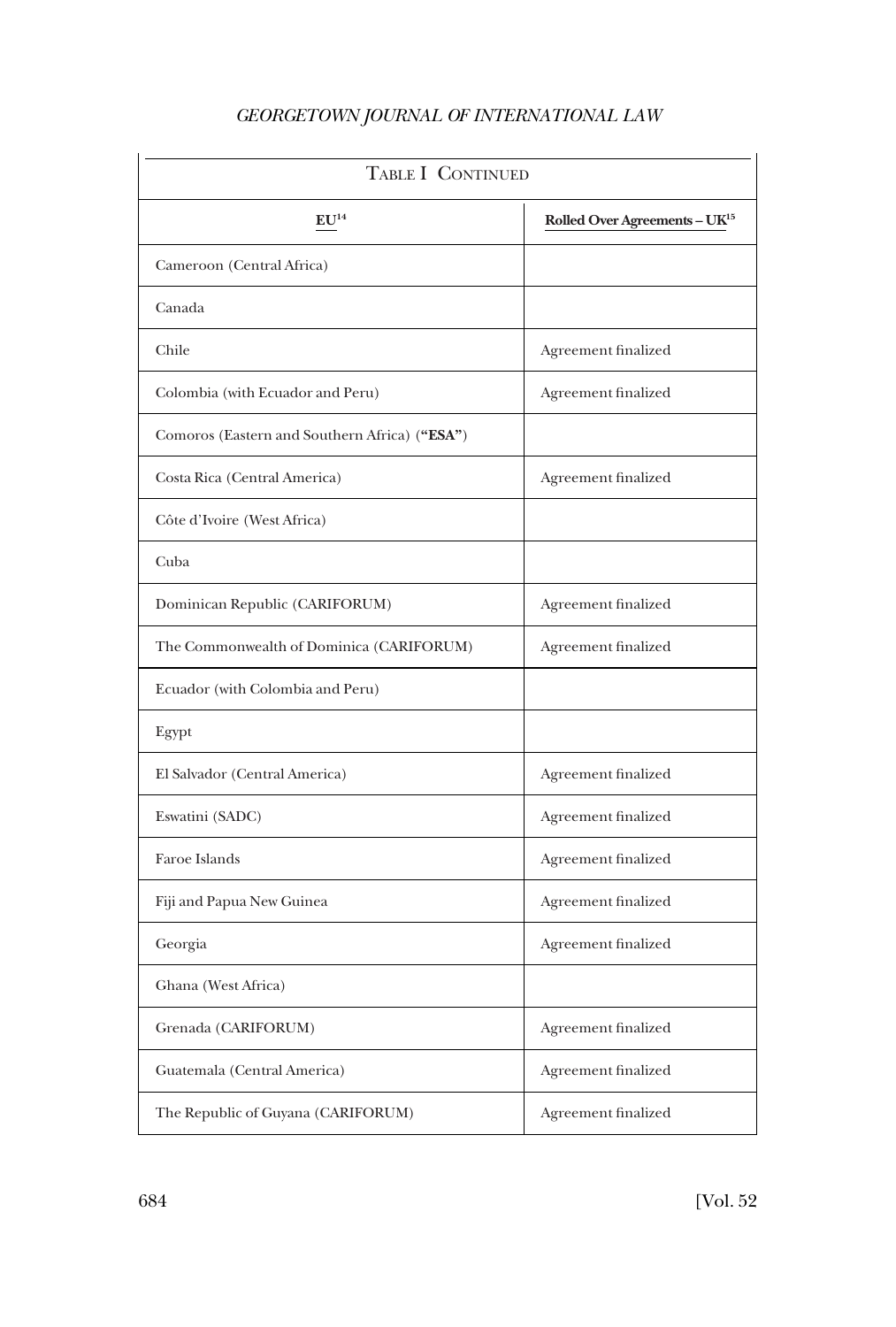| <b>TABLE I CONTINUED</b>                      |                                           |  |
|-----------------------------------------------|-------------------------------------------|--|
| ${\bf E} {\bf U}^{14}$                        | Rolled Over Agreements - UK <sup>15</sup> |  |
| Cameroon (Central Africa)                     |                                           |  |
| Canada                                        |                                           |  |
| Chile                                         | Agreement finalized                       |  |
| Colombia (with Ecuador and Peru)              | Agreement finalized                       |  |
| Comoros (Eastern and Southern Africa) ("ESA") |                                           |  |
| Costa Rica (Central America)                  | Agreement finalized                       |  |
| Côte d'Ivoire (West Africa)                   |                                           |  |
| Cuba                                          |                                           |  |
| Dominican Republic (CARIFORUM)                | Agreement finalized                       |  |
| The Commonwealth of Dominica (CARIFORUM)      | Agreement finalized                       |  |
| Ecuador (with Colombia and Peru)              |                                           |  |
| Egypt                                         |                                           |  |
| El Salvador (Central America)                 | Agreement finalized                       |  |
| Eswatini (SADC)                               | Agreement finalized                       |  |
| Faroe Islands                                 | Agreement finalized                       |  |
| Fiji and Papua New Guinea                     | Agreement finalized                       |  |
| Georgia                                       | Agreement finalized                       |  |
| Ghana (West Africa)                           |                                           |  |
| Grenada (CARIFORUM)                           | Agreement finalized                       |  |
| Guatemala (Central America)                   | Agreement finalized                       |  |
| The Republic of Guyana (CARIFORUM)            | Agreement finalized                       |  |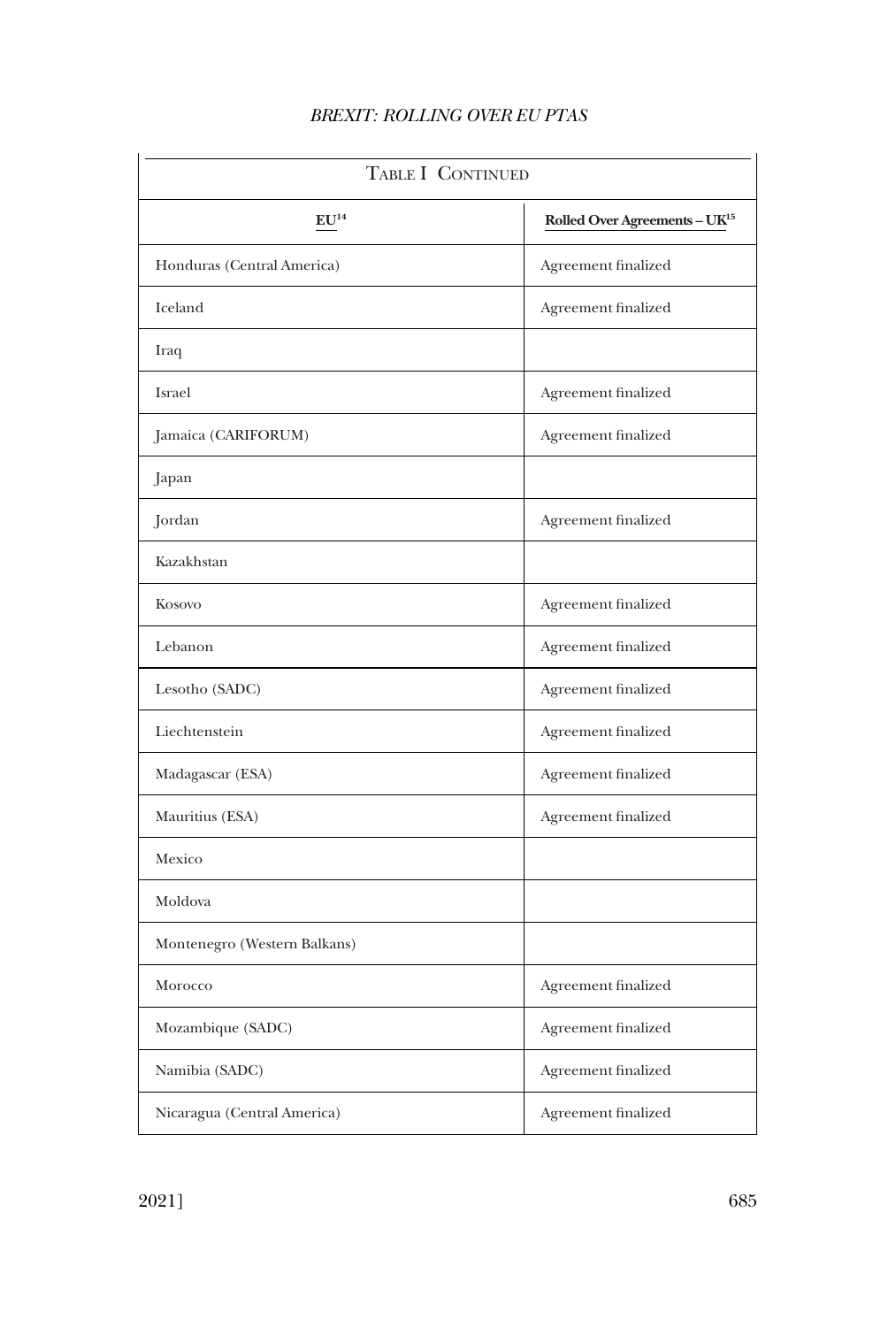| <b>TABLE I CONTINUED</b>     |                                           |  |
|------------------------------|-------------------------------------------|--|
| ${\bf E} {\bf U}^{14}$       | Rolled Over Agreements - UK <sup>15</sup> |  |
| Honduras (Central America)   | Agreement finalized                       |  |
| Iceland                      | Agreement finalized                       |  |
| Iraq                         |                                           |  |
| Israel                       | Agreement finalized                       |  |
| Jamaica (CARIFORUM)          | Agreement finalized                       |  |
| Japan                        |                                           |  |
| Jordan                       | Agreement finalized                       |  |
| Kazakhstan                   |                                           |  |
| Kosovo                       | Agreement finalized                       |  |
| Lebanon                      | Agreement finalized                       |  |
| Lesotho (SADC)               | Agreement finalized                       |  |
| Liechtenstein                | Agreement finalized                       |  |
| Madagascar (ESA)             | Agreement finalized                       |  |
| Mauritius (ESA)              | Agreement finalized                       |  |
| Mexico                       |                                           |  |
| Moldova                      |                                           |  |
| Montenegro (Western Balkans) |                                           |  |
| Morocco                      | Agreement finalized                       |  |
| Mozambique (SADC)            | Agreement finalized                       |  |
| Namibia (SADC)               | Agreement finalized                       |  |
| Nicaragua (Central America)  | Agreement finalized                       |  |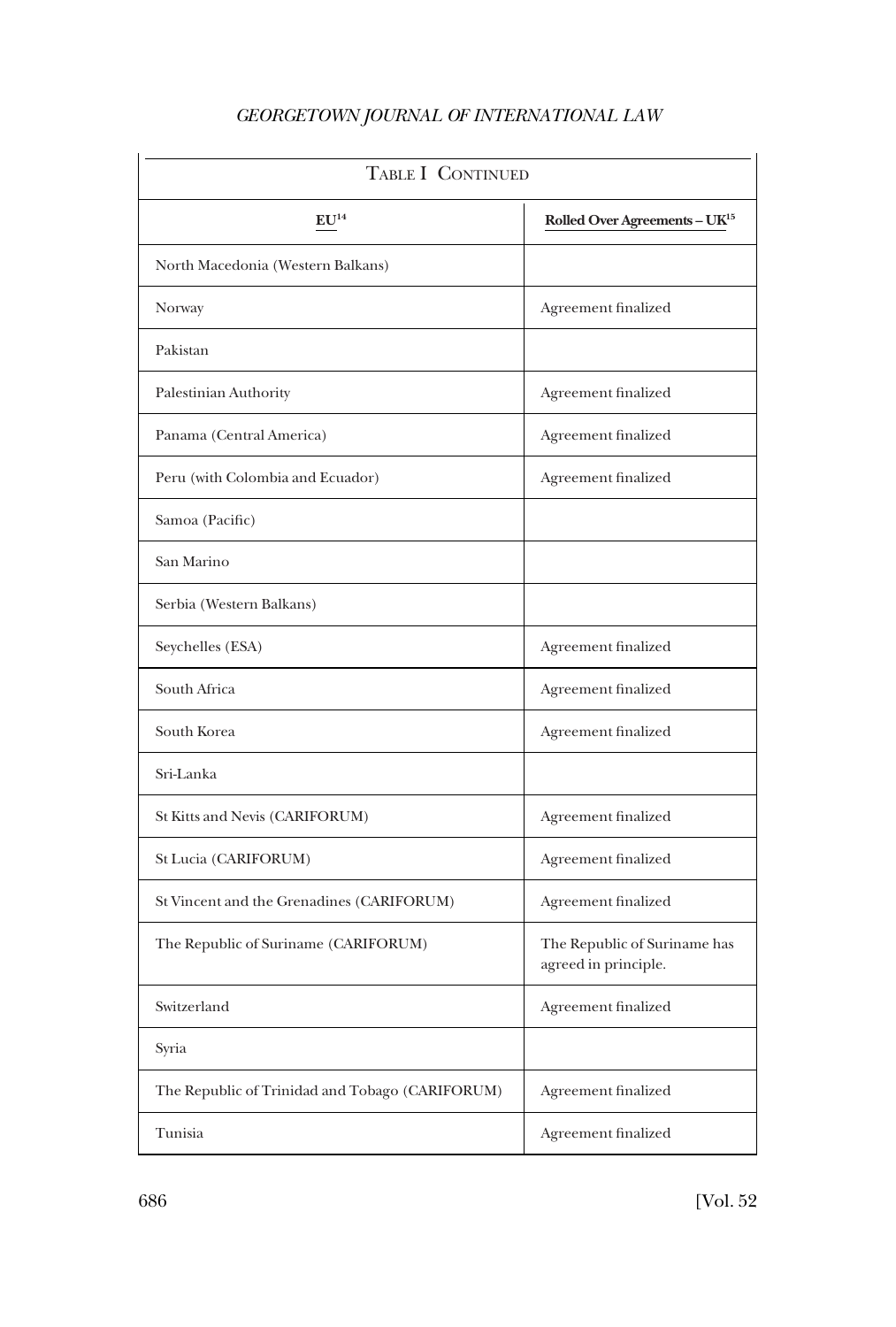| TABLE I CONTINUED                               |                                                      |  |
|-------------------------------------------------|------------------------------------------------------|--|
| EU <sup>14</sup>                                | Rolled Over Agreements - UK <sup>15</sup>            |  |
| North Macedonia (Western Balkans)               |                                                      |  |
| Norway                                          | Agreement finalized                                  |  |
| Pakistan                                        |                                                      |  |
| Palestinian Authority                           | Agreement finalized                                  |  |
| Panama (Central America)                        | Agreement finalized                                  |  |
| Peru (with Colombia and Ecuador)                | Agreement finalized                                  |  |
| Samoa (Pacific)                                 |                                                      |  |
| San Marino                                      |                                                      |  |
| Serbia (Western Balkans)                        |                                                      |  |
| Seychelles (ESA)                                | Agreement finalized                                  |  |
| South Africa                                    | Agreement finalized                                  |  |
| South Korea                                     | Agreement finalized                                  |  |
| Sri-Lanka                                       |                                                      |  |
| St Kitts and Nevis (CARIFORUM)                  | Agreement finalized                                  |  |
| St Lucia (CARIFORUM)                            | Agreement finalized                                  |  |
| St Vincent and the Grenadines (CARIFORUM)       | Agreement finalized                                  |  |
| The Republic of Suriname (CARIFORUM)            | The Republic of Suriname has<br>agreed in principle. |  |
| Switzerland                                     | Agreement finalized                                  |  |
| Syria                                           |                                                      |  |
| The Republic of Trinidad and Tobago (CARIFORUM) | Agreement finalized                                  |  |
| Tunisia                                         | Agreement finalized                                  |  |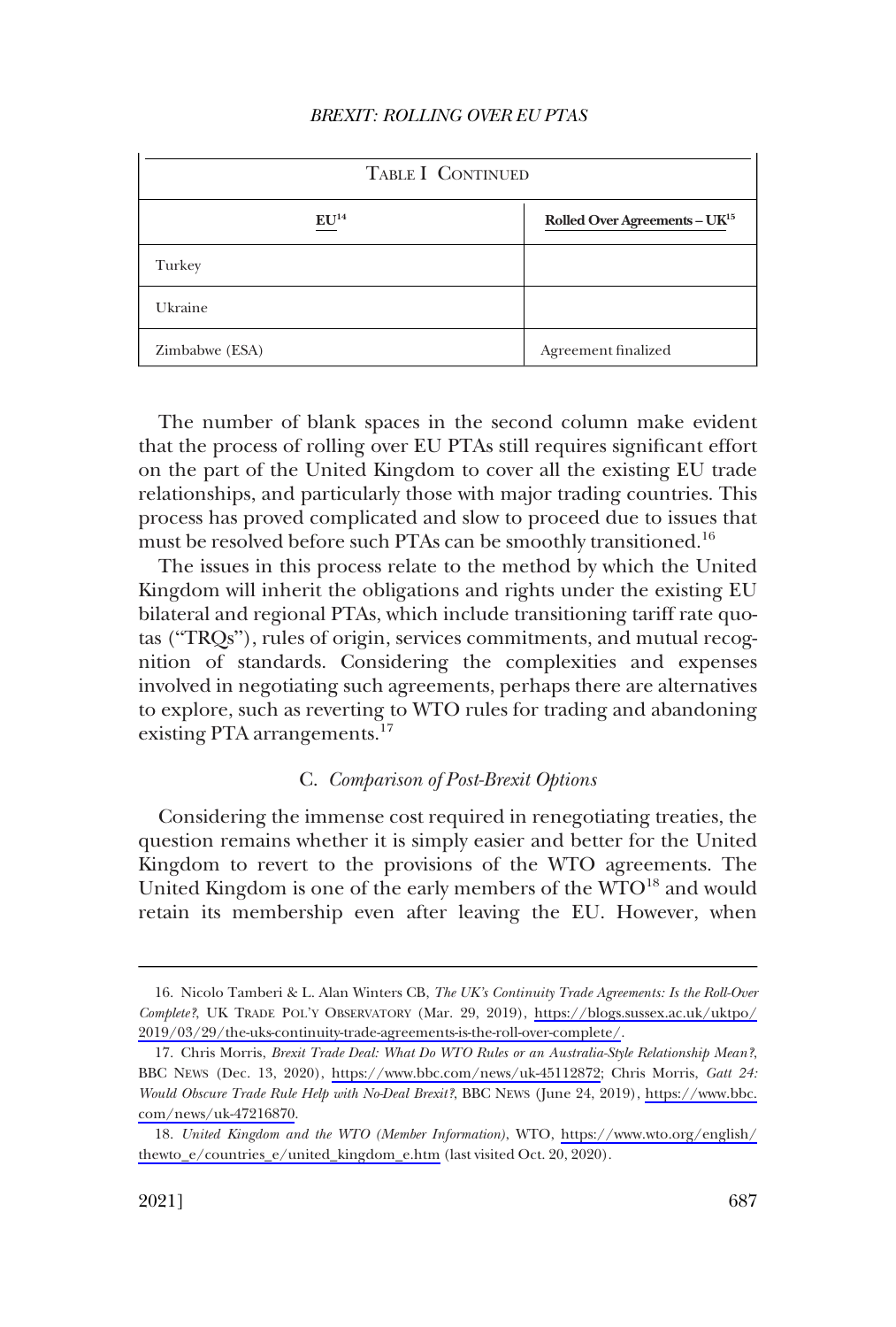<span id="page-8-0"></span>

| TABLE I CONTINUED            |                                           |  |
|------------------------------|-------------------------------------------|--|
| $\mathbf{E} \mathbf{U}^{14}$ | Rolled Over Agreements - UK <sup>15</sup> |  |
| Turkey                       |                                           |  |
| Ukraine                      |                                           |  |
| Zimbabwe (ESA)               | Agreement finalized                       |  |

The number of blank spaces in the second column make evident that the process of rolling over EU PTAs still requires significant effort on the part of the United Kingdom to cover all the existing EU trade relationships, and particularly those with major trading countries. This process has proved complicated and slow to proceed due to issues that must be resolved before such PTAs can be smoothly transitioned.<sup>16</sup>

The issues in this process relate to the method by which the United Kingdom will inherit the obligations and rights under the existing EU bilateral and regional PTAs, which include transitioning tariff rate quotas ("TRQs"), rules of origin, services commitments, and mutual recognition of standards. Considering the complexities and expenses involved in negotiating such agreements, perhaps there are alternatives to explore, such as reverting to WTO rules for trading and abandoning existing PTA arrangements.<sup>17</sup>

### C. *Comparison of Post-Brexit Options*

Considering the immense cost required in renegotiating treaties, the question remains whether it is simply easier and better for the United Kingdom to revert to the provisions of the WTO agreements. The United Kingdom is one of the early members of the WTO<sup>18</sup> and would retain its membership even after leaving the EU. However, when

<sup>16.</sup> Nicolo Tamberi & L. Alan Winters CB, *The UK's Continuity Trade Agreements: Is the Roll-Over Complete?*, UK TRADE POL'Y OBSERVATORY (Mar. 29, 2019), [https://blogs.sussex.ac.uk/uktpo/](https://blogs.sussex.ac.uk/uktpo/2019/03/29/the-uks-continuity-trade-agreements-is-the-roll-over-complete/) [2019/03/29/the-uks-continuity-trade-agreements-is-the-roll-over-complete/](https://blogs.sussex.ac.uk/uktpo/2019/03/29/the-uks-continuity-trade-agreements-is-the-roll-over-complete/).

Chris Morris, *Brexit Trade Deal: What Do WTO Rules or an Australia-Style Relationship Mean?*, 17. BBC NEWS (Dec. 13, 2020), [https://www.bbc.com/news/uk-45112872;](https://www.bbc.com/news/uk-45112872) Chris Morris, *Gatt 24: Would Obscure Trade Rule Help with No-Deal Brexit?*, BBC NEWS (June 24, 2019), [https://www.bbc.](https://www.bbc.com/news/uk-47216870) [com/news/uk-47216870](https://www.bbc.com/news/uk-47216870).

*United Kingdom and the WTO (Member Information)*, WTO, [https://www.wto.org/english/](https://www.wto.org/english/thewto_e/countries_e/united_kingdom_e.htm) 18. [thewto\\_e/countries\\_e/united\\_kingdom\\_e.htm](https://www.wto.org/english/thewto_e/countries_e/united_kingdom_e.htm) (last visited Oct. 20, 2020).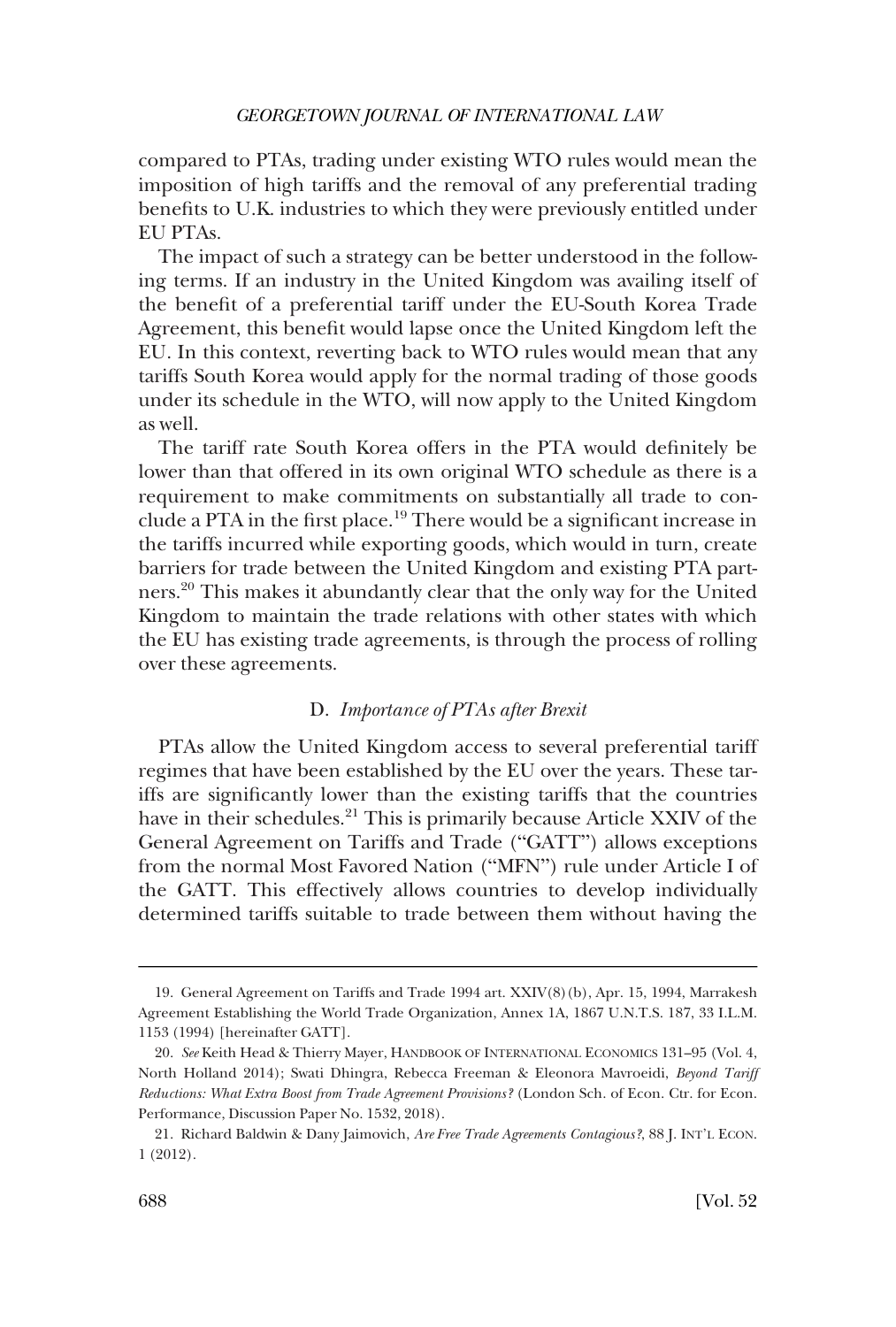<span id="page-9-0"></span>compared to PTAs, trading under existing WTO rules would mean the imposition of high tariffs and the removal of any preferential trading benefits to U.K. industries to which they were previously entitled under EU PTAs.

The impact of such a strategy can be better understood in the following terms. If an industry in the United Kingdom was availing itself of the benefit of a preferential tariff under the EU-South Korea Trade Agreement, this benefit would lapse once the United Kingdom left the EU. In this context, reverting back to WTO rules would mean that any tariffs South Korea would apply for the normal trading of those goods under its schedule in the WTO, will now apply to the United Kingdom as well.

The tariff rate South Korea offers in the PTA would definitely be lower than that offered in its own original WTO schedule as there is a requirement to make commitments on substantially all trade to conclude a PTA in the first place.<sup>19</sup> There would be a significant increase in the tariffs incurred while exporting goods, which would in turn, create barriers for trade between the United Kingdom and existing PTA partners.20 This makes it abundantly clear that the only way for the United Kingdom to maintain the trade relations with other states with which the EU has existing trade agreements, is through the process of rolling over these agreements.

#### D. *Importance of PTAs after Brexit*

PTAs allow the United Kingdom access to several preferential tariff regimes that have been established by the EU over the years. These tariffs are significantly lower than the existing tariffs that the countries have in their schedules.<sup>21</sup> This is primarily because Article XXIV of the General Agreement on Tariffs and Trade ("GATT") allows exceptions from the normal Most Favored Nation ("MFN") rule under Article I of the GATT. This effectively allows countries to develop individually determined tariffs suitable to trade between them without having the

<sup>19.</sup> General Agreement on Tariffs and Trade 1994 art. XXIV(8)(b), Apr. 15, 1994, Marrakesh Agreement Establishing the World Trade Organization, Annex 1A, 1867 U.N.T.S. 187, 33 I.L.M. 1153 (1994) [hereinafter GATT].

<sup>20.</sup> *See* Keith Head & Thierry Mayer, HANDBOOK OF INTERNATIONAL ECONOMICS 131–95 (Vol. 4, North Holland 2014); Swati Dhingra, Rebecca Freeman & Eleonora Mavroeidi, *Beyond Tariff Reductions: What Extra Boost from Trade Agreement Provisions?* (London Sch. of Econ. Ctr. for Econ. Performance, Discussion Paper No. 1532, 2018).

<sup>21.</sup> Richard Baldwin & Dany Jaimovich, *Are Free Trade Agreements Contagious?*, 88 J. INT'L ECON. 1 (2012).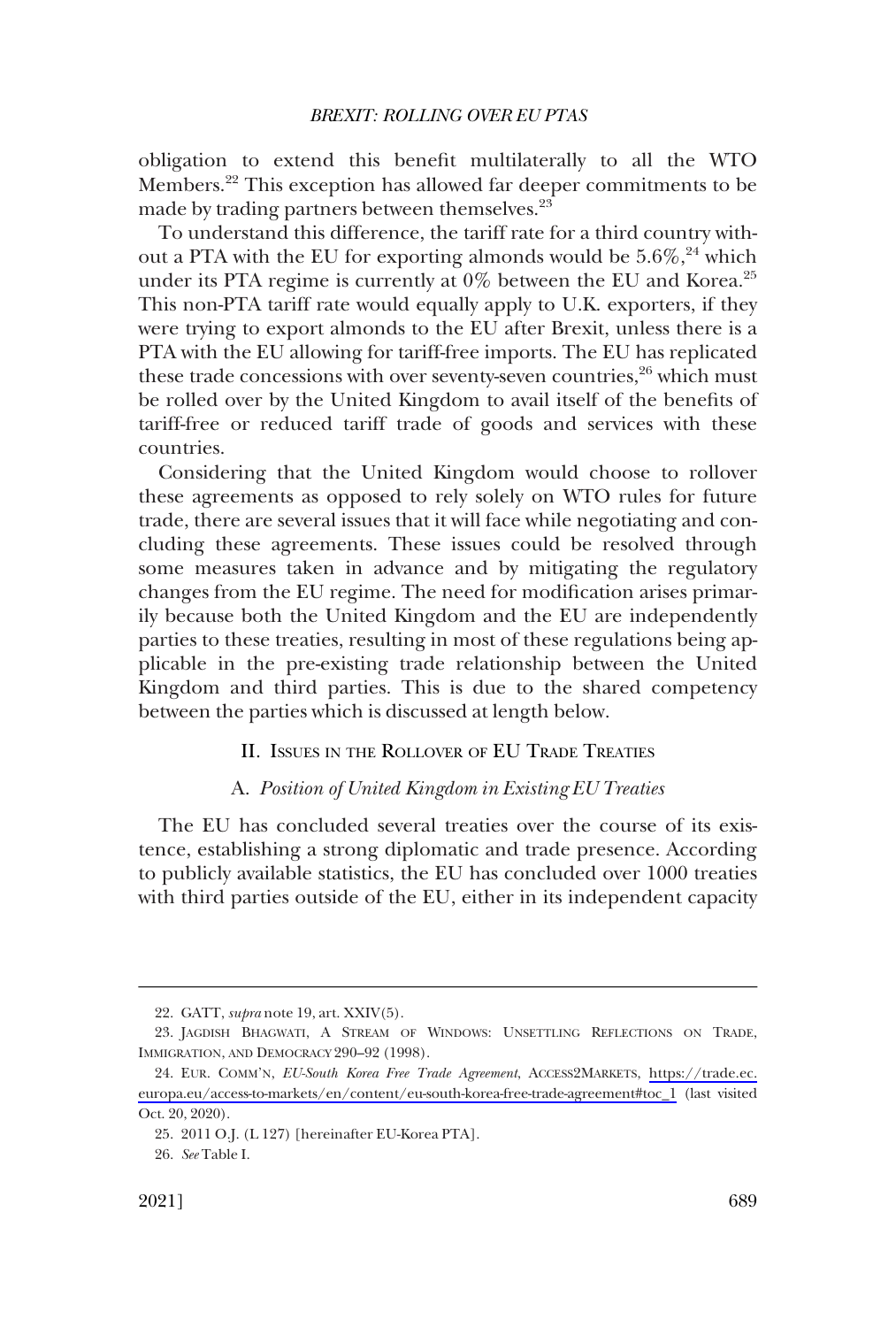<span id="page-10-0"></span>obligation to extend this benefit multilaterally to all the WTO Members.22 This exception has allowed far deeper commitments to be made by trading partners between themselves.<sup>23</sup>

To understand this difference, the tariff rate for a third country without a PTA with the EU for exporting almonds would be  $5.6\%$ ,  $^{24}$  which under its PTA regime is currently at  $0\%$  between the EU and Korea.<sup>25</sup> This non-PTA tariff rate would equally apply to U.K. exporters, if they were trying to export almonds to the EU after Brexit, unless there is a PTA with the EU allowing for tariff-free imports. The EU has replicated these trade concessions with over seventy-seven countries, $26$  which must be rolled over by the United Kingdom to avail itself of the benefits of tariff-free or reduced tariff trade of goods and services with these countries.

Considering that the United Kingdom would choose to rollover these agreements as opposed to rely solely on WTO rules for future trade, there are several issues that it will face while negotiating and concluding these agreements. These issues could be resolved through some measures taken in advance and by mitigating the regulatory changes from the EU regime. The need for modification arises primarily because both the United Kingdom and the EU are independently parties to these treaties, resulting in most of these regulations being applicable in the pre-existing trade relationship between the United Kingdom and third parties. This is due to the shared competency between the parties which is discussed at length below.

### II. ISSUES IN THE ROLLOVER OF EU TRADE TREATIES

### A. *Position of United Kingdom in Existing EU Treaties*

The EU has concluded several treaties over the course of its existence, establishing a strong diplomatic and trade presence. According to publicly available statistics, the EU has concluded over 1000 treaties with third parties outside of the EU, either in its independent capacity

<sup>22.</sup> GATT, *supra* note 19, art. XXIV(5).

<sup>23.</sup> JAGDISH BHAGWATI, A STREAM OF WINDOWS: UNSETTLING REFLECTIONS ON TRADE, IMMIGRATION, AND DEMOCRACY 290–92 (1998).

EUR. COMM'N, *EU-South Korea Free Trade Agreement*, ACCESS2MARKETS, [https://trade.ec.](https://trade.ec.europa.eu/access-to-markets/en/content/eu-south-korea-free-trade-agreement#toc_1) 24. [europa.eu/access-to-markets/en/content/eu-south-korea-free-trade-agreement#toc\\_1](https://trade.ec.europa.eu/access-to-markets/en/content/eu-south-korea-free-trade-agreement#toc_1) (last visited Oct. 20, 2020).

<sup>25. 2011</sup> O.J. (L 127) [hereinafter EU-Korea PTA].

<sup>26.</sup> *See* Table I.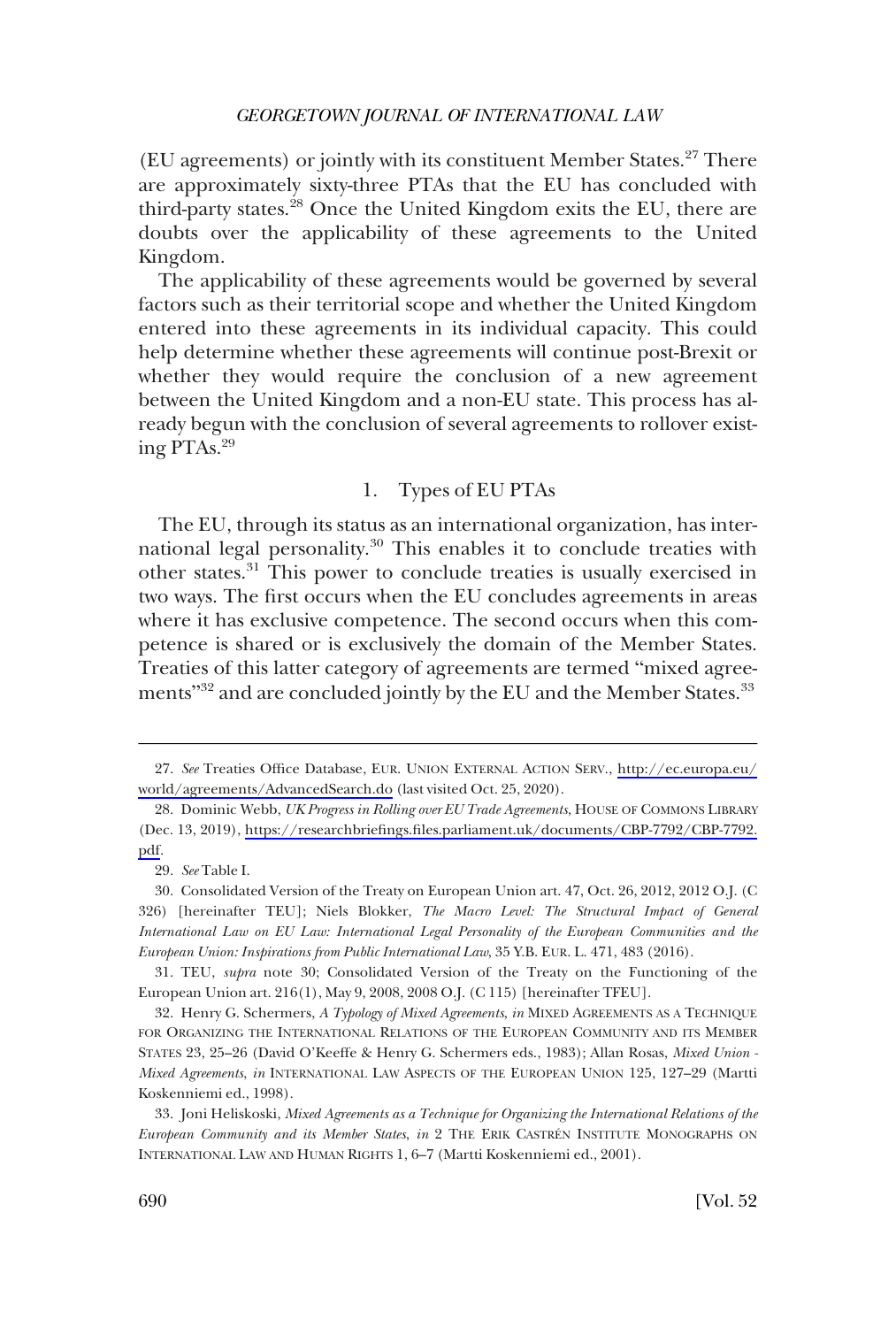<span id="page-11-0"></span>(EU agreements) or jointly with its constituent Member States.27 There are approximately sixty-three PTAs that the EU has concluded with third-party states.<sup>28</sup> Once the United Kingdom exits the EU, there are doubts over the applicability of these agreements to the United Kingdom.

The applicability of these agreements would be governed by several factors such as their territorial scope and whether the United Kingdom entered into these agreements in its individual capacity. This could help determine whether these agreements will continue post-Brexit or whether they would require the conclusion of a new agreement between the United Kingdom and a non-EU state. This process has already begun with the conclusion of several agreements to rollover existing PTAs.29

## 1. Types of EU PTAs

The EU, through its status as an international organization, has international legal personality.<sup>30</sup> This enables it to conclude treaties with other states.31 This power to conclude treaties is usually exercised in two ways. The first occurs when the EU concludes agreements in areas where it has exclusive competence. The second occurs when this competence is shared or is exclusively the domain of the Member States. Treaties of this latter category of agreements are termed "mixed agreements"<sup>32</sup> and are concluded jointly by the EU and the Member States.<sup>33</sup>

31. TEU, *supra* note 30; Consolidated Version of the Treaty on the Functioning of the European Union art. 216(1), May 9, 2008, 2008 O.J. (C 115) [hereinafter TFEU].

*See* Treaties Office Database, EUR. UNION EXTERNAL ACTION SERV., [http://ec.europa.eu/](http://ec.europa.eu/world/agreements/AdvancedSearch.do) 27. [world/agreements/AdvancedSearch.do](http://ec.europa.eu/world/agreements/AdvancedSearch.do) (last visited Oct. 25, 2020).

<sup>28.</sup> Dominic Webb, UK Progress in Rolling over EU Trade Agreements, HOUSE OF COMMONS LIBRARY (Dec. 13, 2019), [https://researchbriefings.files.parliament.uk/documents/CBP-7792/CBP-7792.](https://researchbriefings.files.parliament.uk/documents/CBP-7792/CBP-7792.pdf) [pdf.](https://researchbriefings.files.parliament.uk/documents/CBP-7792/CBP-7792.pdf)

<sup>29.</sup> *See* Table I.

<sup>30.</sup> Consolidated Version of the Treaty on European Union art. 47, Oct. 26, 2012, 2012 O.J. (C 326) [hereinafter TEU]; Niels Blokker, *The Macro Level: The Structural Impact of General International Law on EU Law: International Legal Personality of the European Communities and the European Union: Inspirations from Public International Law*, 35 Y.B. EUR. L. 471, 483 (2016).

<sup>32.</sup> Henry G. Schermers, *A Typology of Mixed Agreements*, *in* MIXED AGREEMENTS AS A TECHNIQUE FOR ORGANIZING THE INTERNATIONAL RELATIONS OF THE EUROPEAN COMMUNITY AND ITS MEMBER STATES 23, 25–26 (David O'Keeffe & Henry G. Schermers eds., 1983); Allan Rosas, *Mixed Union - Mixed Agreements*, *in* INTERNATIONAL LAW ASPECTS OF THE EUROPEAN UNION 125, 127–29 (Martti Koskenniemi ed., 1998).

<sup>33.</sup> Joni Heliskoski, *Mixed Agreements as a Technique for Organizing the International Relations of the European Community and its Member States*, *in* 2 THE ERIK CASTRE´N INSTITUTE MONOGRAPHS ON INTERNATIONAL LAW AND HUMAN RIGHTS 1, 6–7 (Martti Koskenniemi ed., 2001).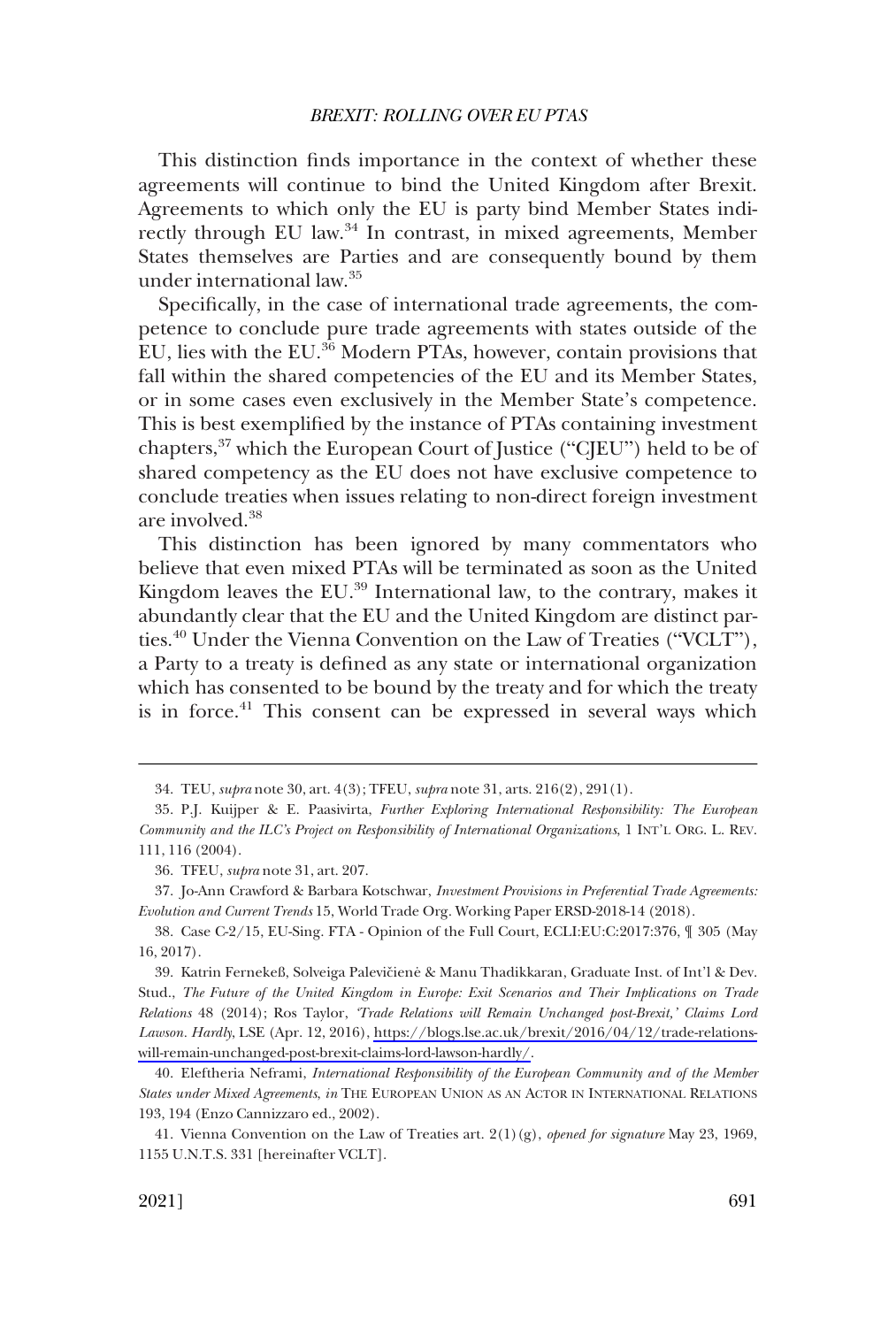This distinction finds importance in the context of whether these agreements will continue to bind the United Kingdom after Brexit. Agreements to which only the EU is party bind Member States indirectly through EU law.<sup>34</sup> In contrast, in mixed agreements, Member States themselves are Parties and are consequently bound by them under international law.35

Specifically, in the case of international trade agreements, the competence to conclude pure trade agreements with states outside of the EU, lies with the EU.36 Modern PTAs, however, contain provisions that fall within the shared competencies of the EU and its Member States, or in some cases even exclusively in the Member State's competence. This is best exemplified by the instance of PTAs containing investment chapters,37 which the European Court of Justice ("CJEU") held to be of shared competency as the EU does not have exclusive competence to conclude treaties when issues relating to non-direct foreign investment are involved.<sup>38</sup>

This distinction has been ignored by many commentators who believe that even mixed PTAs will be terminated as soon as the United Kingdom leaves the EU.<sup>39</sup> International law, to the contrary, makes it abundantly clear that the EU and the United Kingdom are distinct parties.40 Under the Vienna Convention on the Law of Treaties ("VCLT"), a Party to a treaty is defined as any state or international organization which has consented to be bound by the treaty and for which the treaty is in force.<sup>41</sup> This consent can be expressed in several ways which

<sup>34.</sup> TEU, *supra* note 30, art. 4(3); TFEU, *supra* note 31, arts. 216(2), 291(1).

<sup>35.</sup> P.J. Kuijper & E. Paasivirta, *Further Exploring International Responsibility: The European Community and the ILC's Project on Responsibility of International Organizations*, 1 INT'L ORG. L. REV. 111, 116 (2004).

<sup>36.</sup> TFEU, *supra* note 31, art. 207.

<sup>37.</sup> Jo-Ann Crawford & Barbara Kotschwar, *Investment Provisions in Preferential Trade Agreements: Evolution and Current Trends* 15, World Trade Org. Working Paper ERSD-2018-14 (2018).

<sup>38.</sup> Case C-2/15, EU-Sing. FTA - Opinion of the Full Court, ECLI:EU:C:2017:376, ¶ 305 (May 16, 2017).

<sup>39.</sup> Katrin Fernekeß, Solveiga Palevičienė & Manu Thadikkaran, Graduate Inst. of Int'l & Dev. Stud., *The Future of the United Kingdom in Europe: Exit Scenarios and Their Implications on Trade Relations* 48 (2014); Ros Taylor, *'Trade Relations will Remain Unchanged post-Brexit,' Claims Lord Lawson. Hardly*, LSE (Apr. 12, 2016), [https://blogs.lse.ac.uk/brexit/2016/04/12/trade-relations](https://blogs.lse.ac.uk/brexit/2016/04/12/trade-relations-will-remain-unchanged-post-brexit-claims-lord-lawson-hardly/)[will-remain-unchanged-post-brexit-claims-lord-lawson-hardly/.](https://blogs.lse.ac.uk/brexit/2016/04/12/trade-relations-will-remain-unchanged-post-brexit-claims-lord-lawson-hardly/)

<sup>40.</sup> Eleftheria Neframi, *International Responsibility of the European Community and of the Member States under Mixed Agreements*, *in* THE EUROPEAN UNION AS AN ACTOR IN INTERNATIONAL RELATIONS 193, 194 (Enzo Cannizzaro ed., 2002).

<sup>41.</sup> Vienna Convention on the Law of Treaties art. 2(1)(g), *opened for signature* May 23, 1969, 1155 U.N.T.S. 331 [hereinafter VCLT].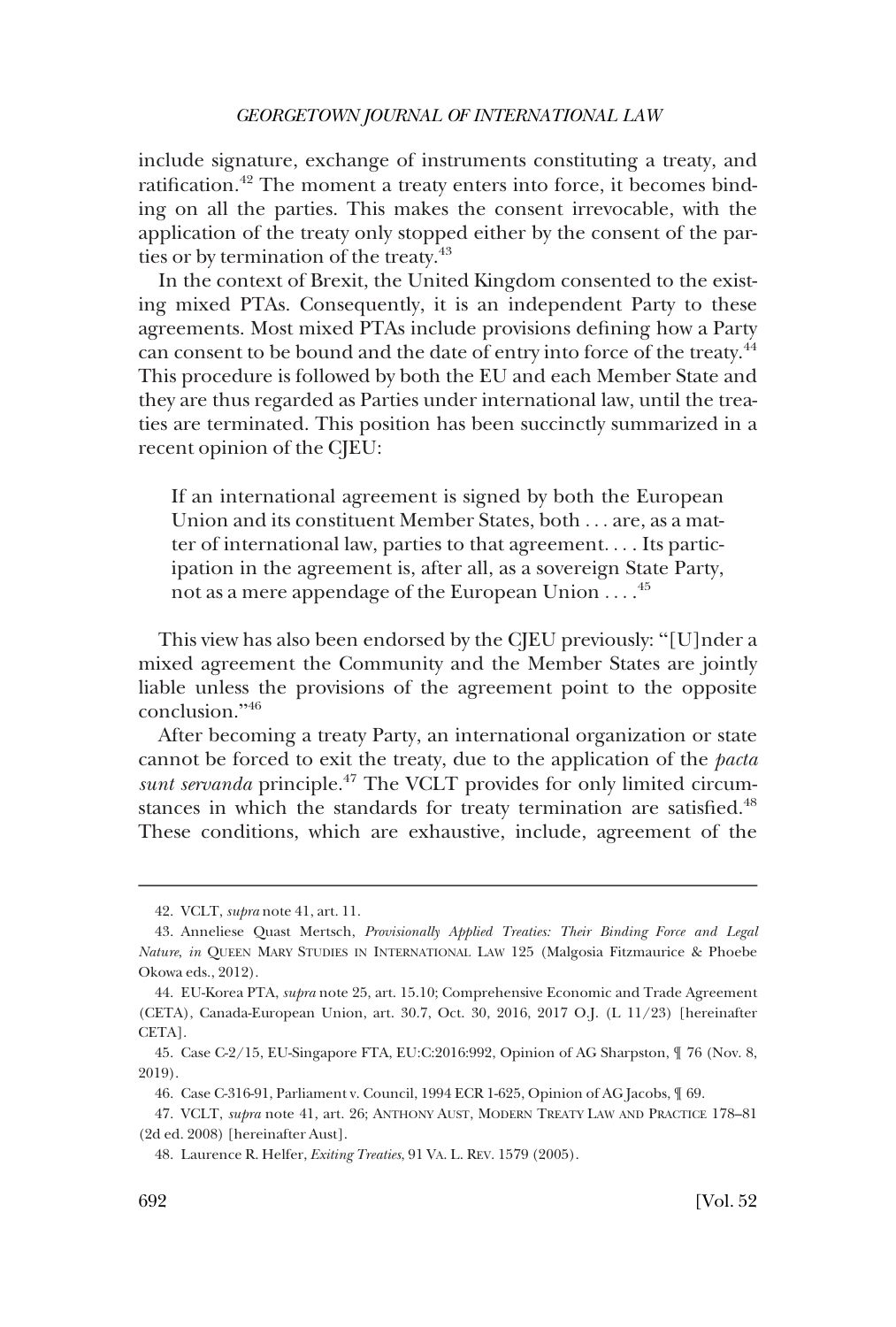include signature, exchange of instruments constituting a treaty, and ratification.<sup>42</sup> The moment a treaty enters into force, it becomes binding on all the parties. This makes the consent irrevocable, with the application of the treaty only stopped either by the consent of the parties or by termination of the treaty.<sup>43</sup>

In the context of Brexit, the United Kingdom consented to the existing mixed PTAs. Consequently, it is an independent Party to these agreements. Most mixed PTAs include provisions defining how a Party can consent to be bound and the date of entry into force of the treaty.<sup>44</sup> This procedure is followed by both the EU and each Member State and they are thus regarded as Parties under international law, until the treaties are terminated. This position has been succinctly summarized in a recent opinion of the CJEU:

If an international agreement is signed by both the European Union and its constituent Member States, both . . . are, as a matter of international law, parties to that agreement. . . . Its participation in the agreement is, after all, as a sovereign State Party, not as a mere appendage of the European Union  $\ldots$ .<sup>45</sup>

This view has also been endorsed by the CJEU previously: "[U]nder a mixed agreement the Community and the Member States are jointly liable unless the provisions of the agreement point to the opposite conclusion."<sup>46</sup>

After becoming a treaty Party, an international organization or state cannot be forced to exit the treaty, due to the application of the *pacta sunt servanda* principle.47 The VCLT provides for only limited circumstances in which the standards for treaty termination are satisfied.<sup>48</sup> These conditions, which are exhaustive, include, agreement of the

<sup>42.</sup> VCLT, *supra* note 41, art. 11.

<sup>43.</sup> Anneliese Quast Mertsch, *Provisionally Applied Treaties: Their Binding Force and Legal Nature*, *in* QUEEN MARY STUDIES IN INTERNATIONAL LAW 125 (Malgosia Fitzmaurice & Phoebe Okowa eds., 2012).

<sup>44.</sup> EU-Korea PTA, *supra* note 25, art. 15.10; Comprehensive Economic and Trade Agreement (CETA), Canada-European Union, art. 30.7, Oct. 30, 2016, 2017 O.J. (L 11/23) [hereinafter CETA].

<sup>45.</sup> Case C-2/15, EU-Singapore FTA, EU:C:2016:992, Opinion of AG Sharpston, ¶ 76 (Nov. 8, 2019).

<sup>46.</sup> Case C-316-91, Parliament v. Council, 1994 ECR 1-625, Opinion of AG Jacobs, ¶ 69.

<sup>47.</sup> VCLT, *supra* note 41, art. 26; ANTHONY AUST, MODERN TREATY LAW AND PRACTICE 178–81 (2d ed. 2008) [hereinafter Aust].

<sup>48.</sup> Laurence R. Helfer, *Exiting Treaties*, 91 VA. L. REV. 1579 (2005).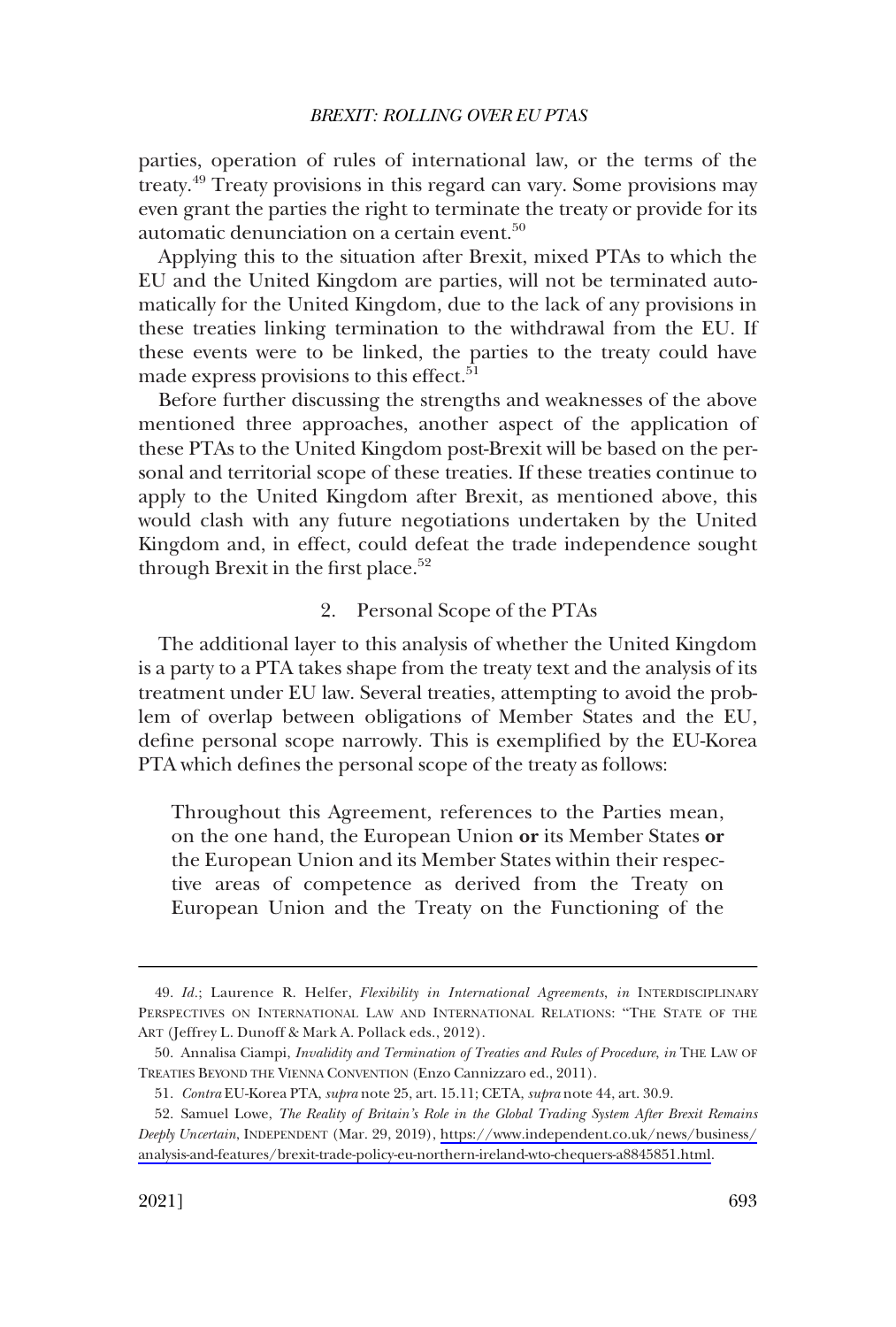<span id="page-14-0"></span>parties, operation of rules of international law, or the terms of the treaty.49 Treaty provisions in this regard can vary. Some provisions may even grant the parties the right to terminate the treaty or provide for its automatic denunciation on a certain event.<sup>50</sup>

Applying this to the situation after Brexit, mixed PTAs to which the EU and the United Kingdom are parties, will not be terminated automatically for the United Kingdom, due to the lack of any provisions in these treaties linking termination to the withdrawal from the EU. If these events were to be linked, the parties to the treaty could have made express provisions to this effect.<sup>51</sup>

Before further discussing the strengths and weaknesses of the above mentioned three approaches, another aspect of the application of these PTAs to the United Kingdom post-Brexit will be based on the personal and territorial scope of these treaties. If these treaties continue to apply to the United Kingdom after Brexit, as mentioned above, this would clash with any future negotiations undertaken by the United Kingdom and, in effect, could defeat the trade independence sought through Brexit in the first place.<sup>52</sup>

### 2. Personal Scope of the PTAs

The additional layer to this analysis of whether the United Kingdom is a party to a PTA takes shape from the treaty text and the analysis of its treatment under EU law. Several treaties, attempting to avoid the problem of overlap between obligations of Member States and the EU, define personal scope narrowly. This is exemplified by the EU-Korea PTA which defines the personal scope of the treaty as follows:

Throughout this Agreement, references to the Parties mean, on the one hand, the European Union **or** its Member States **or**  the European Union and its Member States within their respective areas of competence as derived from the Treaty on European Union and the Treaty on the Functioning of the

<sup>49.</sup> *Id.*; Laurence R. Helfer, *Flexibility in International Agreements*, *in* INTERDISCIPLINARY PERSPECTIVES ON INTERNATIONAL LAW AND INTERNATIONAL RELATIONS: "THE STATE OF THE ART (Jeffrey L. Dunoff & Mark A. Pollack eds., 2012).

<sup>50.</sup> Annalisa Ciampi, *Invalidity and Termination of Treaties and Rules of Procedure*, *in* THE LAW OF TREATIES BEYOND THE VIENNA CONVENTION (Enzo Cannizzaro ed., 2011).

<sup>51.</sup> *Contra* EU-Korea PTA, *supra* note 25, art. 15.11; CETA, *supra* note 44, art. 30.9.

<sup>52.</sup> Samuel Lowe, *The Reality of Britain's Role in the Global Trading System After Brexit Remains Deeply Uncertain*, INDEPENDENT (Mar. 29, 2019), [https://www.independent.co.uk/news/business/](https://www.independent.co.uk/news/business/analysis-and-features/brexit-trade-policy-eu-northern-ireland-wto-chequers-a8845851.html) [analysis-and-features/brexit-trade-policy-eu-northern-ireland-wto-chequers-a8845851.html.](https://www.independent.co.uk/news/business/analysis-and-features/brexit-trade-policy-eu-northern-ireland-wto-chequers-a8845851.html)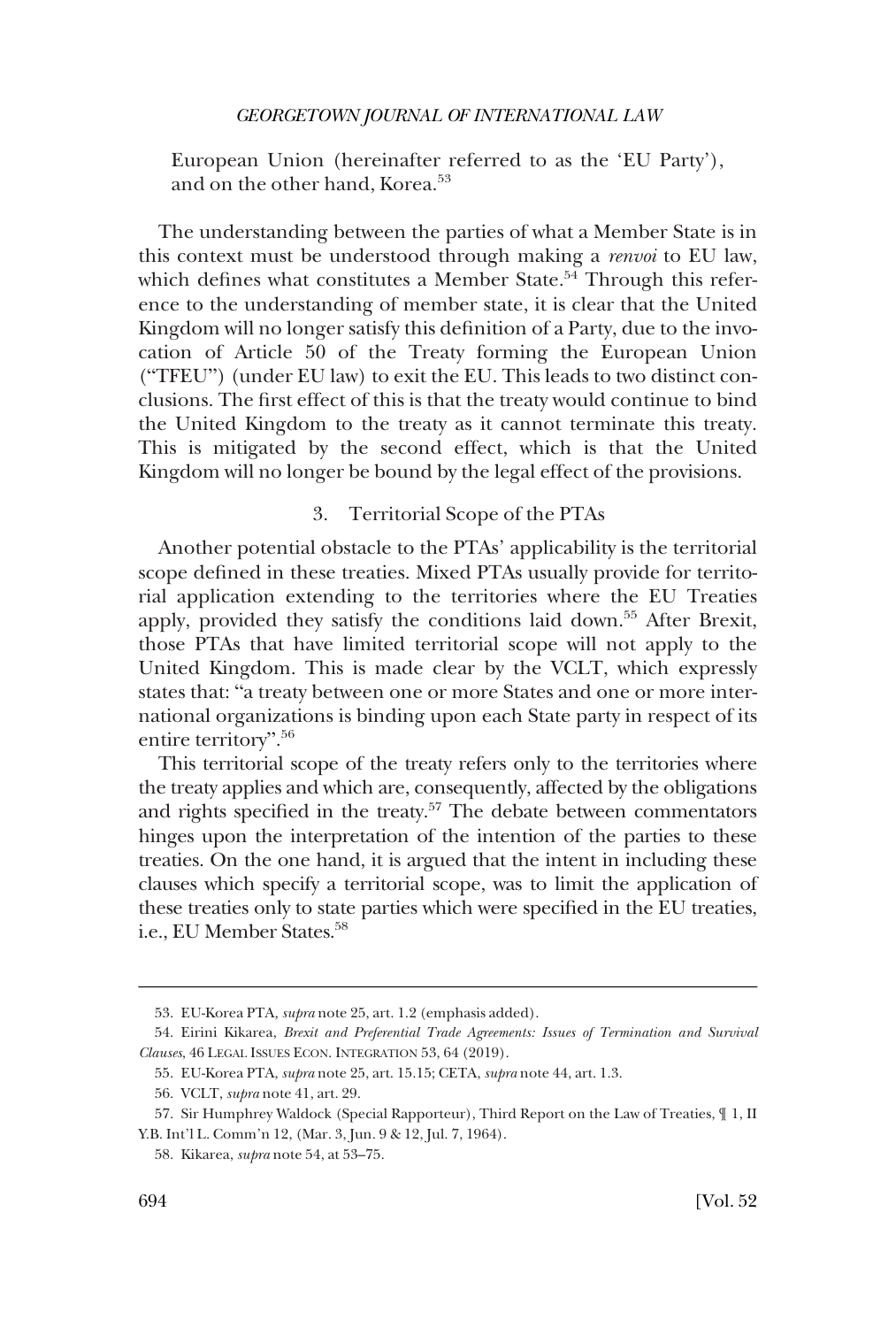<span id="page-15-0"></span>European Union (hereinafter referred to as the 'EU Party'), and on the other hand, Korea.<sup>53</sup>

The understanding between the parties of what a Member State is in this context must be understood through making a *renvoi* to EU law, which defines what constitutes a Member State.<sup>54</sup> Through this reference to the understanding of member state, it is clear that the United Kingdom will no longer satisfy this definition of a Party, due to the invocation of Article 50 of the Treaty forming the European Union ("TFEU") (under EU law) to exit the EU. This leads to two distinct conclusions. The first effect of this is that the treaty would continue to bind the United Kingdom to the treaty as it cannot terminate this treaty. This is mitigated by the second effect, which is that the United Kingdom will no longer be bound by the legal effect of the provisions.

### 3. Territorial Scope of the PTAs

Another potential obstacle to the PTAs' applicability is the territorial scope defined in these treaties. Mixed PTAs usually provide for territorial application extending to the territories where the EU Treaties apply, provided they satisfy the conditions laid down.55 After Brexit, those PTAs that have limited territorial scope will not apply to the United Kingdom. This is made clear by the VCLT, which expressly states that: "a treaty between one or more States and one or more international organizations is binding upon each State party in respect of its entire territory". 56

This territorial scope of the treaty refers only to the territories where the treaty applies and which are, consequently, affected by the obligations and rights specified in the treaty.<sup>57</sup> The debate between commentators hinges upon the interpretation of the intention of the parties to these treaties. On the one hand, it is argued that the intent in including these clauses which specify a territorial scope, was to limit the application of these treaties only to state parties which were specified in the EU treaties, i.e., EU Member States.<sup>58</sup>

<sup>53.</sup> EU-Korea PTA*, supra* note 25, art. 1.2 (emphasis added).

<sup>54.</sup> Eirini Kikarea, *Brexit and Preferential Trade Agreements: Issues of Termination and Survival Clauses*, 46 LEGAL ISSUES ECON. INTEGRATION 53, 64 (2019).

<sup>55.</sup> EU-Korea PTA, *supra* note 25, art. 15.15; CETA, *supra* note 44, art. 1.3.

<sup>56.</sup> VCLT, *supra* note 41, art. 29.

<sup>57.</sup> Sir Humphrey Waldock (Special Rapporteur), Third Report on the Law of Treaties, ¶ 1, II Y.B. Int'l L. Comm'n 12, (Mar. 3, Jun. 9 & 12, Jul. 7, 1964).

<sup>58.</sup> Kikarea, *supra* note 54, at 53–75.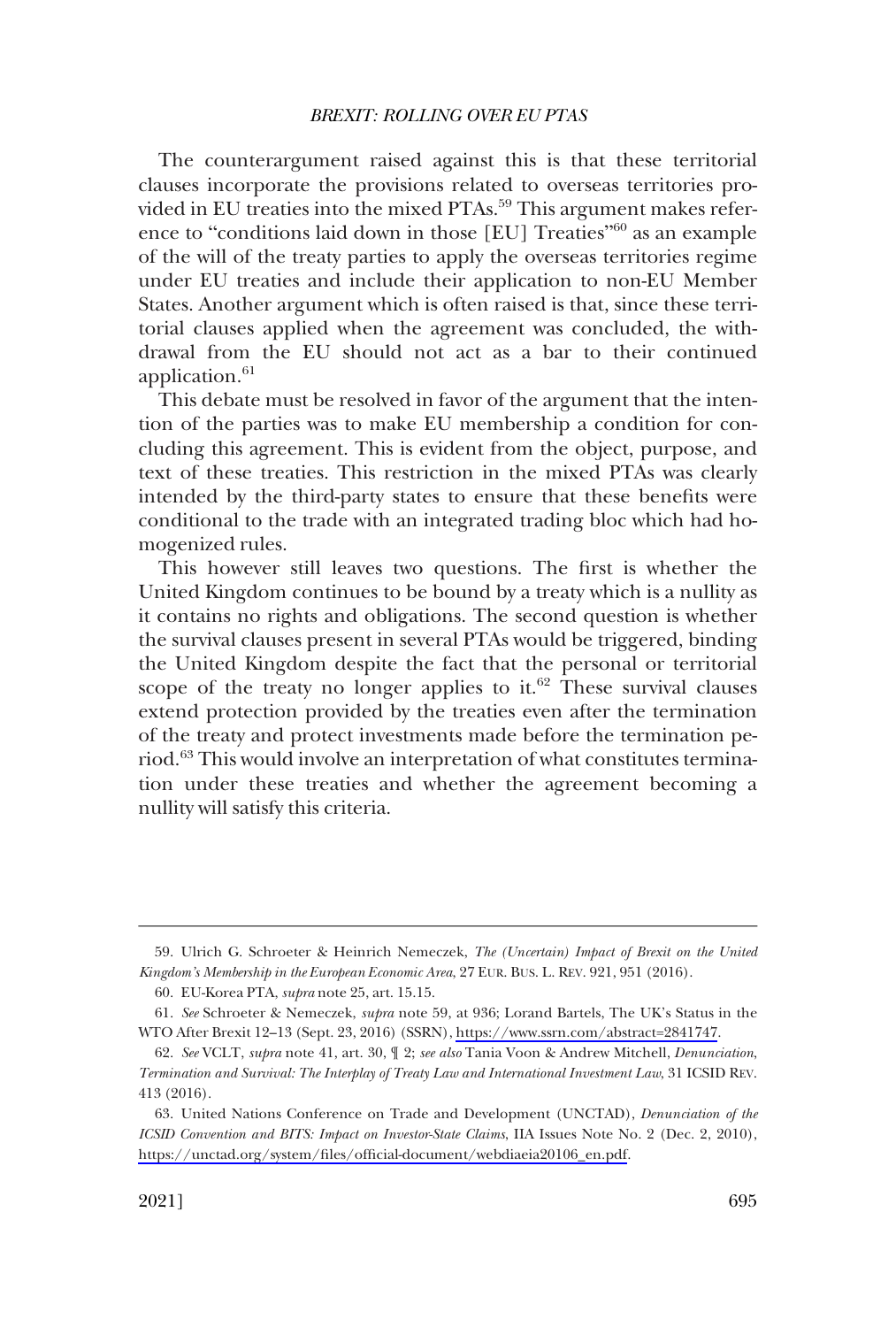The counterargument raised against this is that these territorial clauses incorporate the provisions related to overseas territories provided in EU treaties into the mixed PTAs.<sup>59</sup> This argument makes reference to "conditions laid down in those [EU] Treaties"<sup>60</sup> as an example of the will of the treaty parties to apply the overseas territories regime under EU treaties and include their application to non-EU Member States. Another argument which is often raised is that, since these territorial clauses applied when the agreement was concluded, the withdrawal from the EU should not act as a bar to their continued application.<sup>61</sup>

This debate must be resolved in favor of the argument that the intention of the parties was to make EU membership a condition for concluding this agreement. This is evident from the object, purpose, and text of these treaties. This restriction in the mixed PTAs was clearly intended by the third-party states to ensure that these benefits were conditional to the trade with an integrated trading bloc which had homogenized rules.

This however still leaves two questions. The first is whether the United Kingdom continues to be bound by a treaty which is a nullity as it contains no rights and obligations. The second question is whether the survival clauses present in several PTAs would be triggered, binding the United Kingdom despite the fact that the personal or territorial scope of the treaty no longer applies to it. $62$  These survival clauses extend protection provided by the treaties even after the termination of the treaty and protect investments made before the termination period.<sup>63</sup> This would involve an interpretation of what constitutes termination under these treaties and whether the agreement becoming a nullity will satisfy this criteria.

<sup>59.</sup> Ulrich G. Schroeter & Heinrich Nemeczek, *The (Uncertain) Impact of Brexit on the United Kingdom's Membership in the European Economic Area*, 27 EUR. BUS. L. REV. 921, 951 (2016).

<sup>60.</sup> EU-Korea PTA, *supra* note 25, art. 15.15.

*See* Schroeter & Nemeczek, *supra* note 59, at 936; Lorand Bartels, The UK's Status in the 61. WTO After Brexit 12–13 (Sept. 23, 2016) (SSRN),<https://www.ssrn.com/abstract=2841747>.

<sup>62.</sup> *See* VCLT, *supra* note 41, art. 30, ¶ 2; *see also* Tania Voon & Andrew Mitchell, *Denunciation*, *Termination and Survival: The Interplay of Treaty Law and International Investment Law*, 31 ICSID REV. 413 (2016).

United Nations Conference on Trade and Development (UNCTAD), *Denunciation of the*  63. *ICSID Convention and BITS: Impact on Investor-State Claims*, IIA Issues Note No. 2 (Dec. 2, 2010), [https://unctad.org/system/files/official-document/webdiaeia20106\\_en.pdf](https://unctad.org/system/files/official-document/webdiaeia20106_en.pdf).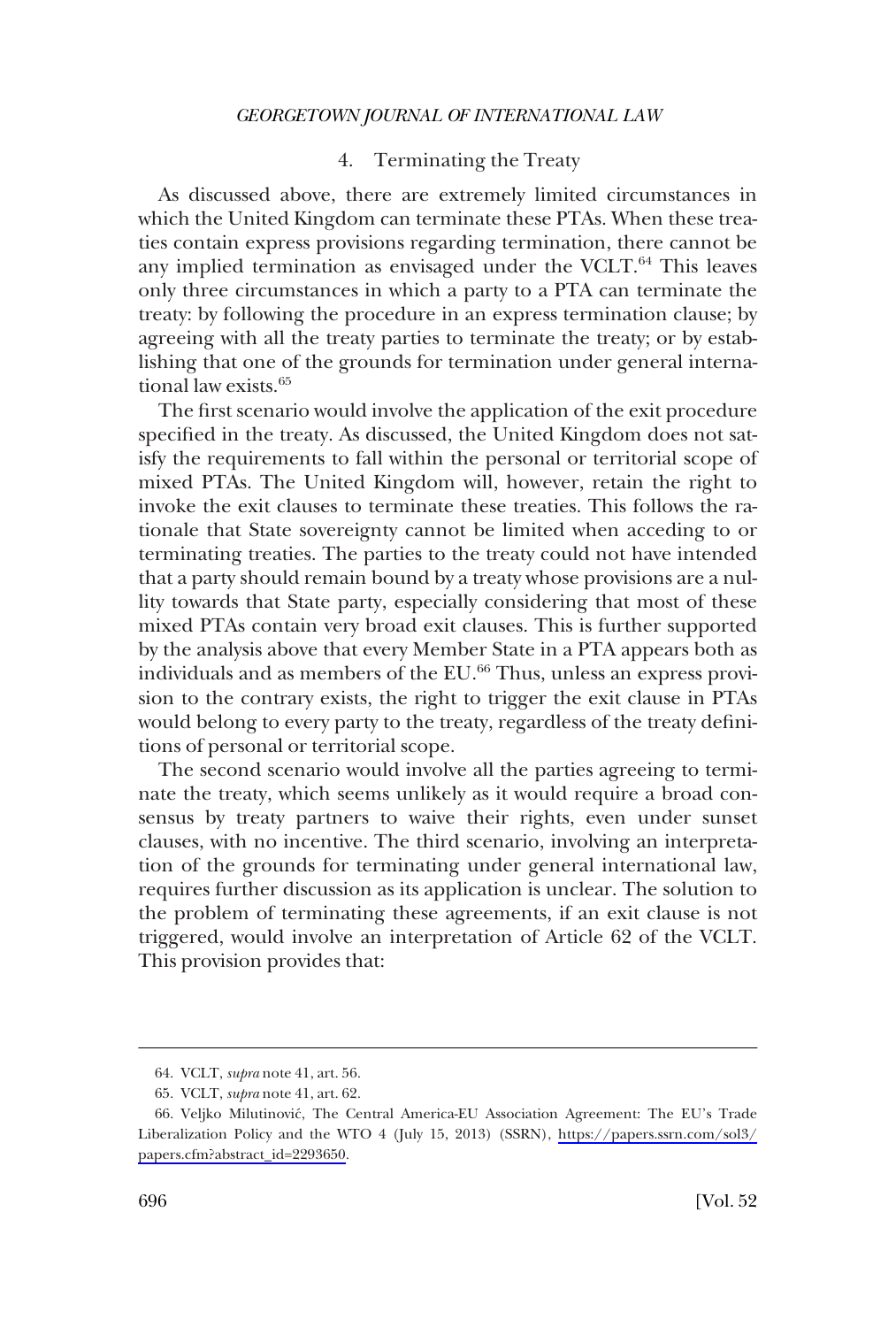### 4. Terminating the Treaty

<span id="page-17-0"></span>As discussed above, there are extremely limited circumstances in which the United Kingdom can terminate these PTAs. When these treaties contain express provisions regarding termination, there cannot be any implied termination as envisaged under the VCLT.<sup>64</sup> This leaves only three circumstances in which a party to a PTA can terminate the treaty: by following the procedure in an express termination clause; by agreeing with all the treaty parties to terminate the treaty; or by establishing that one of the grounds for termination under general international law exists.<sup>65</sup>

The first scenario would involve the application of the exit procedure specified in the treaty. As discussed, the United Kingdom does not satisfy the requirements to fall within the personal or territorial scope of mixed PTAs. The United Kingdom will, however, retain the right to invoke the exit clauses to terminate these treaties. This follows the rationale that State sovereignty cannot be limited when acceding to or terminating treaties. The parties to the treaty could not have intended that a party should remain bound by a treaty whose provisions are a nullity towards that State party, especially considering that most of these mixed PTAs contain very broad exit clauses. This is further supported by the analysis above that every Member State in a PTA appears both as individuals and as members of the EU.<sup>66</sup> Thus, unless an express provision to the contrary exists, the right to trigger the exit clause in PTAs would belong to every party to the treaty, regardless of the treaty definitions of personal or territorial scope.

The second scenario would involve all the parties agreeing to terminate the treaty, which seems unlikely as it would require a broad consensus by treaty partners to waive their rights, even under sunset clauses, with no incentive. The third scenario, involving an interpretation of the grounds for terminating under general international law, requires further discussion as its application is unclear. The solution to the problem of terminating these agreements, if an exit clause is not triggered, would involve an interpretation of Article 62 of the VCLT. This provision provides that:

<sup>64.</sup> VCLT, *supra* note 41, art. 56.

<sup>65.</sup> VCLT, *supra* note 41, art. 62.

<sup>66.</sup> Veljko Milutinović, The Central America-EU Association Agreement: The EU's Trade Liberalization Policy and the WTO 4 (July 15, 2013) (SSRN), [https://papers.ssrn.com/sol3/](https://papers.ssrn.com/sol3/papers.cfm?abstract_id=2293650) [papers.cfm?abstract\\_id=2293650.](https://papers.ssrn.com/sol3/papers.cfm?abstract_id=2293650)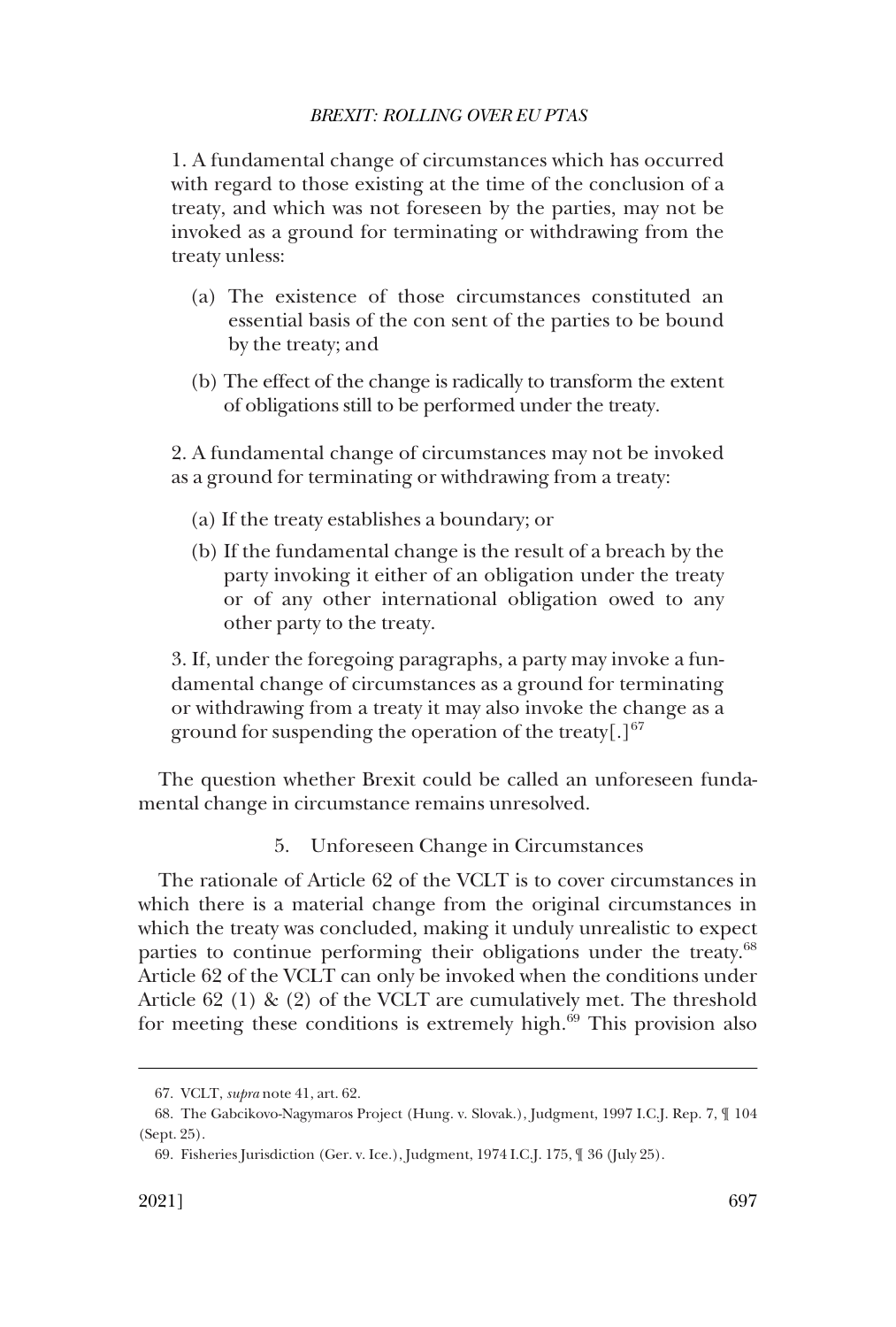<span id="page-18-0"></span>1. A fundamental change of circumstances which has occurred with regard to those existing at the time of the conclusion of a treaty, and which was not foreseen by the parties, may not be invoked as a ground for terminating or withdrawing from the treaty unless:

- (a) The existence of those circumstances constituted an essential basis of the con sent of the parties to be bound by the treaty; and
- (b) The effect of the change is radically to transform the extent of obligations still to be performed under the treaty.

2. A fundamental change of circumstances may not be invoked as a ground for terminating or withdrawing from a treaty:

- (a) If the treaty establishes a boundary; or
- (b) If the fundamental change is the result of a breach by the party invoking it either of an obligation under the treaty or of any other international obligation owed to any other party to the treaty.

3. If, under the foregoing paragraphs, a party may invoke a fundamental change of circumstances as a ground for terminating or withdrawing from a treaty it may also invoke the change as a ground for suspending the operation of the treaty[.] $67$ 

The question whether Brexit could be called an unforeseen fundamental change in circumstance remains unresolved.

### 5. Unforeseen Change in Circumstances

The rationale of Article 62 of the VCLT is to cover circumstances in which there is a material change from the original circumstances in which the treaty was concluded, making it unduly unrealistic to expect parties to continue performing their obligations under the treaty.<sup>68</sup> Article 62 of the VCLT can only be invoked when the conditions under Article 62 (1) & (2) of the VCLT are cumulatively met. The threshold for meeting these conditions is extremely high. $69$  This provision also

<sup>67.</sup> VCLT, *supra* note 41, art. 62.

<sup>68.</sup> The Gabcikovo-Nagymaros Project (Hung. v. Slovak.), Judgment, 1997 I.C.J. Rep. 7, ¶ 104 (Sept. 25).

<sup>69.</sup> Fisheries Jurisdiction (Ger. v. Ice.), Judgment, 1974 I.C.J. 175, ¶ 36 (July 25).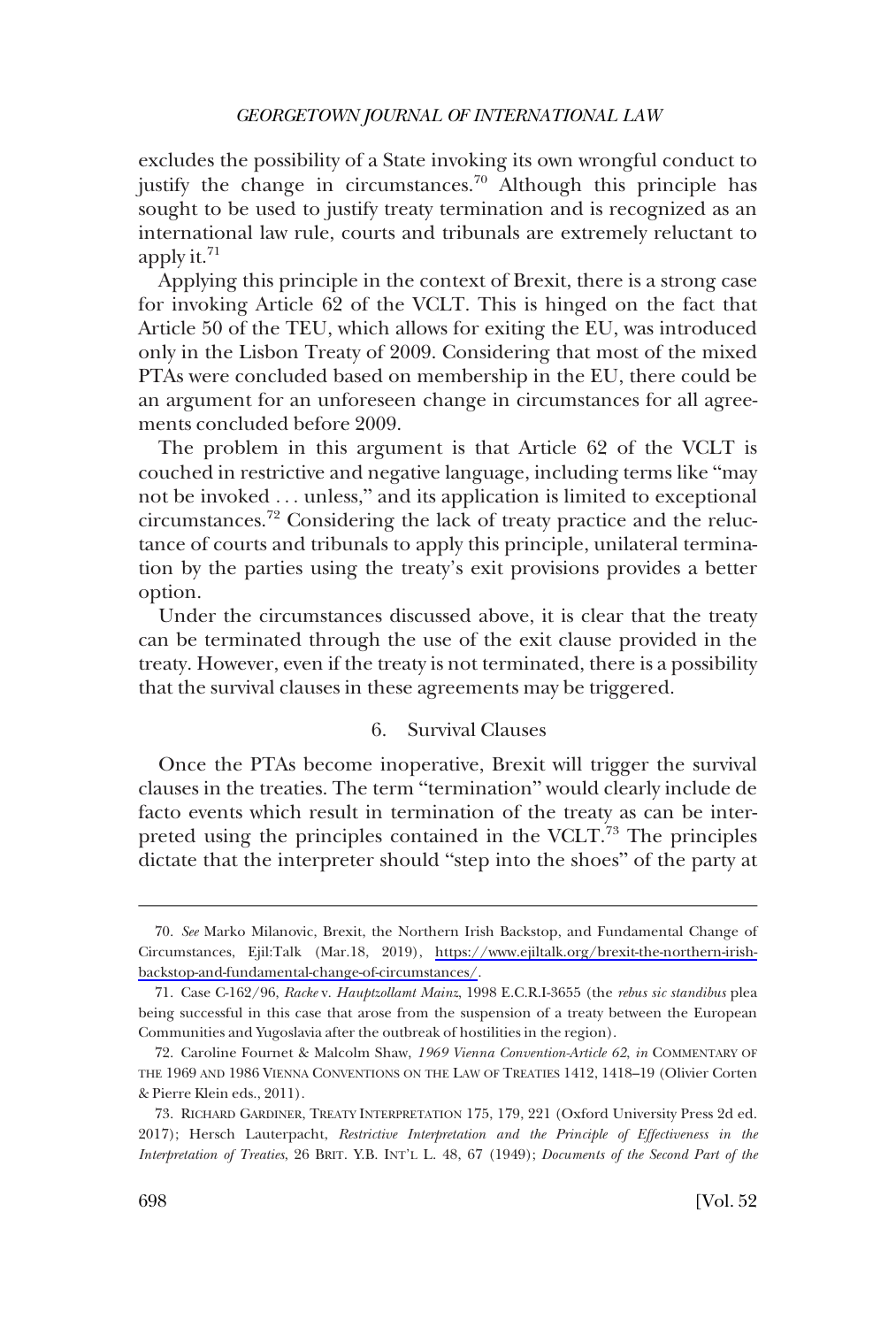<span id="page-19-0"></span>excludes the possibility of a State invoking its own wrongful conduct to justify the change in circumstances.<sup>70</sup> Although this principle has sought to be used to justify treaty termination and is recognized as an international law rule, courts and tribunals are extremely reluctant to apply it.<sup>71</sup>

Applying this principle in the context of Brexit, there is a strong case for invoking Article 62 of the VCLT. This is hinged on the fact that Article 50 of the TEU, which allows for exiting the EU, was introduced only in the Lisbon Treaty of 2009. Considering that most of the mixed PTAs were concluded based on membership in the EU, there could be an argument for an unforeseen change in circumstances for all agreements concluded before 2009.

The problem in this argument is that Article 62 of the VCLT is couched in restrictive and negative language, including terms like "may not be invoked . . . unless," and its application is limited to exceptional circumstances.72 Considering the lack of treaty practice and the reluctance of courts and tribunals to apply this principle, unilateral termination by the parties using the treaty's exit provisions provides a better option.

Under the circumstances discussed above, it is clear that the treaty can be terminated through the use of the exit clause provided in the treaty. However, even if the treaty is not terminated, there is a possibility that the survival clauses in these agreements may be triggered.

### 6. Survival Clauses

Once the PTAs become inoperative, Brexit will trigger the survival clauses in the treaties. The term "termination" would clearly include de facto events which result in termination of the treaty as can be interpreted using the principles contained in the VCLT. $\frac{73}{12}$  The principles dictate that the interpreter should "step into the shoes" of the party at

*See* Marko Milanovic, Brexit, the Northern Irish Backstop, and Fundamental Change of 70. Circumstances, Ejil:Talk (Mar.18, 2019), [https://www.ejiltalk.org/brexit-the-northern-irish](https://www.ejiltalk.org/brexit-the-northern-irish-backstop-and-fundamental-change-of-circumstances/)[backstop-and-fundamental-change-of-circumstances/](https://www.ejiltalk.org/brexit-the-northern-irish-backstop-and-fundamental-change-of-circumstances/).

<sup>71.</sup> Case C-162/96, *Racke* v. *Hauptzollamt Mainz*, 1998 E.C.R.I-3655 (the *rebus sic standibus* plea being successful in this case that arose from the suspension of a treaty between the European Communities and Yugoslavia after the outbreak of hostilities in the region).

<sup>72.</sup> Caroline Fournet & Malcolm Shaw, *1969 Vienna Convention-Article 62*, *in* COMMENTARY OF THE 1969 AND 1986 VIENNA CONVENTIONS ON THE LAW OF TREATIES 1412, 1418–19 (Olivier Corten & Pierre Klein eds., 2011).

<sup>73.</sup> RICHARD GARDINER, TREATY INTERPRETATION 175, 179, 221 (Oxford University Press 2d ed. 2017); Hersch Lauterpacht, *Restrictive Interpretation and the Principle of Effectiveness in the Interpretation of Treaties*, 26 BRIT. Y.B. INT'L L. 48, 67 (1949); *Documents of the Second Part of the*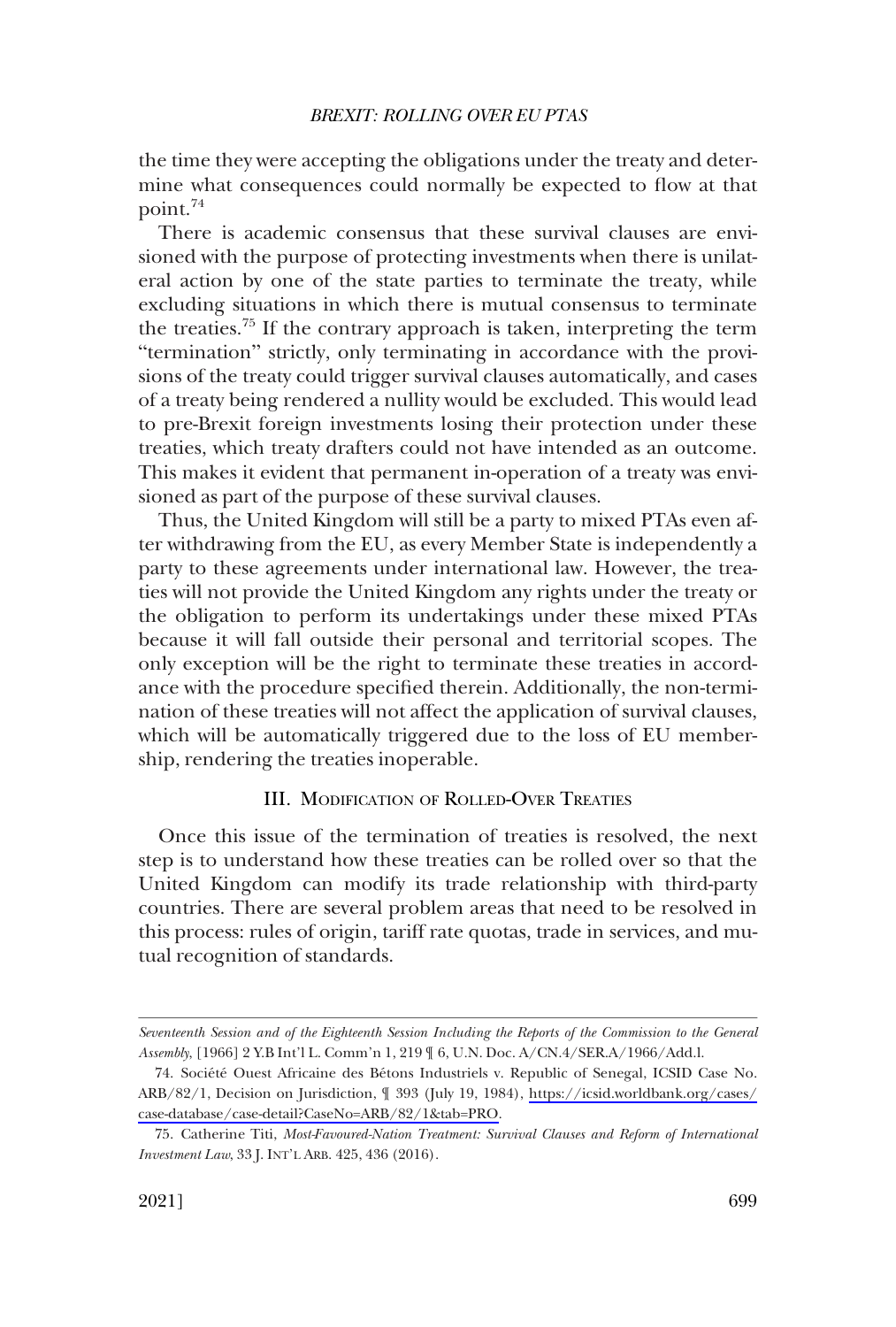<span id="page-20-0"></span>the time they were accepting the obligations under the treaty and determine what consequences could normally be expected to flow at that point.74

There is academic consensus that these survival clauses are envisioned with the purpose of protecting investments when there is unilateral action by one of the state parties to terminate the treaty, while excluding situations in which there is mutual consensus to terminate the treaties.75 If the contrary approach is taken, interpreting the term "termination" strictly, only terminating in accordance with the provisions of the treaty could trigger survival clauses automatically, and cases of a treaty being rendered a nullity would be excluded. This would lead to pre-Brexit foreign investments losing their protection under these treaties, which treaty drafters could not have intended as an outcome. This makes it evident that permanent in-operation of a treaty was envisioned as part of the purpose of these survival clauses.

Thus, the United Kingdom will still be a party to mixed PTAs even after withdrawing from the EU, as every Member State is independently a party to these agreements under international law. However, the treaties will not provide the United Kingdom any rights under the treaty or the obligation to perform its undertakings under these mixed PTAs because it will fall outside their personal and territorial scopes. The only exception will be the right to terminate these treaties in accordance with the procedure specified therein. Additionally, the non-termination of these treaties will not affect the application of survival clauses, which will be automatically triggered due to the loss of EU membership, rendering the treaties inoperable.

### III. MODIFICATION OF ROLLED-OVER TREATIES

Once this issue of the termination of treaties is resolved, the next step is to understand how these treaties can be rolled over so that the United Kingdom can modify its trade relationship with third-party countries. There are several problem areas that need to be resolved in this process: rules of origin, tariff rate quotas, trade in services, and mutual recognition of standards.

*Seventeenth Session and of the Eighteenth Session Including the Reports of the Commission to the General Assembly*, [1966] 2 Y.B Int'l L. Comm'n 1, 219 ¶ 6, U.N. Doc. A/CN.4/SER.A/1966/Add.l.

<sup>74.</sup> Société Ouest Africaine des Bétons Industriels v. Republic of Senegal, ICSID Case No. ARB/82/1, Decision on Jurisdiction, ¶ 393 (July 19, 1984), [https://icsid.worldbank.org/cases/](https://icsid.worldbank.org/cases/case-database/case-detail?CaseNo=ARB/82/1&tab=PRO)  [case-database/case-detail?CaseNo=ARB/82/1&tab=PRO](https://icsid.worldbank.org/cases/case-database/case-detail?CaseNo=ARB/82/1&tab=PRO).

<sup>75.</sup> Catherine Titi, *Most-Favoured-Nation Treatment: Survival Clauses and Reform of International Investment Law*, 33 J. INT'L ARB. 425, 436 (2016).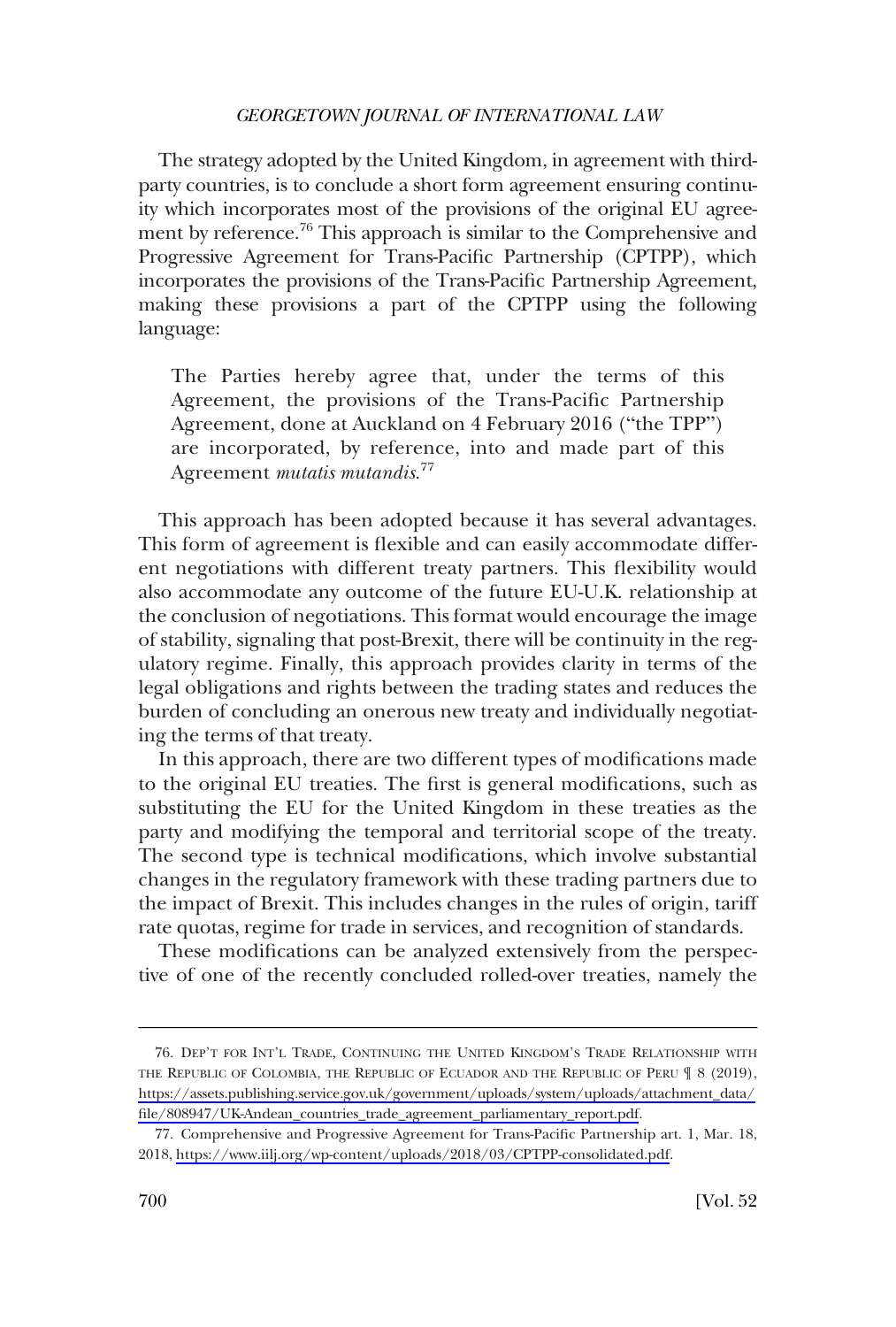The strategy adopted by the United Kingdom, in agreement with thirdparty countries, is to conclude a short form agreement ensuring continuity which incorporates most of the provisions of the original EU agreement by reference.<sup>76</sup> This approach is similar to the Comprehensive and Progressive Agreement for Trans-Pacific Partnership (CPTPP), which incorporates the provisions of the Trans-Pacific Partnership Agreement, making these provisions a part of the CPTPP using the following language:

The Parties hereby agree that, under the terms of this Agreement, the provisions of the Trans-Pacific Partnership Agreement, done at Auckland on 4 February 2016 ("the TPP") are incorporated, by reference, into and made part of this Agreement *mutatis mutandis*. 77

This approach has been adopted because it has several advantages. This form of agreement is flexible and can easily accommodate different negotiations with different treaty partners. This flexibility would also accommodate any outcome of the future EU-U.K. relationship at the conclusion of negotiations. This format would encourage the image of stability, signaling that post-Brexit, there will be continuity in the regulatory regime. Finally, this approach provides clarity in terms of the legal obligations and rights between the trading states and reduces the burden of concluding an onerous new treaty and individually negotiating the terms of that treaty.

In this approach, there are two different types of modifications made to the original EU treaties. The first is general modifications, such as substituting the EU for the United Kingdom in these treaties as the party and modifying the temporal and territorial scope of the treaty. The second type is technical modifications, which involve substantial changes in the regulatory framework with these trading partners due to the impact of Brexit. This includes changes in the rules of origin, tariff rate quotas, regime for trade in services, and recognition of standards.

These modifications can be analyzed extensively from the perspective of one of the recently concluded rolled-over treaties, namely the

<sup>76.</sup> DEP'T FOR INT'L TRADE, CONTINUING THE UNITED KINGDOM'S TRADE RELATIONSHIP WITH THE REPUBLIC OF COLOMBIA, THE REPUBLIC OF ECUADOR AND THE REPUBLIC OF PERU ¶ 8 (2019), [https://assets.publishing.service.gov.uk/government/uploads/system/uploads/attachment\\_data/](https://assets.publishing.service.gov.uk/government/uploads/system/uploads/attachment_data/file/808947/UK-Andean_countries_trade_agreement_parliamentary_report.pdf)  [file/808947/UK-Andean\\_countries\\_trade\\_agreement\\_parliamentary\\_report.pdf.](https://assets.publishing.service.gov.uk/government/uploads/system/uploads/attachment_data/file/808947/UK-Andean_countries_trade_agreement_parliamentary_report.pdf)

<sup>77.</sup> Comprehensive and Progressive Agreement for Trans-Pacific Partnership art. 1, Mar. 18, 2018,<https://www.iilj.org/wp-content/uploads/2018/03/CPTPP-consolidated.pdf>.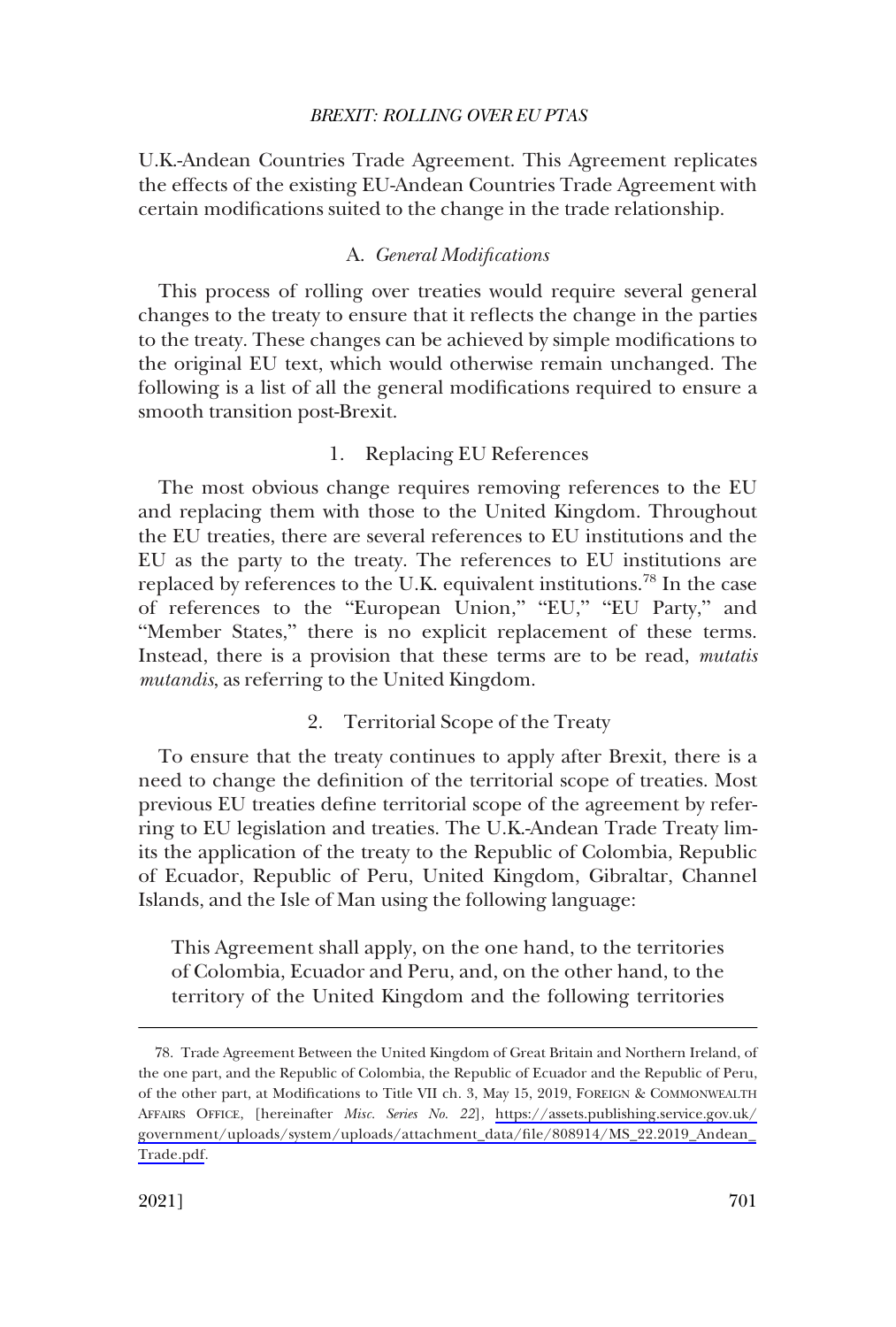<span id="page-22-0"></span>U.K.-Andean Countries Trade Agreement. This Agreement replicates the effects of the existing EU-Andean Countries Trade Agreement with certain modifications suited to the change in the trade relationship.

### A. *General Modifications*

This process of rolling over treaties would require several general changes to the treaty to ensure that it reflects the change in the parties to the treaty. These changes can be achieved by simple modifications to the original EU text, which would otherwise remain unchanged. The following is a list of all the general modifications required to ensure a smooth transition post-Brexit.

### 1. Replacing EU References

The most obvious change requires removing references to the EU and replacing them with those to the United Kingdom. Throughout the EU treaties, there are several references to EU institutions and the EU as the party to the treaty. The references to EU institutions are replaced by references to the U.K. equivalent institutions.<sup>78</sup> In the case of references to the "European Union," "EU," "EU Party," and "Member States," there is no explicit replacement of these terms. Instead, there is a provision that these terms are to be read, *mutatis mutandis*, as referring to the United Kingdom.

### 2. Territorial Scope of the Treaty

To ensure that the treaty continues to apply after Brexit, there is a need to change the definition of the territorial scope of treaties. Most previous EU treaties define territorial scope of the agreement by referring to EU legislation and treaties. The U.K.-Andean Trade Treaty limits the application of the treaty to the Republic of Colombia, Republic of Ecuador, Republic of Peru, United Kingdom, Gibraltar, Channel Islands, and the Isle of Man using the following language:

This Agreement shall apply, on the one hand, to the territories of Colombia, Ecuador and Peru, and, on the other hand, to the territory of the United Kingdom and the following territories

Trade Agreement Between the United Kingdom of Great Britain and Northern Ireland, of 78. the one part, and the Republic of Colombia, the Republic of Ecuador and the Republic of Peru, of the other part, at Modifications to Title VII ch. 3, May 15, 2019, FOREIGN & COMMONWEALTH AFFAIRS OFFICE, [hereinafter *Misc. Series No. 22*], [https://assets.publishing.service.gov.uk/](https://assets.publishing.service.gov.uk/government/uploads/system/uploads/attachment_data/file/808914/MS_22.2019_Andean_Trade.pdf) [government/uploads/system/uploads/attachment\\_data/file/808914/MS\\_22.2019\\_Andean\\_](https://assets.publishing.service.gov.uk/government/uploads/system/uploads/attachment_data/file/808914/MS_22.2019_Andean_Trade.pdf) [Trade.pdf](https://assets.publishing.service.gov.uk/government/uploads/system/uploads/attachment_data/file/808914/MS_22.2019_Andean_Trade.pdf).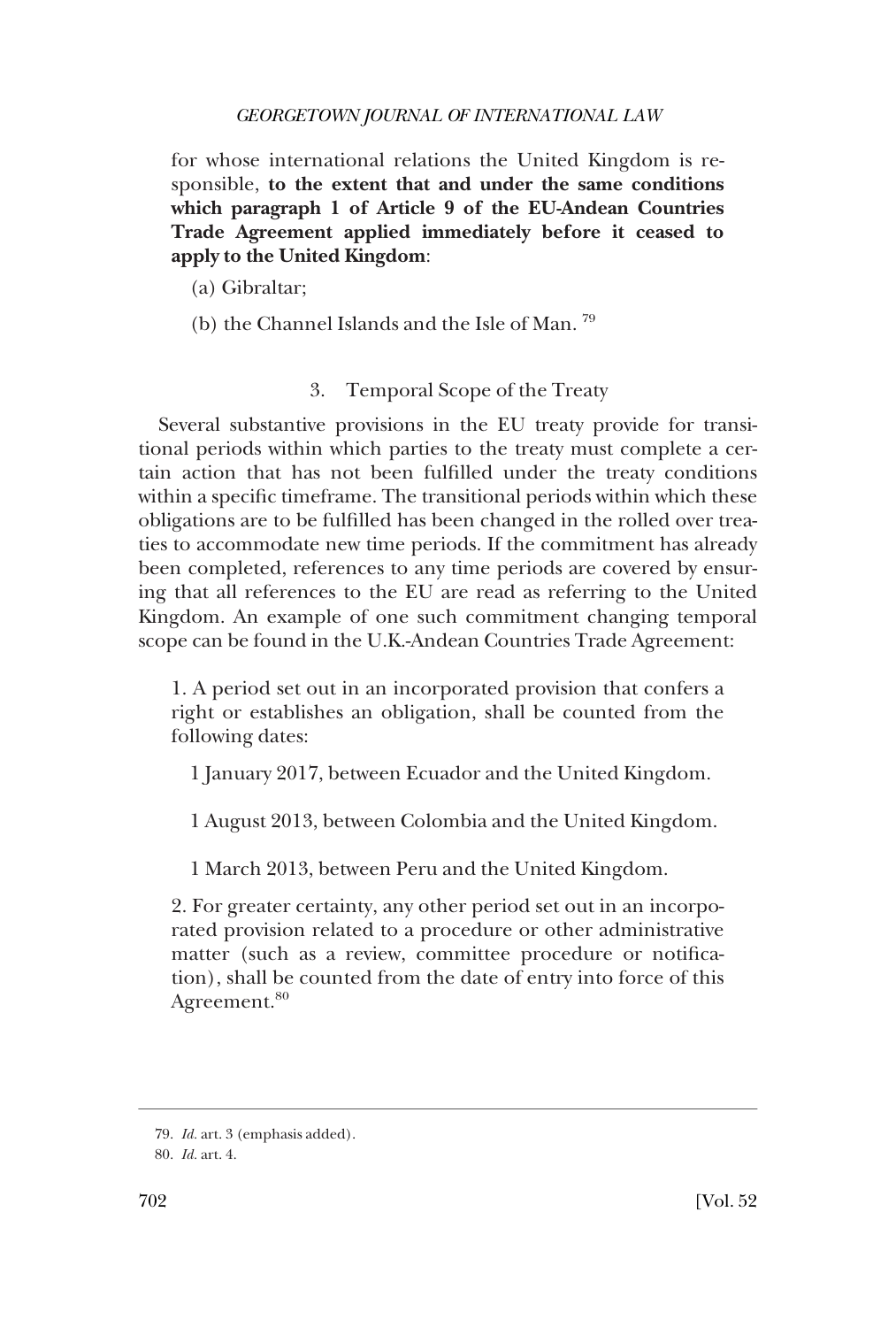<span id="page-23-0"></span>for whose international relations the United Kingdom is responsible, **to the extent that and under the same conditions which paragraph 1 of Article 9 of the EU-Andean Countries Trade Agreement applied immediately before it ceased to apply to the United Kingdom**:

- (a) Gibraltar;
- (b) the Channel Islands and the Isle of Man. 79

## 3. Temporal Scope of the Treaty

Several substantive provisions in the EU treaty provide for transitional periods within which parties to the treaty must complete a certain action that has not been fulfilled under the treaty conditions within a specific timeframe. The transitional periods within which these obligations are to be fulfilled has been changed in the rolled over treaties to accommodate new time periods. If the commitment has already been completed, references to any time periods are covered by ensuring that all references to the EU are read as referring to the United Kingdom. An example of one such commitment changing temporal scope can be found in the U.K.-Andean Countries Trade Agreement:

1. A period set out in an incorporated provision that confers a right or establishes an obligation, shall be counted from the following dates:

1 January 2017, between Ecuador and the United Kingdom.

1 August 2013, between Colombia and the United Kingdom.

1 March 2013, between Peru and the United Kingdom.

2. For greater certainty, any other period set out in an incorporated provision related to a procedure or other administrative matter (such as a review, committee procedure or notification), shall be counted from the date of entry into force of this Agreement.<sup>80</sup>

<sup>79.</sup> *Id.* art. 3 (emphasis added).

<sup>80.</sup> *Id.* art. 4.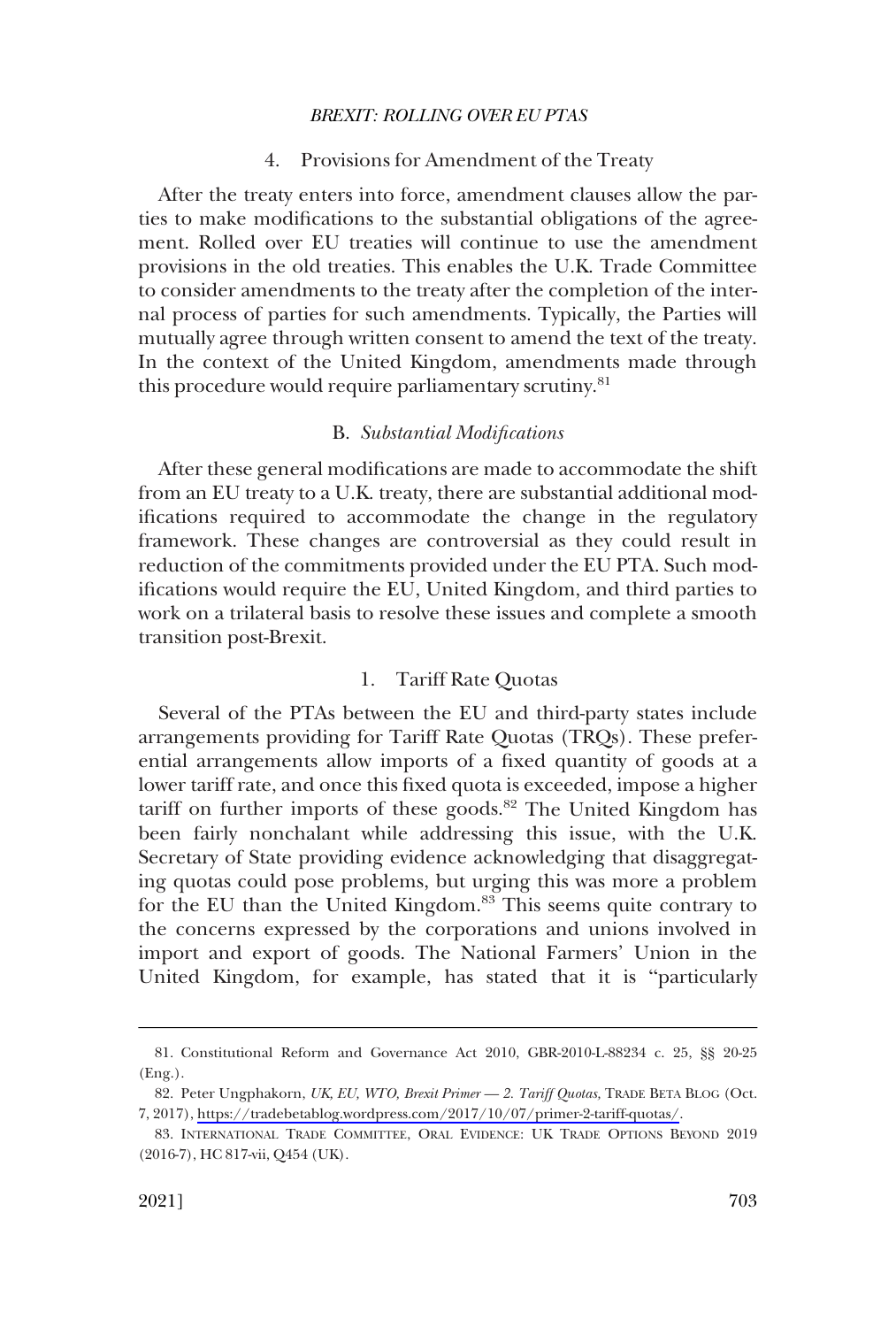### 4. Provisions for Amendment of the Treaty

<span id="page-24-0"></span>After the treaty enters into force, amendment clauses allow the parties to make modifications to the substantial obligations of the agreement. Rolled over EU treaties will continue to use the amendment provisions in the old treaties. This enables the U.K. Trade Committee to consider amendments to the treaty after the completion of the internal process of parties for such amendments. Typically, the Parties will mutually agree through written consent to amend the text of the treaty. In the context of the United Kingdom, amendments made through this procedure would require parliamentary scrutiny.<sup>81</sup>

#### B. *Substantial Modifications*

After these general modifications are made to accommodate the shift from an EU treaty to a U.K. treaty, there are substantial additional modifications required to accommodate the change in the regulatory framework. These changes are controversial as they could result in reduction of the commitments provided under the EU PTA. Such modifications would require the EU, United Kingdom, and third parties to work on a trilateral basis to resolve these issues and complete a smooth transition post-Brexit.

### 1. Tariff Rate Quotas

Several of the PTAs between the EU and third-party states include arrangements providing for Tariff Rate Quotas (TRQs). These preferential arrangements allow imports of a fixed quantity of goods at a lower tariff rate, and once this fixed quota is exceeded, impose a higher tariff on further imports of these goods.<sup>82</sup> The United Kingdom has been fairly nonchalant while addressing this issue, with the U.K. Secretary of State providing evidence acknowledging that disaggregating quotas could pose problems, but urging this was more a problem for the EU than the United Kingdom.<sup>83</sup> This seems quite contrary to the concerns expressed by the corporations and unions involved in import and export of goods. The National Farmers' Union in the United Kingdom, for example, has stated that it is "particularly

<sup>81.</sup> Constitutional Reform and Governance Act 2010, GBR-2010-L-88234 c. 25, §§ 20-25 (Eng.).

<sup>82.</sup> Peter Ungphakorn, UK, EU, WTO, Brexit Primer - 2. Tariff Quotas, TRADE BETA BLOG (Oct. 7, 2017), [https://tradebetablog.wordpress.com/2017/10/07/primer-2-tariff-quotas/.](https://tradebetablog.wordpress.com/2017/10/07/primer-2-tariff-quotas/)

<sup>83.</sup> INTERNATIONAL TRADE COMMITTEE, ORAL EVIDENCE: UK TRADE OPTIONS BEYOND 2019 (2016-7), HC 817-vii, Q454 (UK).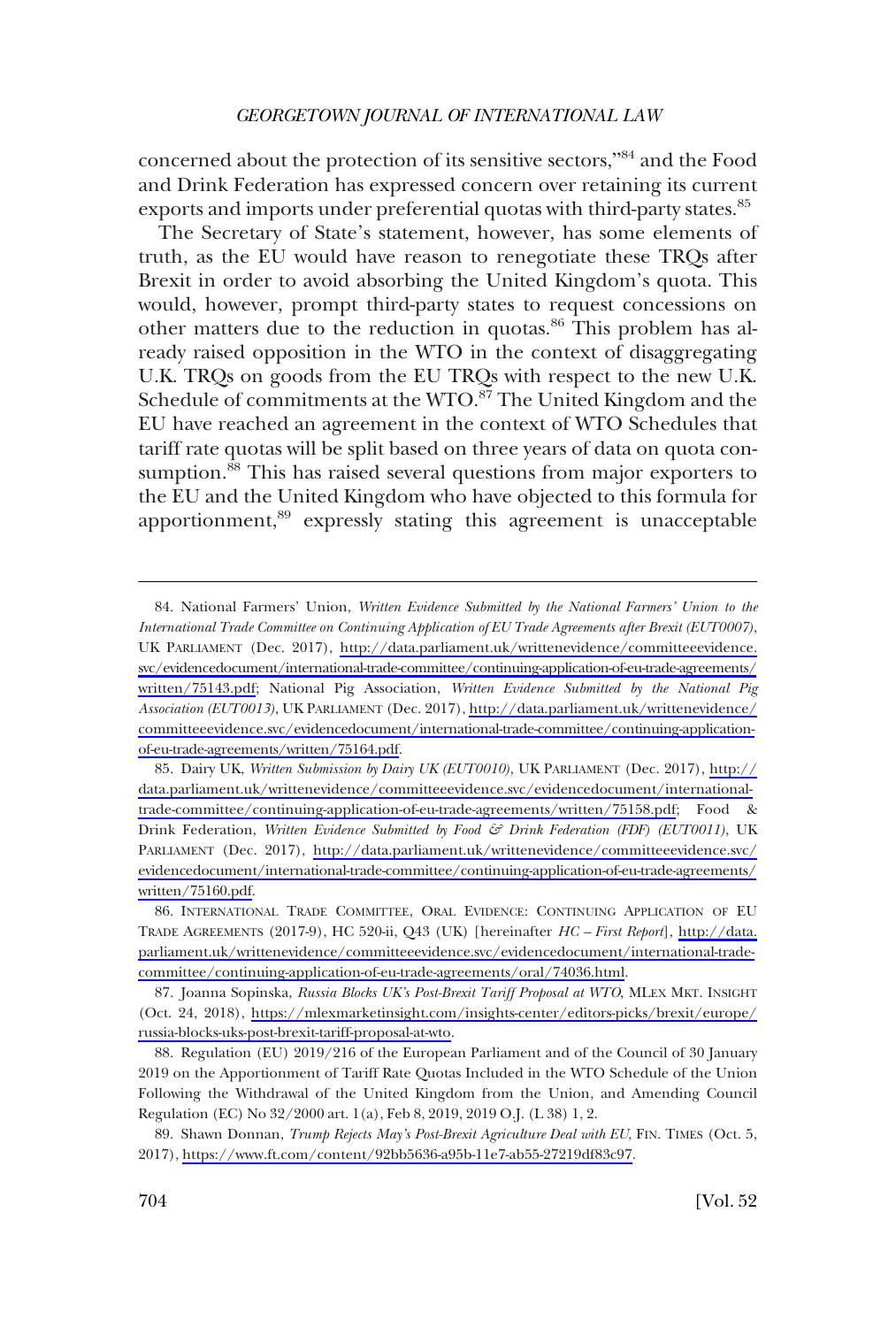concerned about the protection of its sensitive sectors,"<sup>84</sup> and the Food and Drink Federation has expressed concern over retaining its current exports and imports under preferential quotas with third-party states.<sup>85</sup>

The Secretary of State's statement, however, has some elements of truth, as the EU would have reason to renegotiate these TRQs after Brexit in order to avoid absorbing the United Kingdom's quota. This would, however, prompt third-party states to request concessions on other matters due to the reduction in quotas.<sup>86</sup> This problem has already raised opposition in the WTO in the context of disaggregating U.K. TRQs on goods from the EU TRQs with respect to the new U.K. Schedule of commitments at the WTO.<sup>87</sup> The United Kingdom and the EU have reached an agreement in the context of WTO Schedules that tariff rate quotas will be split based on three years of data on quota consumption.<sup>88</sup> This has raised several questions from major exporters to the EU and the United Kingdom who have objected to this formula for apportionment,<sup>89</sup> expressly stating this agreement is unacceptable

85. Dairy UK, Written Submission by Dairy UK (EUT0010), UK PARLIAMENT (Dec. 2017), [http://](http://data.parliament.uk/writtenevidence/committeeevidence.svc/evidencedocument/international-trade-committee/continuing-application-of-eu-trade-agreements/written/75158.pdf) [data.parliament.uk/writtenevidence/committeeevidence.svc/evidencedocument/international](http://data.parliament.uk/writtenevidence/committeeevidence.svc/evidencedocument/international-trade-committee/continuing-application-of-eu-trade-agreements/written/75158.pdf)[trade-committee/continuing-application-of-eu-trade-agreements/written/75158.pdf;](http://data.parliament.uk/writtenevidence/committeeevidence.svc/evidencedocument/international-trade-committee/continuing-application-of-eu-trade-agreements/written/75158.pdf) Food & Drink Federation, *Written Evidence Submitted by Food & Drink Federation (FDF) (EUT0011)*, UK PARLIAMENT (Dec. 2017), [http://data.parliament.uk/writtenevidence/committeeevidence.svc/](http://data.parliament.uk/writtenevidence/committeeevidence.svc/evidencedocument/international-trade-committee/continuing-application-of-eu-trade-agreements/written/75160.pdf) [evidencedocument/international-trade-committee/continuing-application-of-eu-trade-agreements/](http://data.parliament.uk/writtenevidence/committeeevidence.svc/evidencedocument/international-trade-committee/continuing-application-of-eu-trade-agreements/written/75160.pdf)  [written/75160.pdf.](http://data.parliament.uk/writtenevidence/committeeevidence.svc/evidencedocument/international-trade-committee/continuing-application-of-eu-trade-agreements/written/75160.pdf)

86. INTERNATIONAL TRADE COMMITTEE, ORAL EVIDENCE: CONTINUING APPLICATION OF EU TRADE AGREEMENTS (2017-9), HC 520-ii, Q43 (UK) [hereinafter *HC – First Report*], [http://data.](http://data.parliament.uk/writtenevidence/committeeevidence.svc/evidencedocument/international-trade-committee/continuing-application-of-eu-trade-agreements/oral/74036.html)  [parliament.uk/writtenevidence/committeeevidence.svc/evidencedocument/international-trade](http://data.parliament.uk/writtenevidence/committeeevidence.svc/evidencedocument/international-trade-committee/continuing-application-of-eu-trade-agreements/oral/74036.html)[committee/continuing-application-of-eu-trade-agreements/oral/74036.html](http://data.parliament.uk/writtenevidence/committeeevidence.svc/evidencedocument/international-trade-committee/continuing-application-of-eu-trade-agreements/oral/74036.html).

87. Joanna Sopinska, *Russia Blocks UK's Post-Brexit Tariff Proposal at WTO*, MLEX MKT. INSIGHT (Oct. 24, 2018), [https://mlexmarketinsight.com/insights-center/editors-picks/brexit/europe/](https://mlexmarketinsight.com/insights-center/editors-picks/brexit/europe/russia-blocks-uks-post-brexit-tariff-proposal-at-wto)  [russia-blocks-uks-post-brexit-tariff-proposal-at-wto.](https://mlexmarketinsight.com/insights-center/editors-picks/brexit/europe/russia-blocks-uks-post-brexit-tariff-proposal-at-wto)

88. Regulation (EU) 2019/216 of the European Parliament and of the Council of 30 January 2019 on the Apportionment of Tariff Rate Quotas Included in the WTO Schedule of the Union Following the Withdrawal of the United Kingdom from the Union, and Amending Council Regulation (EC) No 32/2000 art. 1(a), Feb 8, 2019, 2019 O.J. (L 38) 1, 2.

89. Shawn Donnan, *Trump Rejects May's Post-Brexit Agriculture Deal with EU*, FIN. TIMES (Oct. 5, 2017),<https://www.ft.com/content/92bb5636-a95b-11e7-ab55-27219df83c97>.

<sup>84.</sup> National Farmers' Union, *Written Evidence Submitted by the National Farmers' Union to the International Trade Committee on Continuing Application of EU Trade Agreements after Brexit (EUT0007)*, UK PARLIAMENT (Dec. 2017), [http://data.parliament.uk/writtenevidence/committeeevidence.](http://data.parliament.uk/writtenevidence/committeeevidence.svc/evidencedocument/international-trade-committee/continuing-application-of-eu-trade-agreements/written/75143.pdf) [svc/evidencedocument/international-trade-committee/continuing-application-of-eu-trade-agreements/](http://data.parliament.uk/writtenevidence/committeeevidence.svc/evidencedocument/international-trade-committee/continuing-application-of-eu-trade-agreements/written/75143.pdf)  [written/75143.pdf;](http://data.parliament.uk/writtenevidence/committeeevidence.svc/evidencedocument/international-trade-committee/continuing-application-of-eu-trade-agreements/written/75143.pdf) National Pig Association, *Written Evidence Submitted by the National Pig Association (EUT0013)*, UK PARLIAMENT (Dec. 2017), [http://data.parliament.uk/writtenevidence/](http://data.parliament.uk/writtenevidence/committeeevidence.svc/evidencedocument/international-trade-committee/continuing-application-of-eu-trade-agreements/written/75164.pdf) [committeeevidence.svc/evidencedocument/international-trade-committee/continuing-application](http://data.parliament.uk/writtenevidence/committeeevidence.svc/evidencedocument/international-trade-committee/continuing-application-of-eu-trade-agreements/written/75164.pdf)[of-eu-trade-agreements/written/75164.pdf](http://data.parliament.uk/writtenevidence/committeeevidence.svc/evidencedocument/international-trade-committee/continuing-application-of-eu-trade-agreements/written/75164.pdf).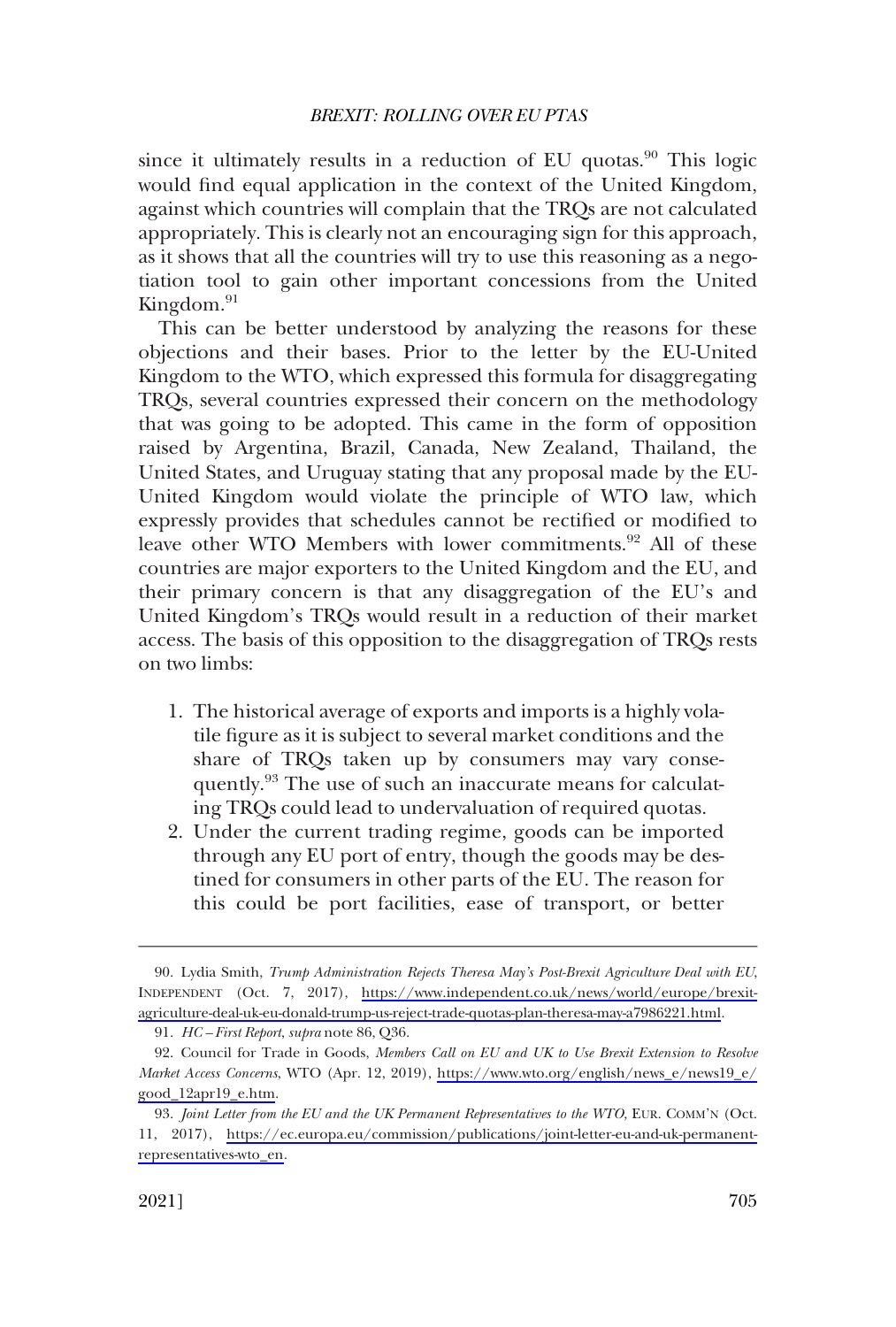since it ultimately results in a reduction of EU quotas. $90$  This logic would find equal application in the context of the United Kingdom, against which countries will complain that the TRQs are not calculated appropriately. This is clearly not an encouraging sign for this approach, as it shows that all the countries will try to use this reasoning as a negotiation tool to gain other important concessions from the United Kingdom. $91$ 

This can be better understood by analyzing the reasons for these objections and their bases. Prior to the letter by the EU-United Kingdom to the WTO, which expressed this formula for disaggregating TRQs, several countries expressed their concern on the methodology that was going to be adopted. This came in the form of opposition raised by Argentina, Brazil, Canada, New Zealand, Thailand, the United States, and Uruguay stating that any proposal made by the EU-United Kingdom would violate the principle of WTO law, which expressly provides that schedules cannot be rectified or modified to leave other WTO Members with lower commitments.<sup>92</sup> All of these countries are major exporters to the United Kingdom and the EU, and their primary concern is that any disaggregation of the EU's and United Kingdom's TRQs would result in a reduction of their market access. The basis of this opposition to the disaggregation of TRQs rests on two limbs:

- 1. The historical average of exports and imports is a highly volatile figure as it is subject to several market conditions and the share of TRQs taken up by consumers may vary consequently.<sup>93</sup> The use of such an inaccurate means for calculating TRQs could lead to undervaluation of required quotas.
- 2. Under the current trading regime, goods can be imported through any EU port of entry, though the goods may be destined for consumers in other parts of the EU. The reason for this could be port facilities, ease of transport, or better

Lydia Smith, *Trump Administration Rejects Theresa May's Post-Brexit Agriculture Deal with EU*, 90. INDEPENDENT (Oct. 7, 2017), [https://www.independent.co.uk/news/world/europe/brexit](https://www.independent.co.uk/news/world/europe/brexit-agriculture-deal-uk-eu-donald-trump-us-reject-trade-quotas-plan-theresa-may-a7986221.html)[agriculture-deal-uk-eu-donald-trump-us-reject-trade-quotas-plan-theresa-may-a7986221.html](https://www.independent.co.uk/news/world/europe/brexit-agriculture-deal-uk-eu-donald-trump-us-reject-trade-quotas-plan-theresa-may-a7986221.html).

<sup>91.</sup> *HC – First Report*, *supra* note 86, Q36.

<sup>92.</sup> Council for Trade in Goods, Members Call on EU and UK to Use Brexit Extension to Resolve *Market Access Concerns*, WTO (Apr. 12, 2019), [https://www.wto.org/english/news\\_e/news19\\_e/](https://www.wto.org/english/news_e/news19_e/good_12apr19_e.htm) [good\\_12apr19\\_e.htm](https://www.wto.org/english/news_e/news19_e/good_12apr19_e.htm).

*Joint Letter from the EU and the UK Permanent Representatives to the WTO*, EUR. COMM'N (Oct. 93. 11, 2017), [https://ec.europa.eu/commission/publications/joint-letter-eu-and-uk-permanent](https://ec.europa.eu/commission/publications/joint-letter-eu-and-uk-permanent-representatives-wto_en)[representatives-wto\\_en.](https://ec.europa.eu/commission/publications/joint-letter-eu-and-uk-permanent-representatives-wto_en)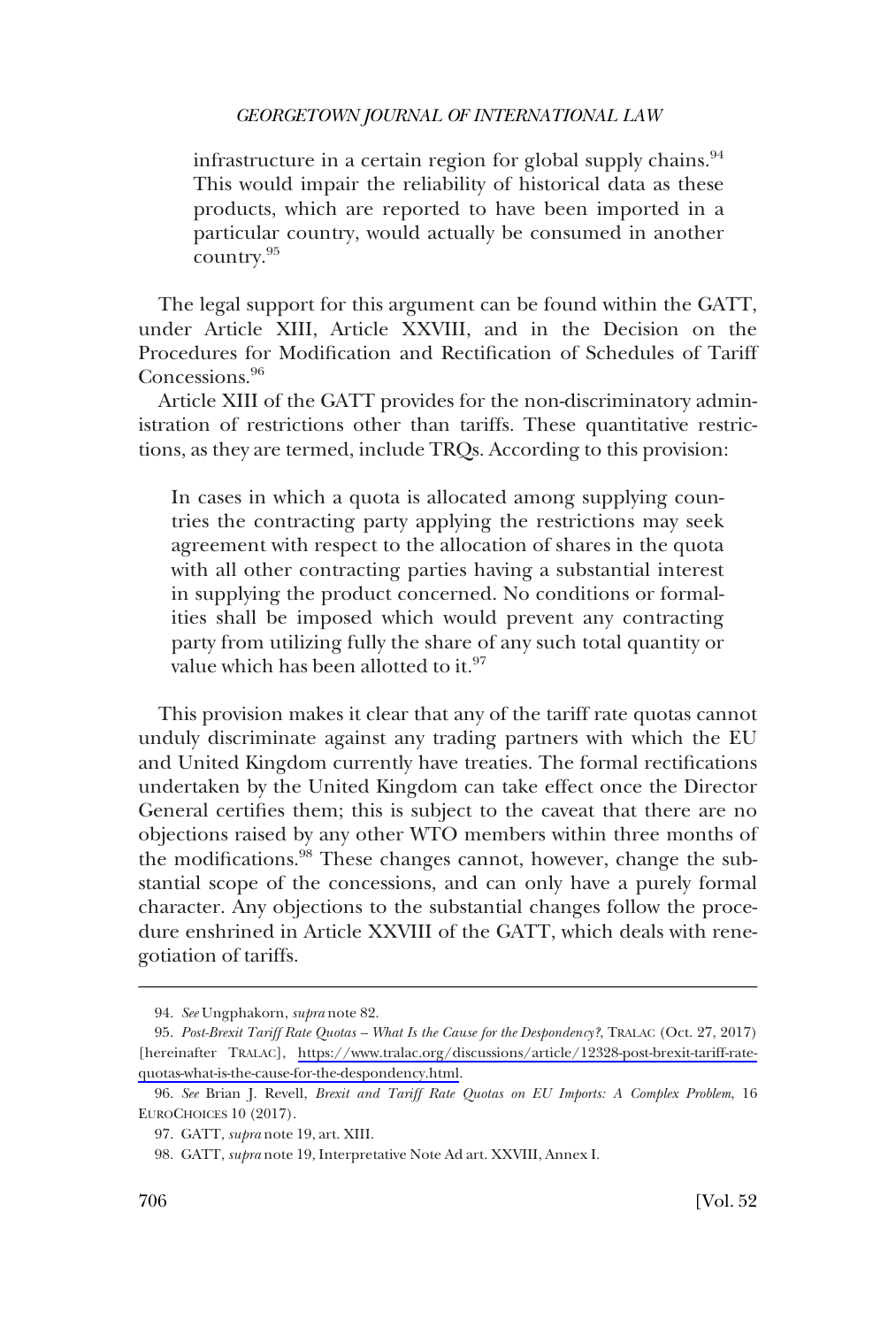infrastructure in a certain region for global supply chains. $94$ This would impair the reliability of historical data as these products, which are reported to have been imported in a particular country, would actually be consumed in another country.<sup>95</sup>

The legal support for this argument can be found within the GATT, under Article XIII, Article XXVIII, and in the Decision on the Procedures for Modification and Rectification of Schedules of Tariff Concessions.<sup>96</sup>

Article XIII of the GATT provides for the non-discriminatory administration of restrictions other than tariffs. These quantitative restrictions, as they are termed, include TRQs. According to this provision:

In cases in which a quota is allocated among supplying countries the contracting party applying the restrictions may seek agreement with respect to the allocation of shares in the quota with all other contracting parties having a substantial interest in supplying the product concerned. No conditions or formalities shall be imposed which would prevent any contracting party from utilizing fully the share of any such total quantity or value which has been allotted to it.<sup>97</sup>

This provision makes it clear that any of the tariff rate quotas cannot unduly discriminate against any trading partners with which the EU and United Kingdom currently have treaties. The formal rectifications undertaken by the United Kingdom can take effect once the Director General certifies them; this is subject to the caveat that there are no objections raised by any other WTO members within three months of the modifications.<sup>98</sup> These changes cannot, however, change the substantial scope of the concessions, and can only have a purely formal character. Any objections to the substantial changes follow the procedure enshrined in Article XXVIII of the GATT, which deals with renegotiation of tariffs.

<sup>94.</sup> *See* Ungphakorn, *supra* note 82.

*Post-Brexit Tariff Rate Quotas – What Is the Cause for the Despondency?*, TRALAC (Oct. 27, 2017) 95. [hereinafter TRALAC], [https://www.tralac.org/discussions/article/12328-post-brexit-tariff-rate](https://www.tralac.org/discussions/article/12328-post-brexit-tariff-rate-quotas-what-is-the-cause-for-the-despondency.html)[quotas-what-is-the-cause-for-the-despondency.html](https://www.tralac.org/discussions/article/12328-post-brexit-tariff-rate-quotas-what-is-the-cause-for-the-despondency.html).

<sup>96.</sup> *See* Brian J. Revell, *Brexit and Tariff Rate Quotas on EU Imports: A Complex Problem*, 16 EUROCHOICES 10 (2017).

<sup>97.</sup> GATT, *supra* note 19, art. XIII.

<sup>98.</sup> GATT, *supra* note 19, Interpretative Note Ad art. XXVIII, Annex I.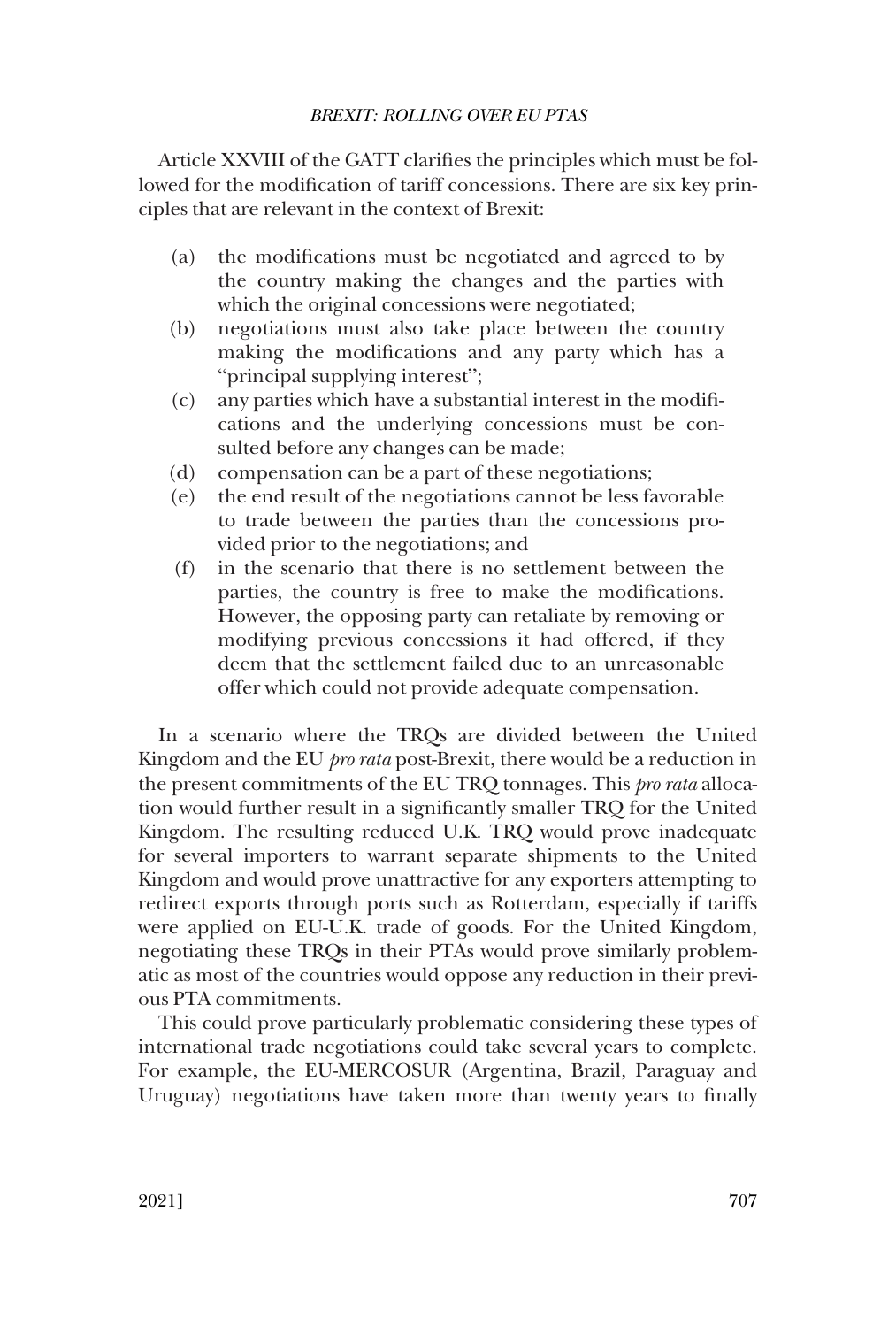Article XXVIII of the GATT clarifies the principles which must be followed for the modification of tariff concessions. There are six key principles that are relevant in the context of Brexit:

- (a) the modifications must be negotiated and agreed to by the country making the changes and the parties with which the original concessions were negotiated;
- (b) negotiations must also take place between the country making the modifications and any party which has a "principal supplying interest";
- (c) any parties which have a substantial interest in the modifications and the underlying concessions must be consulted before any changes can be made;
- (d) compensation can be a part of these negotiations;
- (e) the end result of the negotiations cannot be less favorable to trade between the parties than the concessions provided prior to the negotiations; and
- (f) in the scenario that there is no settlement between the parties, the country is free to make the modifications. However, the opposing party can retaliate by removing or modifying previous concessions it had offered, if they deem that the settlement failed due to an unreasonable offer which could not provide adequate compensation.

In a scenario where the TRQs are divided between the United Kingdom and the EU *pro rata* post-Brexit, there would be a reduction in the present commitments of the EU TRQ tonnages. This *pro rata* allocation would further result in a significantly smaller TRQ for the United Kingdom. The resulting reduced U.K. TRQ would prove inadequate for several importers to warrant separate shipments to the United Kingdom and would prove unattractive for any exporters attempting to redirect exports through ports such as Rotterdam, especially if tariffs were applied on EU-U.K. trade of goods. For the United Kingdom, negotiating these TRQs in their PTAs would prove similarly problematic as most of the countries would oppose any reduction in their previous PTA commitments.

This could prove particularly problematic considering these types of international trade negotiations could take several years to complete. For example, the EU-MERCOSUR (Argentina, Brazil, Paraguay and Uruguay) negotiations have taken more than twenty years to finally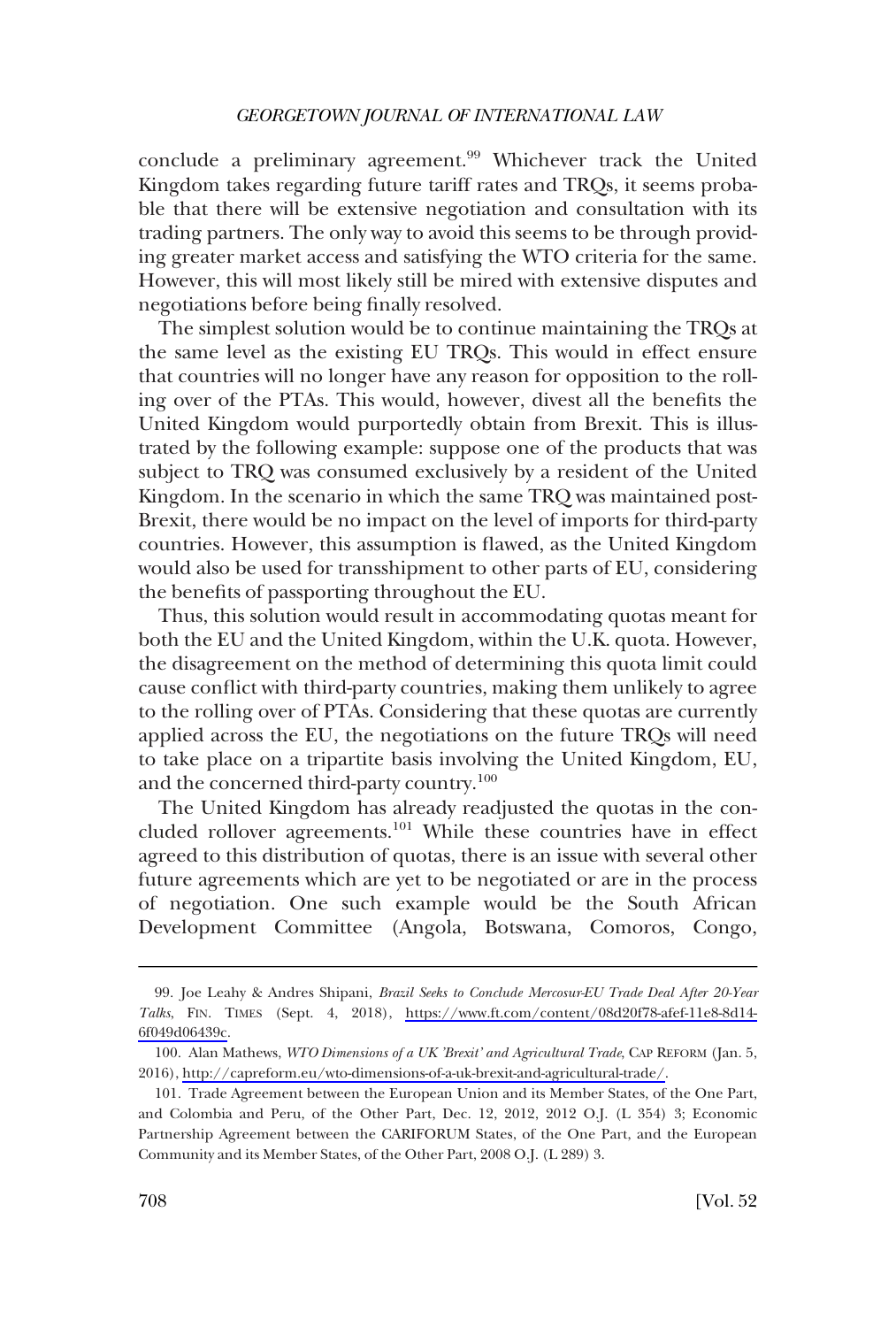conclude a preliminary agreement.<sup>99</sup> Whichever track the United Kingdom takes regarding future tariff rates and TRQs, it seems probable that there will be extensive negotiation and consultation with its trading partners. The only way to avoid this seems to be through providing greater market access and satisfying the WTO criteria for the same. However, this will most likely still be mired with extensive disputes and negotiations before being finally resolved.

The simplest solution would be to continue maintaining the TRQs at the same level as the existing EU TRQs. This would in effect ensure that countries will no longer have any reason for opposition to the rolling over of the PTAs. This would, however, divest all the benefits the United Kingdom would purportedly obtain from Brexit. This is illustrated by the following example: suppose one of the products that was subject to TRQ was consumed exclusively by a resident of the United Kingdom. In the scenario in which the same TRQ was maintained post-Brexit, there would be no impact on the level of imports for third-party countries. However, this assumption is flawed, as the United Kingdom would also be used for transshipment to other parts of EU, considering the benefits of passporting throughout the EU.

Thus, this solution would result in accommodating quotas meant for both the EU and the United Kingdom, within the U.K. quota. However, the disagreement on the method of determining this quota limit could cause conflict with third-party countries, making them unlikely to agree to the rolling over of PTAs. Considering that these quotas are currently applied across the EU, the negotiations on the future TRQs will need to take place on a tripartite basis involving the United Kingdom, EU, and the concerned third-party country.100

The United Kingdom has already readjusted the quotas in the concluded rollover agreements.<sup>101</sup> While these countries have in effect agreed to this distribution of quotas, there is an issue with several other future agreements which are yet to be negotiated or are in the process of negotiation. One such example would be the South African Development Committee (Angola, Botswana, Comoros, Congo,

Joe Leahy & Andres Shipani, *Brazil Seeks to Conclude Mercosur-EU Trade Deal After 20-Year*  99. *Talks*, FIN. TIMES (Sept. 4, 2018), [https://www.ft.com/content/08d20f78-afef-11e8-8d14-](https://www.ft.com/content/08d20f78-afef-11e8-8d14-6f049d06439c)  [6f049d06439c](https://www.ft.com/content/08d20f78-afef-11e8-8d14-6f049d06439c).

Alan Mathews, *WTO Dimensions of a UK 'Brexit' and Agricultural Trade*, CAP REFORM (Jan. 5, 100. 2016), [http://capreform.eu/wto-dimensions-of-a-uk-brexit-and-agricultural-trade/.](http://capreform.eu/wto-dimensions-of-a-uk-brexit-and-agricultural-trade/)

<sup>101.</sup> Trade Agreement between the European Union and its Member States, of the One Part, and Colombia and Peru, of the Other Part, Dec. 12, 2012, 2012 O.J. (L 354) 3; Economic Partnership Agreement between the CARIFORUM States, of the One Part, and the European Community and its Member States, of the Other Part, 2008 O.J. (L 289) 3.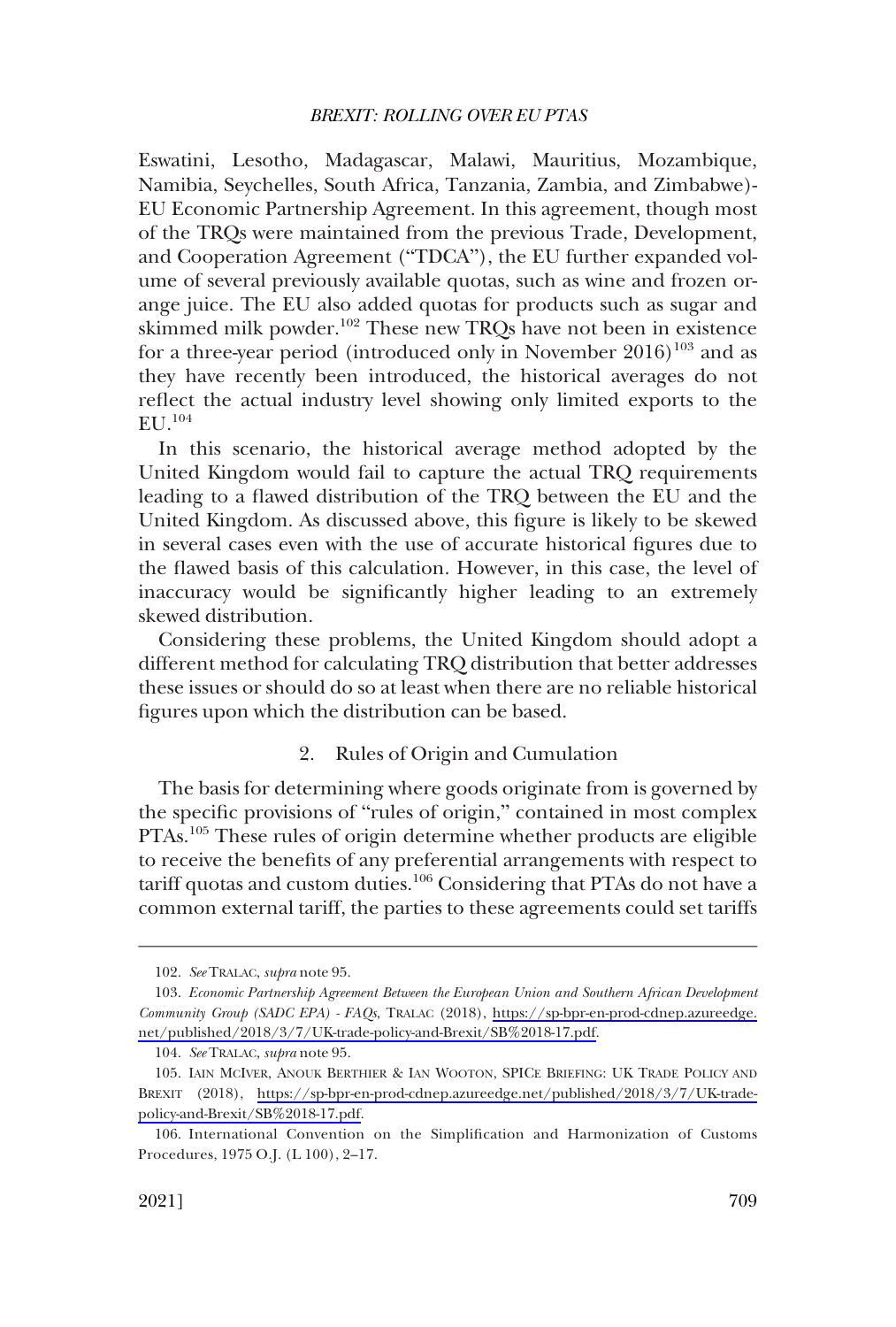<span id="page-30-0"></span>Eswatini, Lesotho, Madagascar, Malawi, Mauritius, Mozambique, Namibia, Seychelles, South Africa, Tanzania, Zambia, and Zimbabwe)- EU Economic Partnership Agreement. In this agreement, though most of the TRQs were maintained from the previous Trade, Development, and Cooperation Agreement ("TDCA"), the EU further expanded volume of several previously available quotas, such as wine and frozen orange juice. The EU also added quotas for products such as sugar and skimmed milk powder.<sup>102</sup> These new TRQs have not been in existence for a three-year period (introduced only in November  $2016)^{103}$  and as they have recently been introduced, the historical averages do not reflect the actual industry level showing only limited exports to the  $EU.$ <sup>104</sup>

In this scenario, the historical average method adopted by the United Kingdom would fail to capture the actual TRQ requirements leading to a flawed distribution of the TRQ between the EU and the United Kingdom. As discussed above, this figure is likely to be skewed in several cases even with the use of accurate historical figures due to the flawed basis of this calculation. However, in this case, the level of inaccuracy would be significantly higher leading to an extremely skewed distribution.

Considering these problems, the United Kingdom should adopt a different method for calculating TRQ distribution that better addresses these issues or should do so at least when there are no reliable historical figures upon which the distribution can be based.

#### 2. Rules of Origin and Cumulation

The basis for determining where goods originate from is governed by the specific provisions of "rules of origin," contained in most complex PTAs.<sup>105</sup> These rules of origin determine whether products are eligible to receive the benefits of any preferential arrangements with respect to tariff quotas and custom duties.<sup>106</sup> Considering that PTAs do not have a common external tariff, the parties to these agreements could set tariffs

<sup>102.</sup> *See* TRALAC, *supra* note 95.

<sup>103.</sup> Economic Partnership Agreement Between the European Union and Southern African Development *Community Group (SADC EPA) - FAQs*, TRALAC (2018), [https://sp-bpr-en-prod-cdnep.azureedge.](https://sp-bpr-en-prod-cdnep.azureedge.net/published/2018/3/7/UK-trade-policy-and-Brexit/SB%2018-17.pdf) [net/published/2018/3/7/UK-trade-policy-and-Brexit/SB%2018-17.pdf](https://sp-bpr-en-prod-cdnep.azureedge.net/published/2018/3/7/UK-trade-policy-and-Brexit/SB%2018-17.pdf).

<sup>104.</sup> *See* TRALAC, *supra* note 95.

<sup>105.</sup> IAIN MCIVER, ANOUK BERTHIER & IAN WOOTON, SPICE BRIEFING: UK TRADE POLICY AND BREXIT (2018), [https://sp-bpr-en-prod-cdnep.azureedge.net/published/2018/3/7/UK-trade](https://sp-bpr-en-prod-cdnep.azureedge.net/published/2018/3/7/UK-trade-policy-and-Brexit/SB%2018-17.pdf)[policy-and-Brexit/SB%2018-17.pdf.](https://sp-bpr-en-prod-cdnep.azureedge.net/published/2018/3/7/UK-trade-policy-and-Brexit/SB%2018-17.pdf)

<sup>106.</sup> International Convention on the Simplification and Harmonization of Customs Procedures, 1975 O.J. (L 100), 2–17.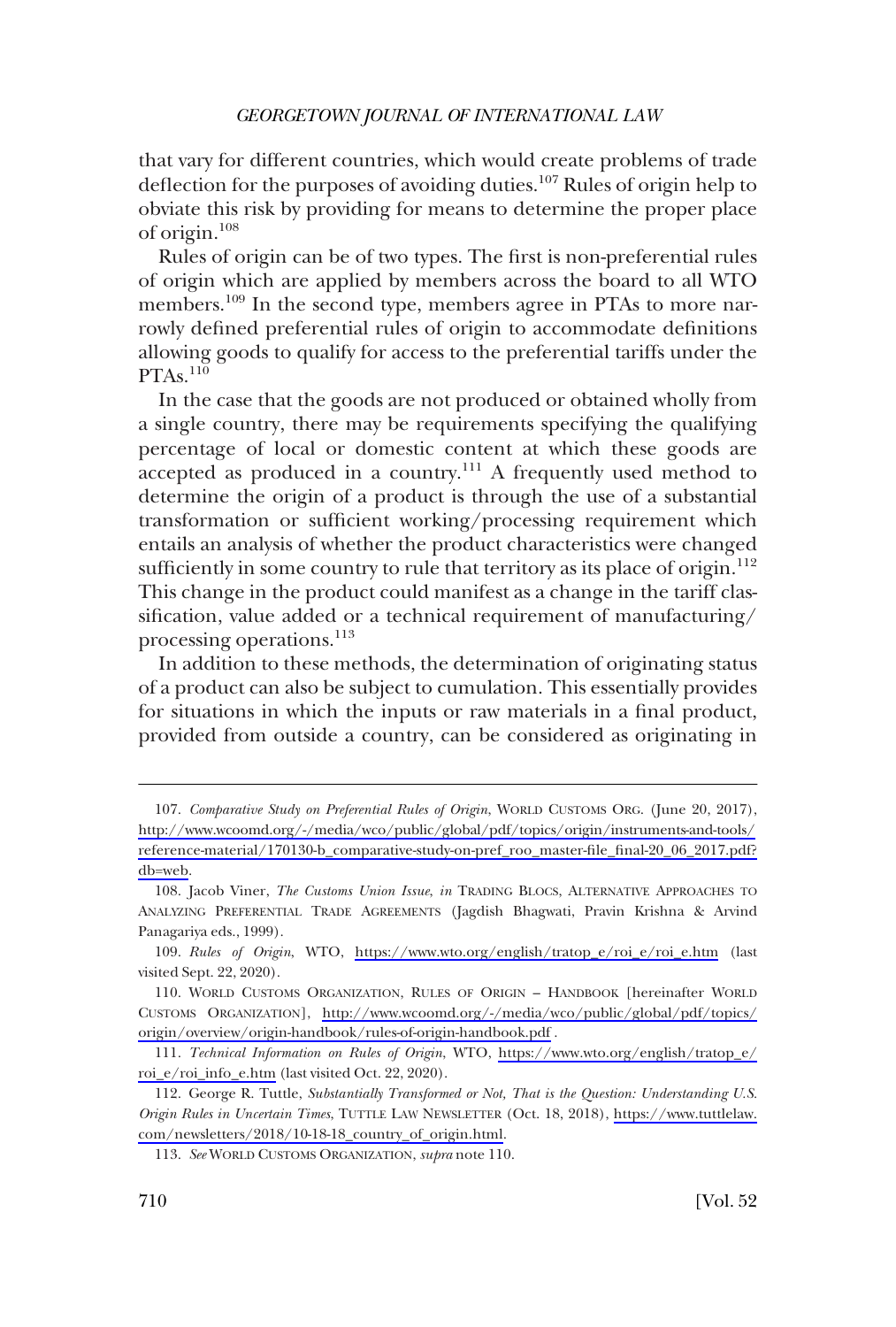that vary for different countries, which would create problems of trade deflection for the purposes of avoiding duties.<sup>107</sup> Rules of origin help to obviate this risk by providing for means to determine the proper place of origin.108

Rules of origin can be of two types. The first is non-preferential rules of origin which are applied by members across the board to all WTO members.<sup>109</sup> In the second type, members agree in PTAs to more narrowly defined preferential rules of origin to accommodate definitions allowing goods to qualify for access to the preferential tariffs under the  $PTAs.<sup>110</sup>$ 

In the case that the goods are not produced or obtained wholly from a single country, there may be requirements specifying the qualifying percentage of local or domestic content at which these goods are  $\alpha$  accepted as produced in a country.<sup>111</sup> A frequently used method to determine the origin of a product is through the use of a substantial transformation or sufficient working/processing requirement which entails an analysis of whether the product characteristics were changed sufficiently in some country to rule that territory as its place of origin.<sup>112</sup> This change in the product could manifest as a change in the tariff classification, value added or a technical requirement of manufacturing/ processing operations.113

In addition to these methods, the determination of originating status of a product can also be subject to cumulation. This essentially provides for situations in which the inputs or raw materials in a final product, provided from outside a country, can be considered as originating in

<sup>107.</sup> Comparative Study on Preferential Rules of Origin, WORLD CUSTOMS ORG. (June 20, 2017), [http://www.wcoomd.org/-/media/wco/public/global/pdf/topics/origin/instruments-and-tools/](http://www.wcoomd.org/-/media/wco/public/global/pdf/topics/origin/instruments-and-tools/reference-material/170130-b_comparative-study-on-pref_roo_master-file_final-20_06_2017.pdf?db=web)  [reference-material/170130-b\\_comparative-study-on-pref\\_roo\\_master-file\\_final-20\\_06\\_2017.pdf?](http://www.wcoomd.org/-/media/wco/public/global/pdf/topics/origin/instruments-and-tools/reference-material/170130-b_comparative-study-on-pref_roo_master-file_final-20_06_2017.pdf?db=web) [db=web](http://www.wcoomd.org/-/media/wco/public/global/pdf/topics/origin/instruments-and-tools/reference-material/170130-b_comparative-study-on-pref_roo_master-file_final-20_06_2017.pdf?db=web).

<sup>108.</sup> Jacob Viner, *The Customs Union Issue*, *in* TRADING BLOCS, ALTERNATIVE APPROACHES TO ANALYZING PREFERENTIAL TRADE AGREEMENTS (Jagdish Bhagwati, Pravin Krishna & Arvind Panagariya eds., 1999).

<sup>109.</sup> Rules of Origin, WTO, [https://www.wto.org/english/tratop\\_e/roi\\_e/roi\\_e.htm](https://www.wto.org/english/tratop_e/roi_e/roi_e.htm) (last visited Sept. 22, 2020).

<sup>110.</sup> WORLD CUSTOMS ORGANIZATION, RULES OF ORIGIN - HANDBOOK [hereinafter WORLD CUSTOMS ORGANIZATION], [http://www.wcoomd.org/-/media/wco/public/global/pdf/topics/](http://www.wcoomd.org/-/media/wco/public/global/pdf/topics/origin/overview/origin-handbook/rules-of-origin-handbook.pdf) [origin/overview/origin-handbook/rules-of-origin-handbook.pdf](http://www.wcoomd.org/-/media/wco/public/global/pdf/topics/origin/overview/origin-handbook/rules-of-origin-handbook.pdf) .

*Technical Information on Rules of Origin*, WTO, [https://www.wto.org/english/tratop\\_e/](https://www.wto.org/english/tratop_e/roi_e/roi_info_e.htm) 111. roi e/roi info e.htm (last visited Oct. 22, 2020).

<sup>112.</sup> George R. Tuttle, *Substantially Transformed or Not, That is the Question: Understanding U.S. Origin Rules in Uncertain Times*, TUTTLE LAW NEWSLETTER (Oct. 18, 2018), [https://www.tuttlelaw.](https://www.tuttlelaw.com/newsletters/2018/10-18-18_country_of_origin.html) [com/newsletters/2018/10-18-18\\_country\\_of\\_origin.html](https://www.tuttlelaw.com/newsletters/2018/10-18-18_country_of_origin.html).

<sup>113.</sup> *See* WORLD CUSTOMS ORGANIZATION, *supra* note 110.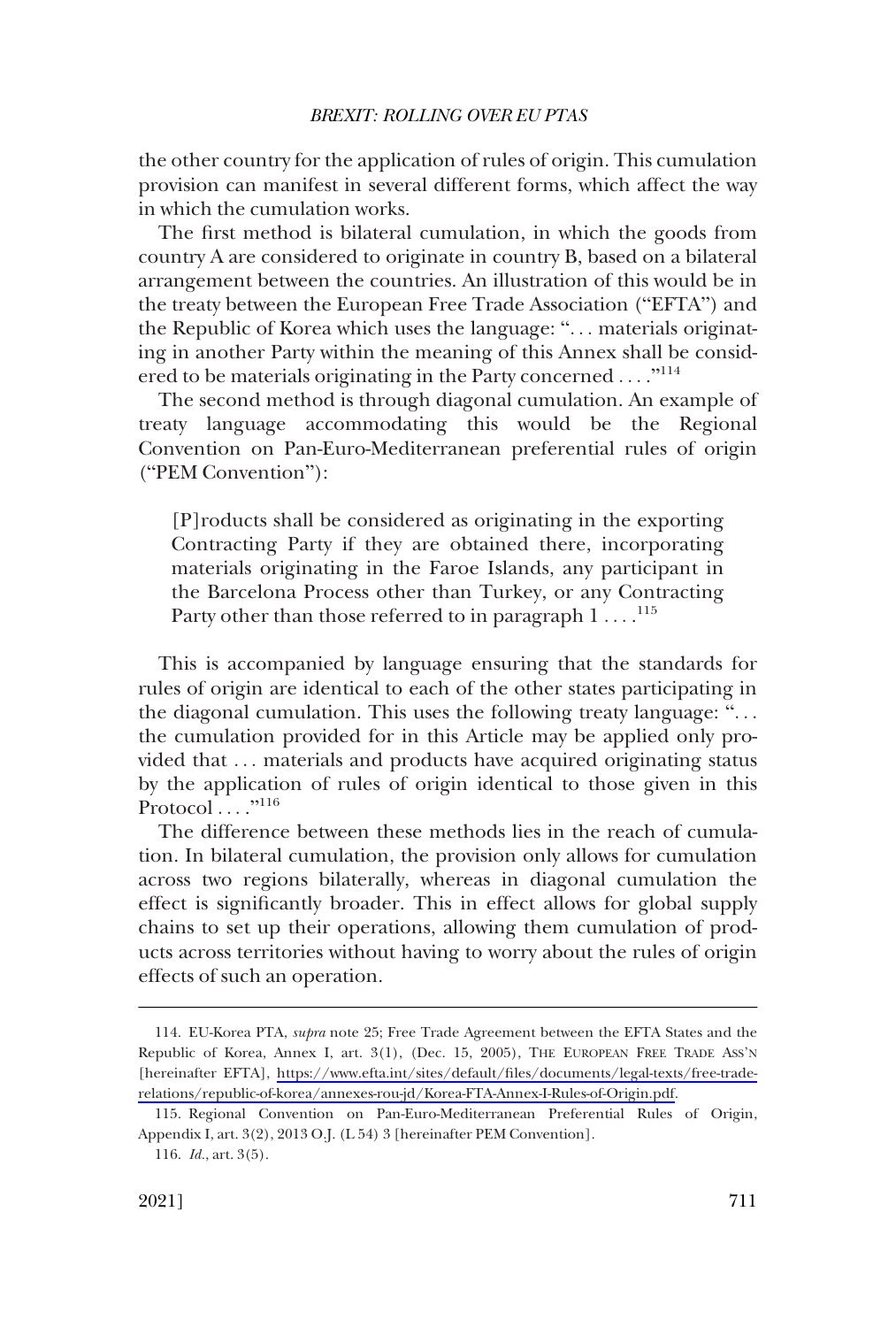the other country for the application of rules of origin. This cumulation provision can manifest in several different forms, which affect the way in which the cumulation works.

The first method is bilateral cumulation, in which the goods from country A are considered to originate in country B, based on a bilateral arrangement between the countries. An illustration of this would be in the treaty between the European Free Trade Association ("EFTA") and the Republic of Korea which uses the language: ". . . materials originating in another Party within the meaning of this Annex shall be considered to be materials originating in the Party concerned ...."<sup>114</sup>

The second method is through diagonal cumulation. An example of treaty language accommodating this would be the Regional Convention on Pan-Euro-Mediterranean preferential rules of origin ("PEM Convention"):

[P]roducts shall be considered as originating in the exporting Contracting Party if they are obtained there, incorporating materials originating in the Faroe Islands, any participant in the Barcelona Process other than Turkey, or any Contracting Party other than those referred to in paragraph  $1 \ldots$ .<sup>115</sup>

This is accompanied by language ensuring that the standards for rules of origin are identical to each of the other states participating in the diagonal cumulation. This uses the following treaty language: ". . . the cumulation provided for in this Article may be applied only provided that . . . materials and products have acquired originating status by the application of rules of origin identical to those given in this Protocol ...."<sup>116</sup>

The difference between these methods lies in the reach of cumulation. In bilateral cumulation, the provision only allows for cumulation across two regions bilaterally, whereas in diagonal cumulation the effect is significantly broader. This in effect allows for global supply chains to set up their operations, allowing them cumulation of products across territories without having to worry about the rules of origin effects of such an operation.

EU-Korea PTA, *supra* note 25; Free Trade Agreement between the EFTA States and the 114. Republic of Korea, Annex I, art. 3(1), (Dec. 15, 2005), THE EUROPEAN FREE TRADE ASS'N [hereinafter EFTA], [https://www.efta.int/sites/default/files/documents/legal-texts/free-trade](https://www.efta.int/sites/default/files/documents/legal-texts/free-trade-relations/republic-of-korea/annexes-rou-jd/Korea-FTA-Annex-I-Rules-of-Origin.pdf)[relations/republic-of-korea/annexes-rou-jd/Korea-FTA-Annex-I-Rules-of-Origin.pdf](https://www.efta.int/sites/default/files/documents/legal-texts/free-trade-relations/republic-of-korea/annexes-rou-jd/Korea-FTA-Annex-I-Rules-of-Origin.pdf).

<sup>115.</sup> Regional Convention on Pan-Euro-Mediterranean Preferential Rules of Origin, Appendix I, art. 3(2), 2013 O.J. (L 54) 3 [hereinafter PEM Convention].

<sup>116.</sup> *Id.*, art. 3(5).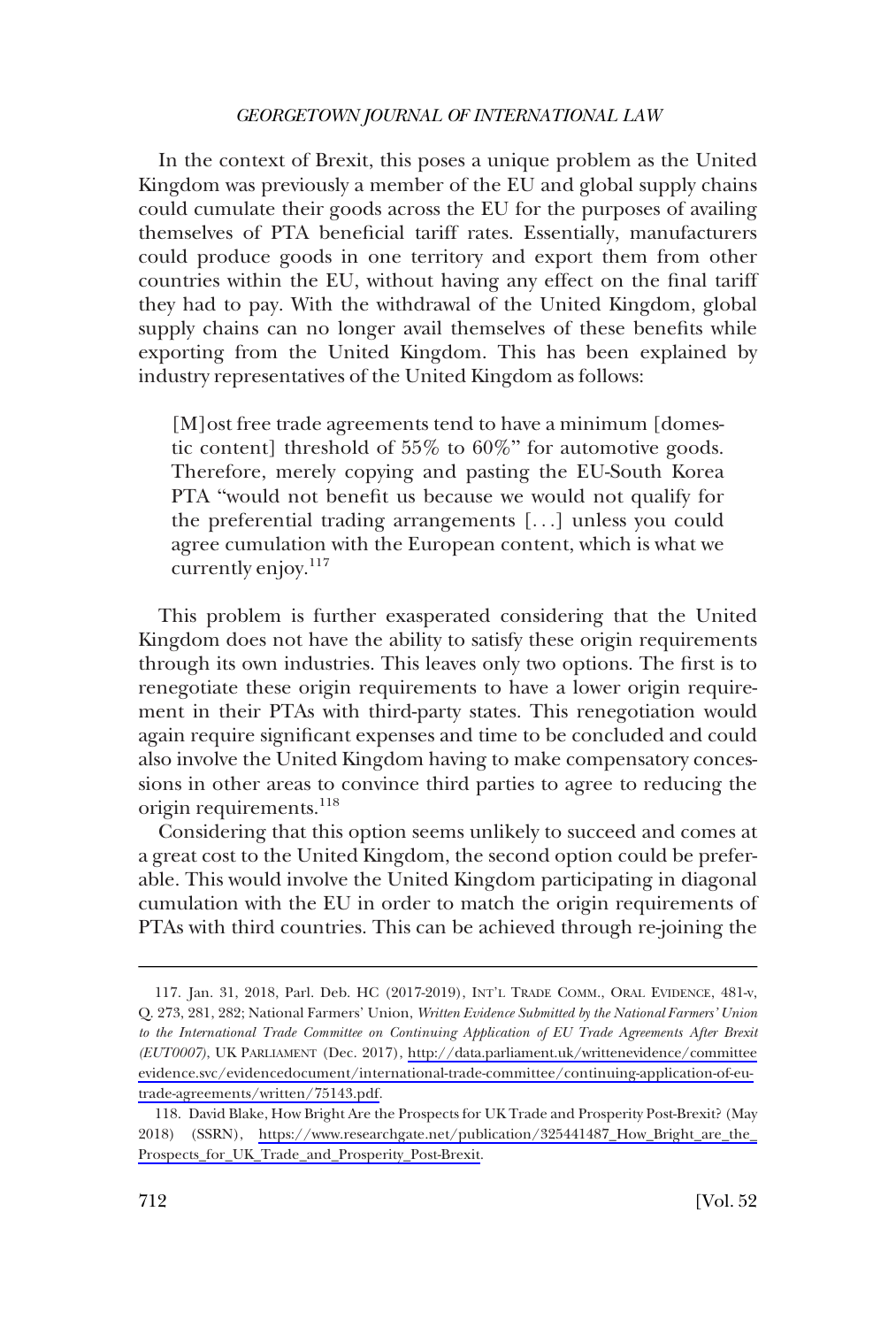In the context of Brexit, this poses a unique problem as the United Kingdom was previously a member of the EU and global supply chains could cumulate their goods across the EU for the purposes of availing themselves of PTA beneficial tariff rates. Essentially, manufacturers could produce goods in one territory and export them from other countries within the EU, without having any effect on the final tariff they had to pay. With the withdrawal of the United Kingdom, global supply chains can no longer avail themselves of these benefits while exporting from the United Kingdom. This has been explained by industry representatives of the United Kingdom as follows:

[M]ost free trade agreements tend to have a minimum [domestic content] threshold of 55% to 60%" for automotive goods. Therefore, merely copying and pasting the EU-South Korea PTA "would not benefit us because we would not qualify for the preferential trading arrangements [. . .] unless you could agree cumulation with the European content, which is what we currently enjoy.<sup>117</sup>

This problem is further exasperated considering that the United Kingdom does not have the ability to satisfy these origin requirements through its own industries. This leaves only two options. The first is to renegotiate these origin requirements to have a lower origin requirement in their PTAs with third-party states. This renegotiation would again require significant expenses and time to be concluded and could also involve the United Kingdom having to make compensatory concessions in other areas to convince third parties to agree to reducing the origin requirements.<sup>118</sup>

Considering that this option seems unlikely to succeed and comes at a great cost to the United Kingdom, the second option could be preferable. This would involve the United Kingdom participating in diagonal cumulation with the EU in order to match the origin requirements of PTAs with third countries. This can be achieved through re-joining the

<sup>117.</sup> Jan. 31, 2018, Parl. Deb. HC (2017-2019), INT'L TRADE COMM., ORAL EVIDENCE, 481-v, Q. 273, 281, 282; National Farmers' Union, *Written Evidence Submitted by the National Farmers' Union to the International Trade Committee on Continuing Application of EU Trade Agreements After Brexit (EUT0007)*, UK PARLIAMENT (Dec. 2017), [http://data.parliament.uk/writtenevidence/committee](http://data.parliament.uk/writtenevidence/committeeevidence.svc/evidencedocument/international-trade-committee/continuing-application-of-eu-trade-agreements/written/75143.pdf)  [evidence.svc/evidencedocument/international-trade-committee/continuing-application-of-eu](http://data.parliament.uk/writtenevidence/committeeevidence.svc/evidencedocument/international-trade-committee/continuing-application-of-eu-trade-agreements/written/75143.pdf)[trade-agreements/written/75143.pdf.](http://data.parliament.uk/writtenevidence/committeeevidence.svc/evidencedocument/international-trade-committee/continuing-application-of-eu-trade-agreements/written/75143.pdf)

<sup>118.</sup> David Blake, How Bright Are the Prospects for UK Trade and Prosperity Post-Brexit? (May 2018) (SSRN), [https://www.researchgate.net/publication/325441487\\_How\\_Bright\\_are\\_the\\_](https://www.researchgate.net/publication/325441487_How_Bright_are_the_Prospects_for_UK_Trade_and_Prosperity_Post-Brexit) [Prospects\\_for\\_UK\\_Trade\\_and\\_Prosperity\\_Post-Brexit.](https://www.researchgate.net/publication/325441487_How_Bright_are_the_Prospects_for_UK_Trade_and_Prosperity_Post-Brexit)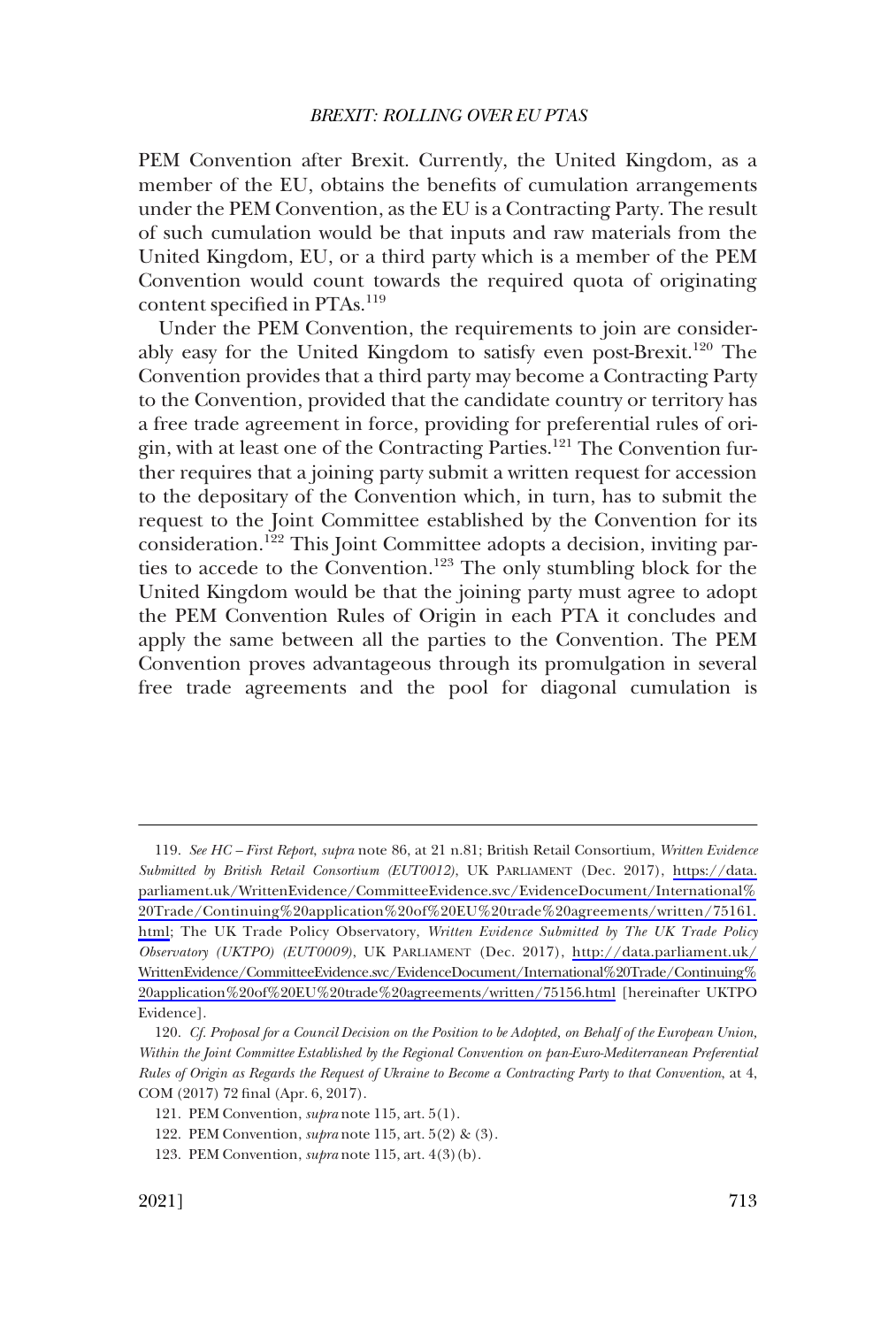PEM Convention after Brexit. Currently, the United Kingdom, as a member of the EU, obtains the benefits of cumulation arrangements under the PEM Convention, as the EU is a Contracting Party. The result of such cumulation would be that inputs and raw materials from the United Kingdom, EU, or a third party which is a member of the PEM Convention would count towards the required quota of originating content specified in PTAs.<sup>119</sup>

Under the PEM Convention, the requirements to join are considerably easy for the United Kingdom to satisfy even post-Brexit.<sup>120</sup> The Convention provides that a third party may become a Contracting Party to the Convention, provided that the candidate country or territory has a free trade agreement in force, providing for preferential rules of origin, with at least one of the Contracting Parties.<sup>121</sup> The Convention further requires that a joining party submit a written request for accession to the depositary of the Convention which, in turn, has to submit the request to the Joint Committee established by the Convention for its consideration.122 This Joint Committee adopts a decision, inviting parties to accede to the Convention.<sup>123</sup> The only stumbling block for the United Kingdom would be that the joining party must agree to adopt the PEM Convention Rules of Origin in each PTA it concludes and apply the same between all the parties to the Convention. The PEM Convention proves advantageous through its promulgation in several free trade agreements and the pool for diagonal cumulation is

*See HC – First Report*, *supra* note 86, at 21 n.81; British Retail Consortium, *Written Evidence*  119. *Submitted by British Retail Consortium (EUT0012)*, UK PARLIAMENT (Dec. 2017), [https://data.](https://data.parliament.uk/WrittenEvidence/CommitteeEvidence.svc/EvidenceDocument/International%20Trade/Continuing%20application%20of%20EU%20trade%20agreements/written/75161.html)  [parliament.uk/WrittenEvidence/CommitteeEvidence.svc/EvidenceDocument/International%](https://data.parliament.uk/WrittenEvidence/CommitteeEvidence.svc/EvidenceDocument/International%20Trade/Continuing%20application%20of%20EU%20trade%20agreements/written/75161.html) [20Trade/Continuing%20application%20of%20EU%20trade%20agreements/written/75161.](https://data.parliament.uk/WrittenEvidence/CommitteeEvidence.svc/EvidenceDocument/International%20Trade/Continuing%20application%20of%20EU%20trade%20agreements/written/75161.html)  [html](https://data.parliament.uk/WrittenEvidence/CommitteeEvidence.svc/EvidenceDocument/International%20Trade/Continuing%20application%20of%20EU%20trade%20agreements/written/75161.html); The UK Trade Policy Observatory, *Written Evidence Submitted by The UK Trade Policy Observatory (UKTPO) (EUT0009)*, UK PARLIAMENT (Dec. 2017), [http://data.parliament.uk/](http://data.parliament.uk/WrittenEvidence/CommitteeEvidence.svc/EvidenceDocument/International%20Trade/Continuing%20application%20of%20EU%20trade%20agreements/written/75156.html) [WrittenEvidence/CommitteeEvidence.svc/EvidenceDocument/International%20Trade/Continuing%](http://data.parliament.uk/WrittenEvidence/CommitteeEvidence.svc/EvidenceDocument/International%20Trade/Continuing%20application%20of%20EU%20trade%20agreements/written/75156.html) [20application%20of%20EU%20trade%20agreements/written/75156.html](http://data.parliament.uk/WrittenEvidence/CommitteeEvidence.svc/EvidenceDocument/International%20Trade/Continuing%20application%20of%20EU%20trade%20agreements/written/75156.html) [hereinafter UKTPO Evidence].

<sup>120.</sup> *Cf. Proposal for a Council Decision on the Position to be Adopted, on Behalf of the European Union, Within the Joint Committee Established by the Regional Convention on pan-Euro-Mediterranean Preferential Rules of Origin as Regards the Request of Ukraine to Become a Contracting Party to that Convention*, at 4, COM (2017) 72 final (Apr. 6, 2017).

<sup>121.</sup> PEM Convention, *supra* note 115, art. 5(1).

<sup>122.</sup> PEM Convention, *supra* note 115, art. 5(2) & (3).

<sup>123.</sup> PEM Convention, *supra* note 115, art. 4(3)(b).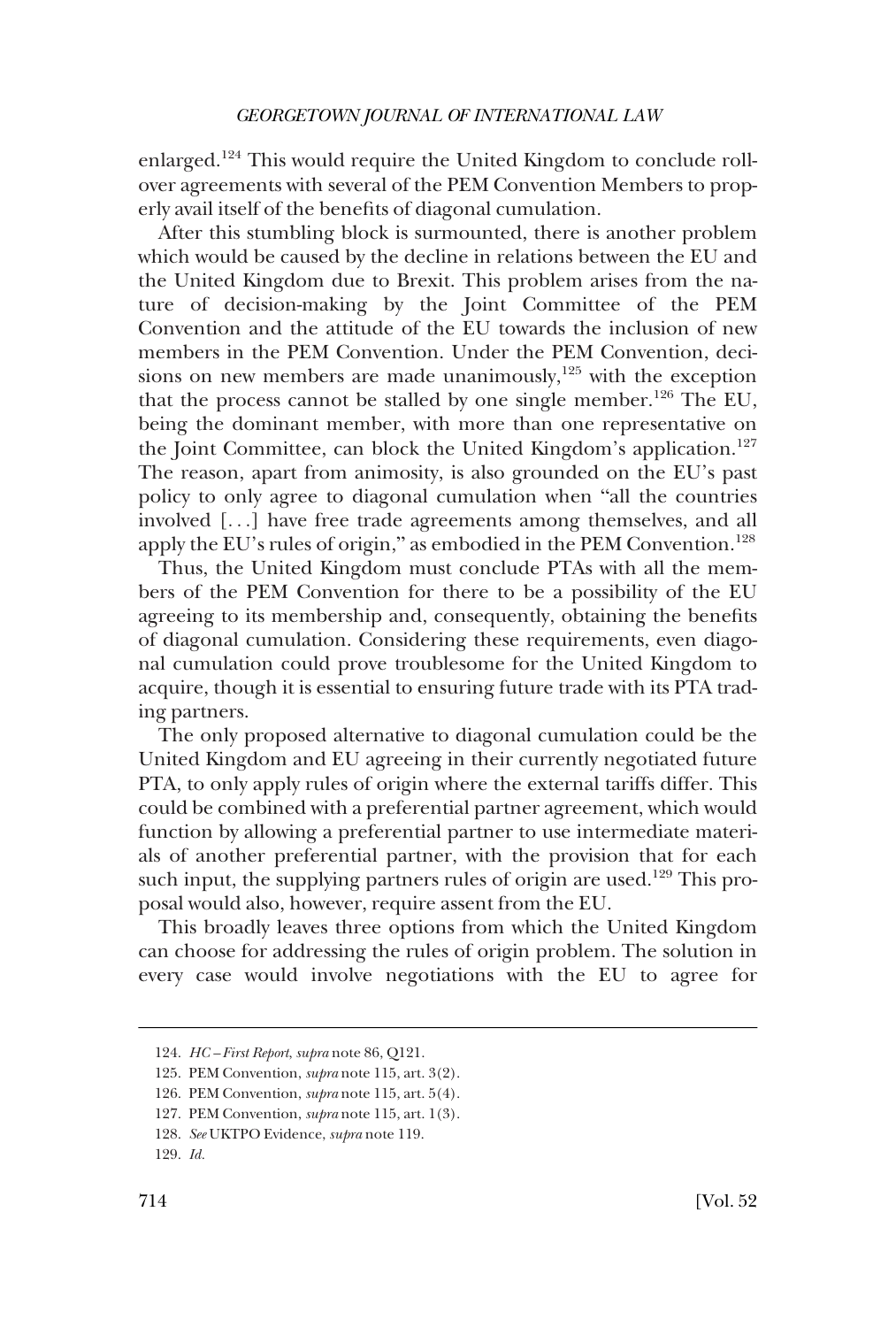enlarged.124 This would require the United Kingdom to conclude rollover agreements with several of the PEM Convention Members to properly avail itself of the benefits of diagonal cumulation.

After this stumbling block is surmounted, there is another problem which would be caused by the decline in relations between the EU and the United Kingdom due to Brexit. This problem arises from the nature of decision-making by the Joint Committee of the PEM Convention and the attitude of the EU towards the inclusion of new members in the PEM Convention. Under the PEM Convention, decisions on new members are made unanimously, $125$  with the exception that the process cannot be stalled by one single member.<sup>126</sup> The EU, being the dominant member, with more than one representative on the Joint Committee, can block the United Kingdom's application.<sup>127</sup> The reason, apart from animosity, is also grounded on the EU's past policy to only agree to diagonal cumulation when "all the countries involved [. . .] have free trade agreements among themselves, and all apply the EU's rules of origin," as embodied in the PEM Convention.<sup>128</sup>

Thus, the United Kingdom must conclude PTAs with all the members of the PEM Convention for there to be a possibility of the EU agreeing to its membership and, consequently, obtaining the benefits of diagonal cumulation. Considering these requirements, even diagonal cumulation could prove troublesome for the United Kingdom to acquire, though it is essential to ensuring future trade with its PTA trading partners.

The only proposed alternative to diagonal cumulation could be the United Kingdom and EU agreeing in their currently negotiated future PTA, to only apply rules of origin where the external tariffs differ. This could be combined with a preferential partner agreement, which would function by allowing a preferential partner to use intermediate materials of another preferential partner, with the provision that for each such input, the supplying partners rules of origin are used.<sup>129</sup> This proposal would also, however, require assent from the EU.

This broadly leaves three options from which the United Kingdom can choose for addressing the rules of origin problem. The solution in every case would involve negotiations with the EU to agree for

<sup>124.</sup> *HC – First Report*, *supra* note 86, Q121.

<sup>125.</sup> PEM Convention, *supra* note 115, art. 3(2).

<sup>126.</sup> PEM Convention, *supra* note 115, art. 5(4).

<sup>127.</sup> PEM Convention, *supra* note 115, art. 1(3).

<sup>128.</sup> *See* UKTPO Evidence, *supra* note 119.

<sup>129.</sup> *Id.*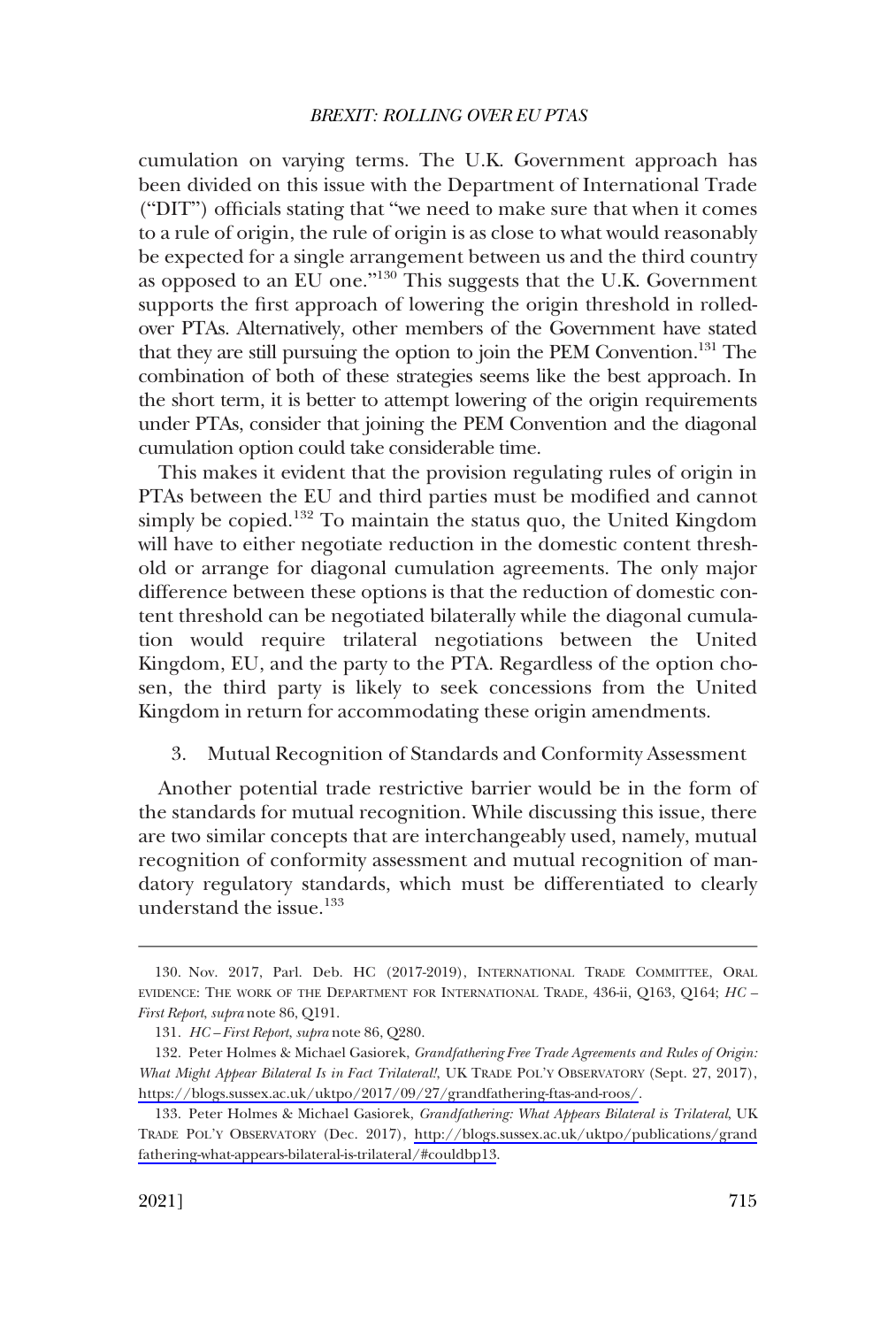<span id="page-36-0"></span>cumulation on varying terms. The U.K. Government approach has been divided on this issue with the Department of International Trade ("DIT") officials stating that "we need to make sure that when it comes to a rule of origin, the rule of origin is as close to what would reasonably be expected for a single arrangement between us and the third country as opposed to an EU one."130 This suggests that the U.K. Government supports the first approach of lowering the origin threshold in rolledover PTAs. Alternatively, other members of the Government have stated that they are still pursuing the option to join the PEM Convention.131 The combination of both of these strategies seems like the best approach. In the short term, it is better to attempt lowering of the origin requirements under PTAs, consider that joining the PEM Convention and the diagonal cumulation option could take considerable time.

This makes it evident that the provision regulating rules of origin in PTAs between the EU and third parties must be modified and cannot simply be copied.<sup>132</sup> To maintain the status quo, the United Kingdom will have to either negotiate reduction in the domestic content threshold or arrange for diagonal cumulation agreements. The only major difference between these options is that the reduction of domestic content threshold can be negotiated bilaterally while the diagonal cumulation would require trilateral negotiations between the United Kingdom, EU, and the party to the PTA. Regardless of the option chosen, the third party is likely to seek concessions from the United Kingdom in return for accommodating these origin amendments.

3. Mutual Recognition of Standards and Conformity Assessment

Another potential trade restrictive barrier would be in the form of the standards for mutual recognition. While discussing this issue, there are two similar concepts that are interchangeably used, namely, mutual recognition of conformity assessment and mutual recognition of mandatory regulatory standards, which must be differentiated to clearly understand the issue.<sup>133</sup>

<sup>130.</sup> Nov. 2017, Parl. Deb. HC (2017-2019), INTERNATIONAL TRADE COMMITTEE, ORAL EVIDENCE: THE WORK OF THE DEPARTMENT FOR INTERNATIONAL TRADE, 436-ii, Q163, Q164; *HC – First Report*, *supra* note 86, Q191.

<sup>131.</sup> *HC – First Report*, *supra* note 86, Q280.

<sup>132.</sup> Peter Holmes & Michael Gasiorek, *Grandfathering Free Trade Agreements and Rules of Origin*: *What Might Appear Bilateral Is in Fact Trilateral!*, UK TRADE POL'Y OBSERVATORY (Sept. 27, 2017), [https://blogs.sussex.ac.uk/uktpo/2017/09/27/grandfathering-ftas-and-roos/.](https://blogs.sussex.ac.uk/uktpo/2017/09/27/grandfathering-ftas-and-roos/)

<sup>133.</sup> Peter Holmes & Michael Gasiorek, *Grandfathering: What Appears Bilateral is Trilateral*, UK TRADE POL'Y OBSERVATORY (Dec. 2017), [http://blogs.sussex.ac.uk/uktpo/publications/grand](http://blogs.sussex.ac.uk/uktpo/publications/grandfathering-what-appears-bilateral-is-trilateral/#couldbp13) [fathering-what-appears-bilateral-is-trilateral/#couldbp13](http://blogs.sussex.ac.uk/uktpo/publications/grandfathering-what-appears-bilateral-is-trilateral/#couldbp13).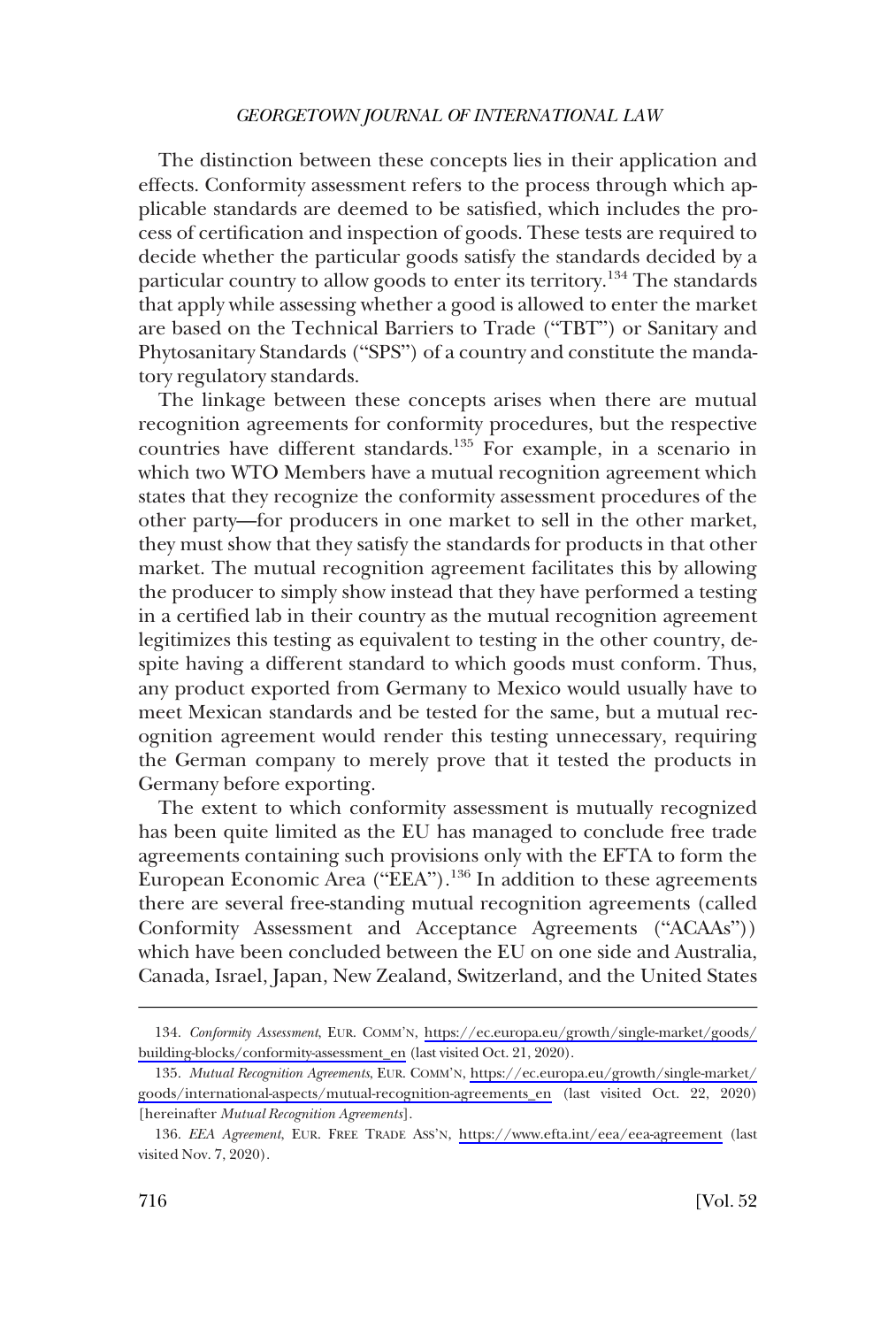The distinction between these concepts lies in their application and effects. Conformity assessment refers to the process through which applicable standards are deemed to be satisfied, which includes the process of certification and inspection of goods. These tests are required to decide whether the particular goods satisfy the standards decided by a particular country to allow goods to enter its territory.<sup>134</sup> The standards that apply while assessing whether a good is allowed to enter the market are based on the Technical Barriers to Trade ("TBT") or Sanitary and Phytosanitary Standards ("SPS") of a country and constitute the mandatory regulatory standards.

The linkage between these concepts arises when there are mutual recognition agreements for conformity procedures, but the respective countries have different standards.<sup>135</sup> For example, in a scenario in which two WTO Members have a mutual recognition agreement which states that they recognize the conformity assessment procedures of the other party—for producers in one market to sell in the other market, they must show that they satisfy the standards for products in that other market. The mutual recognition agreement facilitates this by allowing the producer to simply show instead that they have performed a testing in a certified lab in their country as the mutual recognition agreement legitimizes this testing as equivalent to testing in the other country, despite having a different standard to which goods must conform. Thus, any product exported from Germany to Mexico would usually have to meet Mexican standards and be tested for the same, but a mutual recognition agreement would render this testing unnecessary, requiring the German company to merely prove that it tested the products in Germany before exporting.

The extent to which conformity assessment is mutually recognized has been quite limited as the EU has managed to conclude free trade agreements containing such provisions only with the EFTA to form the European Economic Area ("EEA").<sup>136</sup> In addition to these agreements there are several free-standing mutual recognition agreements (called Conformity Assessment and Acceptance Agreements ("ACAAs")) which have been concluded between the EU on one side and Australia, Canada, Israel, Japan, New Zealand, Switzerland, and the United States

*Conformity Assessment*, EUR. COMM'N, [https://ec.europa.eu/growth/single-market/goods/](https://ec.europa.eu/growth/single-market/goods/building-blocks/conformity-assessment_en)  134. [building-blocks/conformity-assessment\\_en](https://ec.europa.eu/growth/single-market/goods/building-blocks/conformity-assessment_en) (last visited Oct. 21, 2020).

*Mutual Recognition Agreements*, EUR. COMM'N, [https://ec.europa.eu/growth/single-market/](https://ec.europa.eu/growth/single-market/goods/international-aspects/mutual-recognition-agreements_en)  135. [goods/international-aspects/mutual-recognition-agreements\\_en](https://ec.europa.eu/growth/single-market/goods/international-aspects/mutual-recognition-agreements_en) (last visited Oct. 22, 2020) [hereinafter *Mutual Recognition Agreements*].

<sup>136.</sup> EEA Agreement, EUR. FREE TRADE ASS'N, <https://www.efta.int/eea/eea-agreement> (last visited Nov. 7, 2020).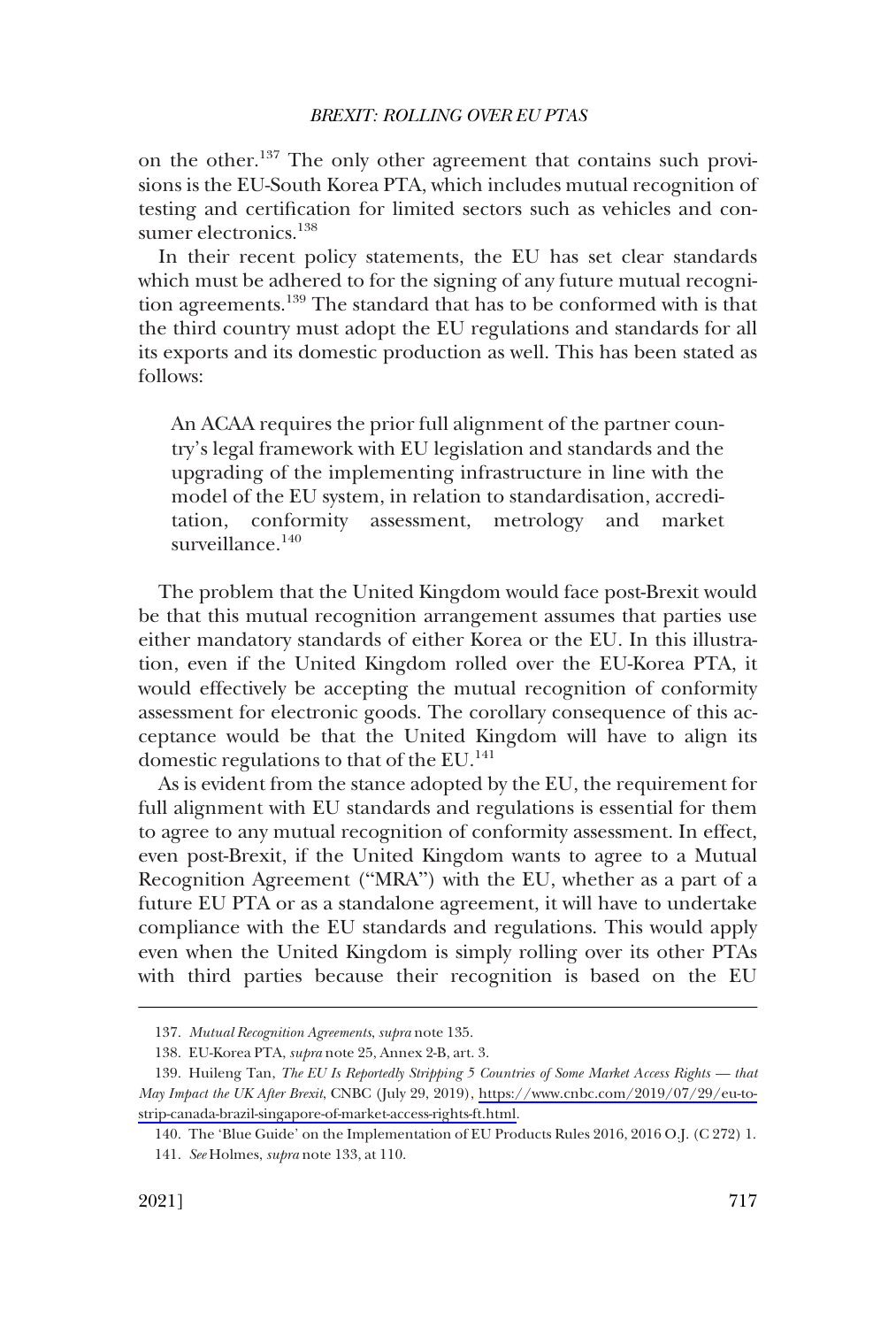on the other.137 The only other agreement that contains such provisions is the EU-South Korea PTA, which includes mutual recognition of testing and certification for limited sectors such as vehicles and consumer electronics.<sup>138</sup>

In their recent policy statements, the EU has set clear standards which must be adhered to for the signing of any future mutual recognition agreements.<sup>139</sup> The standard that has to be conformed with is that the third country must adopt the EU regulations and standards for all its exports and its domestic production as well. This has been stated as follows:

An ACAA requires the prior full alignment of the partner country's legal framework with EU legislation and standards and the upgrading of the implementing infrastructure in line with the model of the EU system, in relation to standardisation, accreditation, conformity assessment, metrology and market surveillance.<sup>140</sup>

The problem that the United Kingdom would face post-Brexit would be that this mutual recognition arrangement assumes that parties use either mandatory standards of either Korea or the EU. In this illustration, even if the United Kingdom rolled over the EU-Korea PTA, it would effectively be accepting the mutual recognition of conformity assessment for electronic goods. The corollary consequence of this acceptance would be that the United Kingdom will have to align its domestic regulations to that of the  $EU^{141}$ .

As is evident from the stance adopted by the EU, the requirement for full alignment with EU standards and regulations is essential for them to agree to any mutual recognition of conformity assessment. In effect, even post-Brexit, if the United Kingdom wants to agree to a Mutual Recognition Agreement ("MRA") with the EU, whether as a part of a future EU PTA or as a standalone agreement, it will have to undertake compliance with the EU standards and regulations. This would apply even when the United Kingdom is simply rolling over its other PTAs with third parties because their recognition is based on the EU

<sup>137.</sup> *Mutual Recognition Agreements*, *supra* note 135.

<sup>138.</sup> EU-Korea PTA, *supra* note 25, Annex 2-B, art. 3.

<sup>139.</sup> Huileng Tan, *The EU Is Reportedly Stripping 5 Countries of Some Market Access Rights* — that *May Impact the UK After Brexit*, CNBC (July 29, 2019), [https://www.cnbc.com/2019/07/29/eu-to](https://www.cnbc.com/2019/07/29/eu-to-strip-canada-brazil-singapore-of-market-access-rights-ft.html)[strip-canada-brazil-singapore-of-market-access-rights-ft.html](https://www.cnbc.com/2019/07/29/eu-to-strip-canada-brazil-singapore-of-market-access-rights-ft.html).

<sup>140.</sup> The 'Blue Guide' on the Implementation of EU Products Rules 2016, 2016 O.J. (C 272) 1.

<sup>141.</sup> *See* Holmes, *supra* note 133, at 110.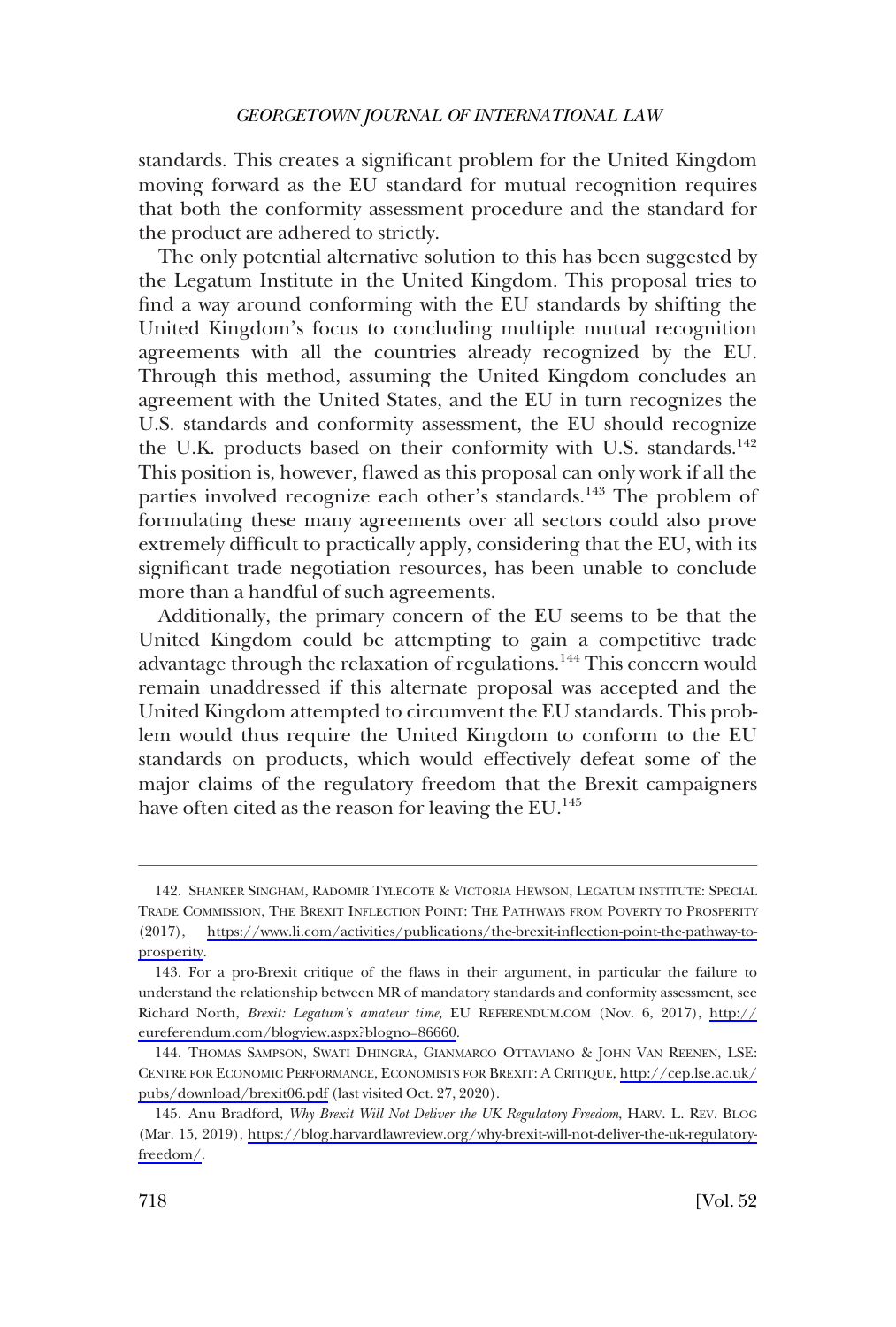standards. This creates a significant problem for the United Kingdom moving forward as the EU standard for mutual recognition requires that both the conformity assessment procedure and the standard for the product are adhered to strictly.

The only potential alternative solution to this has been suggested by the Legatum Institute in the United Kingdom. This proposal tries to find a way around conforming with the EU standards by shifting the United Kingdom's focus to concluding multiple mutual recognition agreements with all the countries already recognized by the EU. Through this method, assuming the United Kingdom concludes an agreement with the United States, and the EU in turn recognizes the U.S. standards and conformity assessment, the EU should recognize the U.K. products based on their conformity with U.S. standards.<sup>142</sup> This position is, however, flawed as this proposal can only work if all the parties involved recognize each other's standards.<sup>143</sup> The problem of formulating these many agreements over all sectors could also prove extremely difficult to practically apply, considering that the EU, with its significant trade negotiation resources, has been unable to conclude more than a handful of such agreements.

Additionally, the primary concern of the EU seems to be that the United Kingdom could be attempting to gain a competitive trade advantage through the relaxation of regulations.<sup>144</sup> This concern would remain unaddressed if this alternate proposal was accepted and the United Kingdom attempted to circumvent the EU standards. This problem would thus require the United Kingdom to conform to the EU standards on products, which would effectively defeat some of the major claims of the regulatory freedom that the Brexit campaigners have often cited as the reason for leaving the EU.<sup>145</sup>

<sup>142.</sup> SHANKER SINGHAM, RADOMIR TYLECOTE & VICTORIA HEWSON, LEGATUM INSTITUTE: SPECIAL TRADE COMMISSION, THE BREXIT INFLECTION POINT: THE PATHWAYS FROM POVERTY TO PROSPERITY (2017), [https://www.li.com/activities/publications/the-brexit-inflection-point-the-pathway-to](https://www.li.com/activities/publications/the-brexit-inflection-point-the-pathway-to-prosperity)[prosperity](https://www.li.com/activities/publications/the-brexit-inflection-point-the-pathway-to-prosperity).

<sup>143.</sup> For a pro-Brexit critique of the flaws in their argument, in particular the failure to understand the relationship between MR of mandatory standards and conformity assessment, see Richard North, *Brexit: Legatum's amateur time,* EU REFERENDUM.COM (Nov. 6, 2017), [http://](http://eureferendum.com/blogview.aspx?blogno=86660) [eureferendum.com/blogview.aspx?blogno=86660.](http://eureferendum.com/blogview.aspx?blogno=86660)

<sup>144.</sup> THOMAS SAMPSON, SWATI DHINGRA, GIANMARCO OTTAVIANO & JOHN VAN REENEN, LSE: CENTRE FOR ECONOMIC PERFORMANCE, ECONOMISTS FOR BREXIT: A CRITIQUE, [http://cep.lse.ac.uk/](http://cep.lse.ac.uk/pubs/download/brexit06.pdf) [pubs/download/brexit06.pdf](http://cep.lse.ac.uk/pubs/download/brexit06.pdf) (last visited Oct. 27, 2020).

<sup>145.</sup> Anu Bradford, *Why Brexit Will Not Deliver the UK Regulatory Freedom*, HARV. L. REV. BLOG (Mar. 15, 2019), [https://blog.harvardlawreview.org/why-brexit-will-not-deliver-the-uk-regulatory](https://blog.harvardlawreview.org/why-brexit-will-not-deliver-the-uk-regulatory-freedom/)[freedom/](https://blog.harvardlawreview.org/why-brexit-will-not-deliver-the-uk-regulatory-freedom/).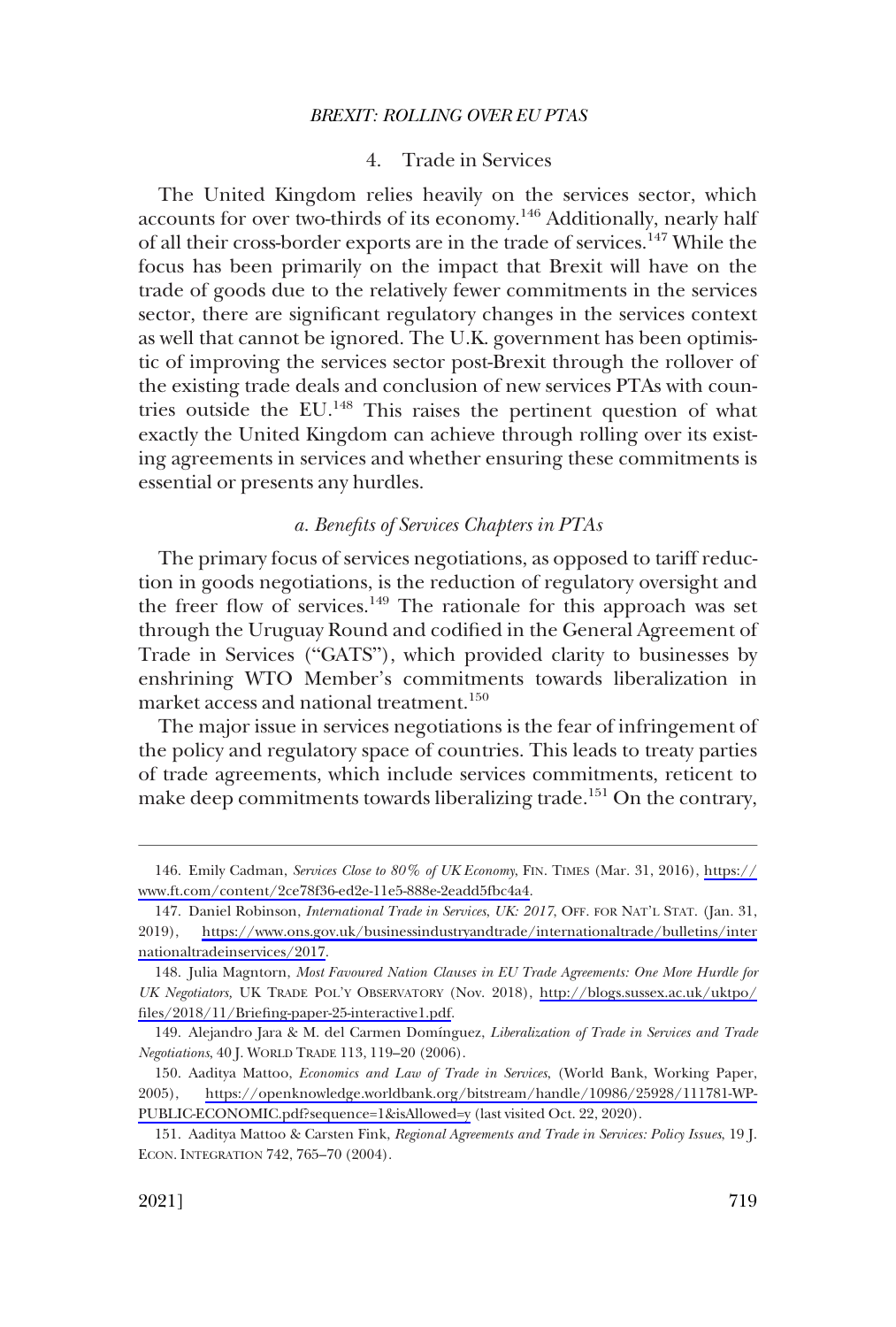### 4. Trade in Services

<span id="page-40-0"></span>The United Kingdom relies heavily on the services sector, which accounts for over two-thirds of its economy.<sup>146</sup> Additionally, nearly half of all their cross-border exports are in the trade of services.<sup>147</sup> While the focus has been primarily on the impact that Brexit will have on the trade of goods due to the relatively fewer commitments in the services sector, there are significant regulatory changes in the services context as well that cannot be ignored. The U.K. government has been optimistic of improving the services sector post-Brexit through the rollover of the existing trade deals and conclusion of new services PTAs with countries outside the EU.<sup>148</sup> This raises the pertinent question of what exactly the United Kingdom can achieve through rolling over its existing agreements in services and whether ensuring these commitments is essential or presents any hurdles.

### *a. Benefits of Services Chapters in PTAs*

The primary focus of services negotiations, as opposed to tariff reduction in goods negotiations, is the reduction of regulatory oversight and the freer flow of services.<sup>149</sup> The rationale for this approach was set through the Uruguay Round and codified in the General Agreement of Trade in Services ("GATS"), which provided clarity to businesses by enshrining WTO Member's commitments towards liberalization in market access and national treatment.<sup>150</sup>

The major issue in services negotiations is the fear of infringement of the policy and regulatory space of countries. This leads to treaty parties of trade agreements, which include services commitments, reticent to make deep commitments towards liberalizing trade.<sup>151</sup> On the contrary,

Emily Cadman, *Services Close to 80% of UK Economy*, FIN. TIMES (Mar. 31, 2016), [https://](https://www.ft.com/content/2ce78f36-ed2e-11e5-888e-2eadd5fbc4a4) 146. [www.ft.com/content/2ce78f36-ed2e-11e5-888e-2eadd5fbc4a4](https://www.ft.com/content/2ce78f36-ed2e-11e5-888e-2eadd5fbc4a4).

<sup>147.</sup> Daniel Robinson, *International Trade in Services*, *UK: 2017*, OFF. FOR NAT'L STAT. (Jan. 31, 2019), [https://www.ons.gov.uk/businessindustryandtrade/internationaltrade/bulletins/inter](https://www.ons.gov.uk/businessindustryandtrade/internationaltrade/bulletins/internationaltradeinservices/2017)  [nationaltradeinservices/2017](https://www.ons.gov.uk/businessindustryandtrade/internationaltrade/bulletins/internationaltradeinservices/2017).

<sup>148.</sup> Julia Magntorn, Most Favoured Nation Clauses in EU Trade Agreements: One More Hurdle for *UK Negotiators,* UK TRADE POL'Y OBSERVATORY (Nov. 2018), [http://blogs.sussex.ac.uk/uktpo/](http://blogs.sussex.ac.uk/uktpo/files/2018/11/Briefing-paper-25-interactive1.pdf)  [files/2018/11/Briefing-paper-25-interactive1.pdf.](http://blogs.sussex.ac.uk/uktpo/files/2018/11/Briefing-paper-25-interactive1.pdf)

<sup>149.</sup> Alejandro Jara & M. del Carmen Domı´nguez, *Liberalization of Trade in Services and Trade Negotiations*, 40 J. WORLD TRADE 113, 119–20 (2006).

<sup>150.</sup> Aaditya Mattoo, *Economics and Law of Trade in Services*, (World Bank, Working Paper, 2005), [https://openknowledge.worldbank.org/bitstream/handle/10986/25928/111781-WP-](https://openknowledge.worldbank.org/bitstream/handle/10986/25928/111781-WP-PUBLIC-ECONOMIC.pdf?sequence=1&isAllowed=y)[PUBLIC-ECONOMIC.pdf?sequence=1&isAllowed=y](https://openknowledge.worldbank.org/bitstream/handle/10986/25928/111781-WP-PUBLIC-ECONOMIC.pdf?sequence=1&isAllowed=y) (last visited Oct. 22, 2020).

<sup>151.</sup> Aaditya Mattoo & Carsten Fink, *Regional Agreements and Trade in Services: Policy Issues*, 19 J. ECON. INTEGRATION 742, 765–70 (2004).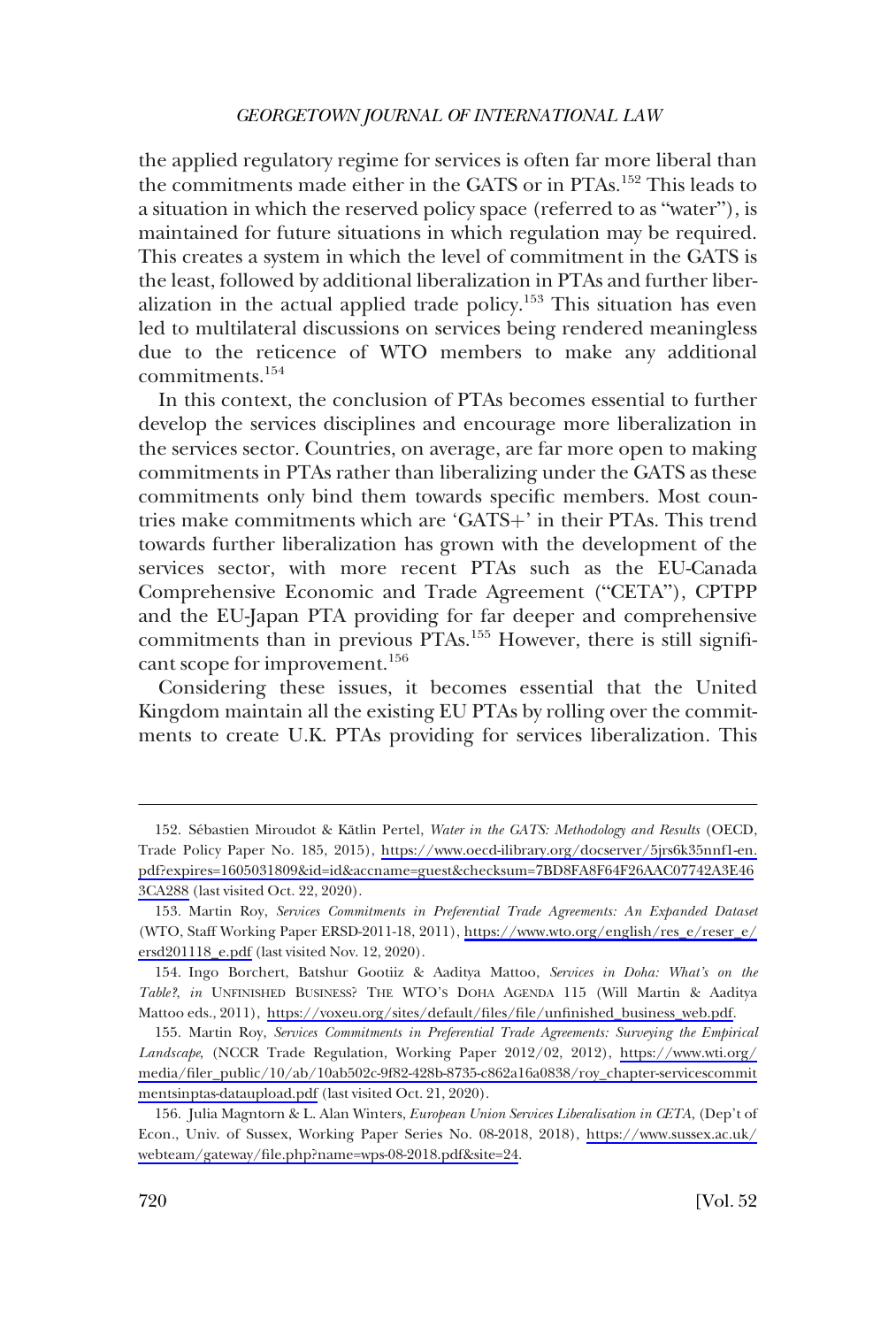the applied regulatory regime for services is often far more liberal than the commitments made either in the GATS or in PTAs.<sup>152</sup> This leads to a situation in which the reserved policy space (referred to as "water"), is maintained for future situations in which regulation may be required. This creates a system in which the level of commitment in the GATS is the least, followed by additional liberalization in PTAs and further liberalization in the actual applied trade policy.<sup>153</sup> This situation has even led to multilateral discussions on services being rendered meaningless due to the reticence of WTO members to make any additional commitments.154

In this context, the conclusion of PTAs becomes essential to further develop the services disciplines and encourage more liberalization in the services sector. Countries, on average, are far more open to making commitments in PTAs rather than liberalizing under the GATS as these commitments only bind them towards specific members. Most countries make commitments which are 'GATS+' in their PTAs. This trend towards further liberalization has grown with the development of the services sector, with more recent PTAs such as the EU-Canada Comprehensive Economic and Trade Agreement ("CETA"), CPTPP and the EU-Japan PTA providing for far deeper and comprehensive commitments than in previous PTAs.<sup>155</sup> However, there is still significant scope for improvement.<sup>156</sup>

Considering these issues, it becomes essential that the United Kingdom maintain all the existing EU PTAs by rolling over the commitments to create U.K. PTAs providing for services liberalization. This

<sup>152.</sup> Sébastien Miroudot & Kätlin Pertel, *Water in the GATS: Methodology and Results* (OECD, Trade Policy Paper No. 185, 2015), [https://www.oecd-ilibrary.org/docserver/5jrs6k35nnf1-en.](https://www.oecd-ilibrary.org/docserver/5jrs6k35nnf1-en.pdf?expires=1605031809&id=id&accname=guest&checksum=7BD8FA8F64F26AAC07742A3E463CA288) [pdf?expires=1605031809&id=id&accname=guest&checksum=7BD8FA8F64F26AAC07742A3E46](https://www.oecd-ilibrary.org/docserver/5jrs6k35nnf1-en.pdf?expires=1605031809&id=id&accname=guest&checksum=7BD8FA8F64F26AAC07742A3E463CA288) [3CA288](https://www.oecd-ilibrary.org/docserver/5jrs6k35nnf1-en.pdf?expires=1605031809&id=id&accname=guest&checksum=7BD8FA8F64F26AAC07742A3E463CA288) (last visited Oct. 22, 2020).

<sup>153.</sup> Martin Roy, Services Commitments in Preferential Trade Agreements: An Expanded Dataset (WTO, Staff Working Paper ERSD-2011-18, 2011), [https://www.wto.org/english/res\\_e/reser\\_e/](https://www.wto.org/english/res_e/reser_e/ersd201118_e.pdf) [ersd201118\\_e.pdf](https://www.wto.org/english/res_e/reser_e/ersd201118_e.pdf) (last visited Nov. 12, 2020).

<sup>154.</sup> Ingo Borchert, Batshur Gootiiz & Aaditya Mattoo, Services in Doha: What's on the *Table?*, *in* UNFINISHED BUSINESS? THE WTO'S DOHA AGENDA 115 (Will Martin & Aaditya Mattoo eds., 2011), [https://voxeu.org/sites/default/files/file/unfinished\\_business\\_web.pdf.](https://voxeu.org/sites/default/files/file/unfinished_business_web.pdf)

<sup>155.</sup> Martin Roy, Services Commitments in Preferential Trade Agreements: Surveying the Empirical *Landscape*, (NCCR Trade Regulation, Working Paper 2012/02, 2012), [https://www.wti.org/](https://www.wti.org/media/filer_public/10/ab/10ab502c-9f82-428b-8735-c862a16a0838/roy_chapter-servicescommitmentsinptas-dataupload.pdf)  [media/filer\\_public/10/ab/10ab502c-9f82-428b-8735-c862a16a0838/roy\\_chapter-servicescommit](https://www.wti.org/media/filer_public/10/ab/10ab502c-9f82-428b-8735-c862a16a0838/roy_chapter-servicescommitmentsinptas-dataupload.pdf)  [mentsinptas-dataupload.pdf](https://www.wti.org/media/filer_public/10/ab/10ab502c-9f82-428b-8735-c862a16a0838/roy_chapter-servicescommitmentsinptas-dataupload.pdf) (last visited Oct. 21, 2020).

<sup>156.</sup> Julia Magntorn & L. Alan Winters, *European Union Services Liberalisation in CETA*, (Dep't of Econ., Univ. of Sussex, Working Paper Series No. 08-2018, 2018), [https://www.sussex.ac.uk/](https://www.sussex.ac.uk/webteam/gateway/file.php?name=wps-08-2018.pdf&site=24) [webteam/gateway/file.php?name=wps-08-2018.pdf&site=24](https://www.sussex.ac.uk/webteam/gateway/file.php?name=wps-08-2018.pdf&site=24).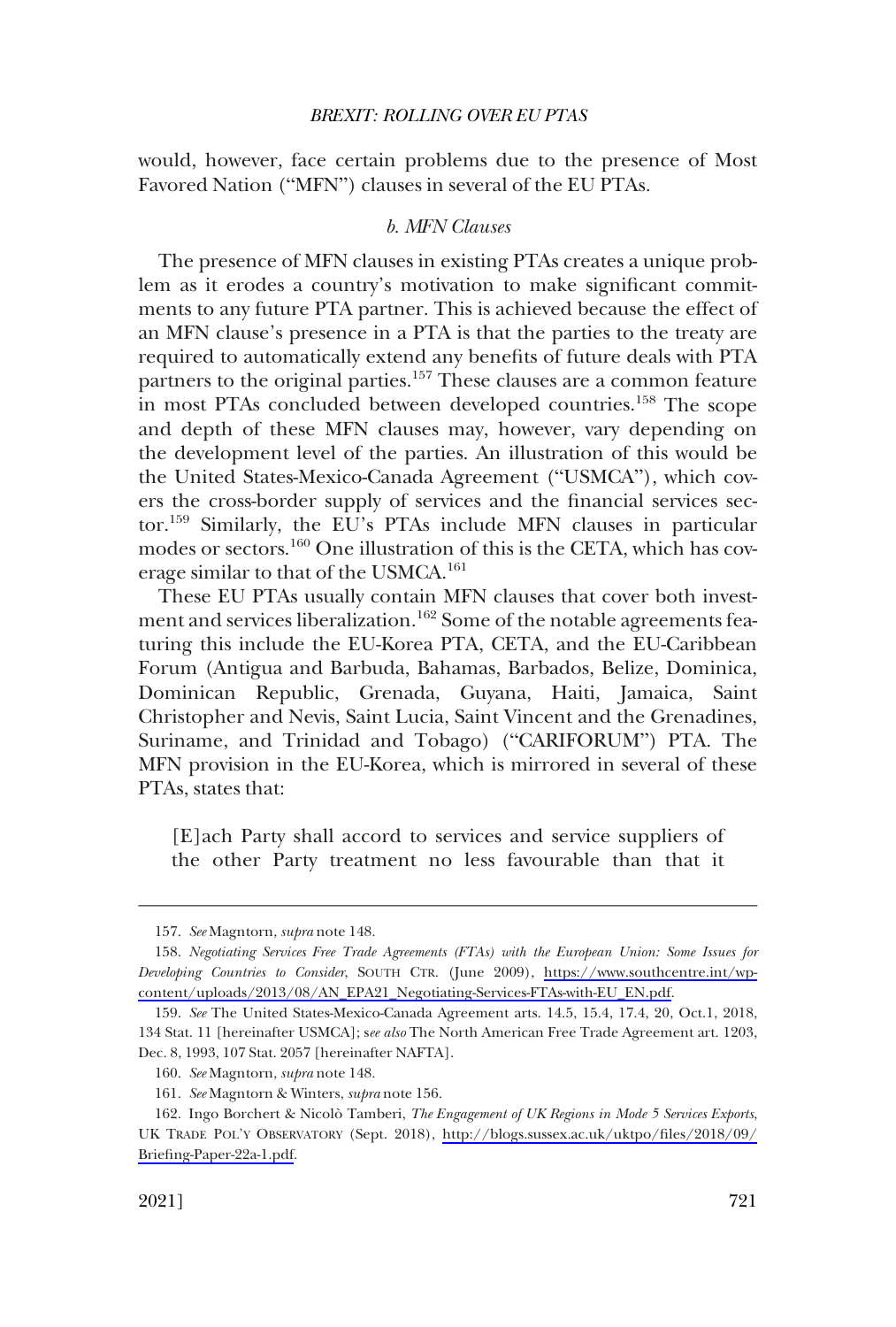<span id="page-42-0"></span>would, however, face certain problems due to the presence of Most Favored Nation ("MFN") clauses in several of the EU PTAs.

#### *b. MFN Clauses*

The presence of MFN clauses in existing PTAs creates a unique problem as it erodes a country's motivation to make significant commitments to any future PTA partner. This is achieved because the effect of an MFN clause's presence in a PTA is that the parties to the treaty are required to automatically extend any benefits of future deals with PTA partners to the original parties.157 These clauses are a common feature in most PTAs concluded between developed countries.<sup>158</sup> The scope and depth of these MFN clauses may, however, vary depending on the development level of the parties. An illustration of this would be the United States-Mexico-Canada Agreement ("USMCA"), which covers the cross-border supply of services and the financial services sector.159 Similarly, the EU's PTAs include MFN clauses in particular modes or sectors.160 One illustration of this is the CETA, which has coverage similar to that of the USMCA.161

These EU PTAs usually contain MFN clauses that cover both investment and services liberalization.<sup>162</sup> Some of the notable agreements featuring this include the EU-Korea PTA, CETA, and the EU-Caribbean Forum (Antigua and Barbuda, Bahamas, Barbados, Belize, Dominica, Dominican Republic, Grenada, Guyana, Haiti, Jamaica, Saint Christopher and Nevis, Saint Lucia, Saint Vincent and the Grenadines, Suriname, and Trinidad and Tobago) ("CARIFORUM") PTA. The MFN provision in the EU-Korea, which is mirrored in several of these PTAs, states that:

[E]ach Party shall accord to services and service suppliers of the other Party treatment no less favourable than that it

<sup>157.</sup> *See* Magntorn, *supra* note 148.

<sup>158.</sup> Negotiating Services Free Trade Agreements (FTAs) with the European Union: Some Issues for *Developing Countries to Consider*, SOUTH CTR. (June 2009), [https://www.southcentre.int/wp](https://www.southcentre.int/wp-content/uploads/2013/08/AN_EPA21_Negotiating-Services-FTAs-with-EU_EN.pdf)[content/uploads/2013/08/AN\\_EPA21\\_Negotiating-Services-FTAs-with-EU\\_EN.pdf](https://www.southcentre.int/wp-content/uploads/2013/08/AN_EPA21_Negotiating-Services-FTAs-with-EU_EN.pdf).

<sup>159.</sup> *See* The United States-Mexico-Canada Agreement arts. 14.5, 15.4, 17.4, 20, Oct.1, 2018, 134 Stat. 11 [hereinafter USMCA]; s*ee also* The North American Free Trade Agreement art. 1203, Dec. 8, 1993, 107 Stat. 2057 [hereinafter NAFTA].

<sup>160.</sup> *See* Magntorn, *supra* note 148.

<sup>161.</sup> *See* Magntorn & Winters, *supra* note 156.

<sup>162.</sup> Ingo Borchert & Nicolò Tamberi, *The Engagement of UK Regions in Mode 5 Services Exports*, UK TRADE POL'Y OBSERVATORY (Sept. 2018), [http://blogs.sussex.ac.uk/uktpo/files/2018/09/](http://blogs.sussex.ac.uk/uktpo/files/2018/09/Briefing-Paper-22a-1.pdf) [Briefing-Paper-22a-1.pdf](http://blogs.sussex.ac.uk/uktpo/files/2018/09/Briefing-Paper-22a-1.pdf).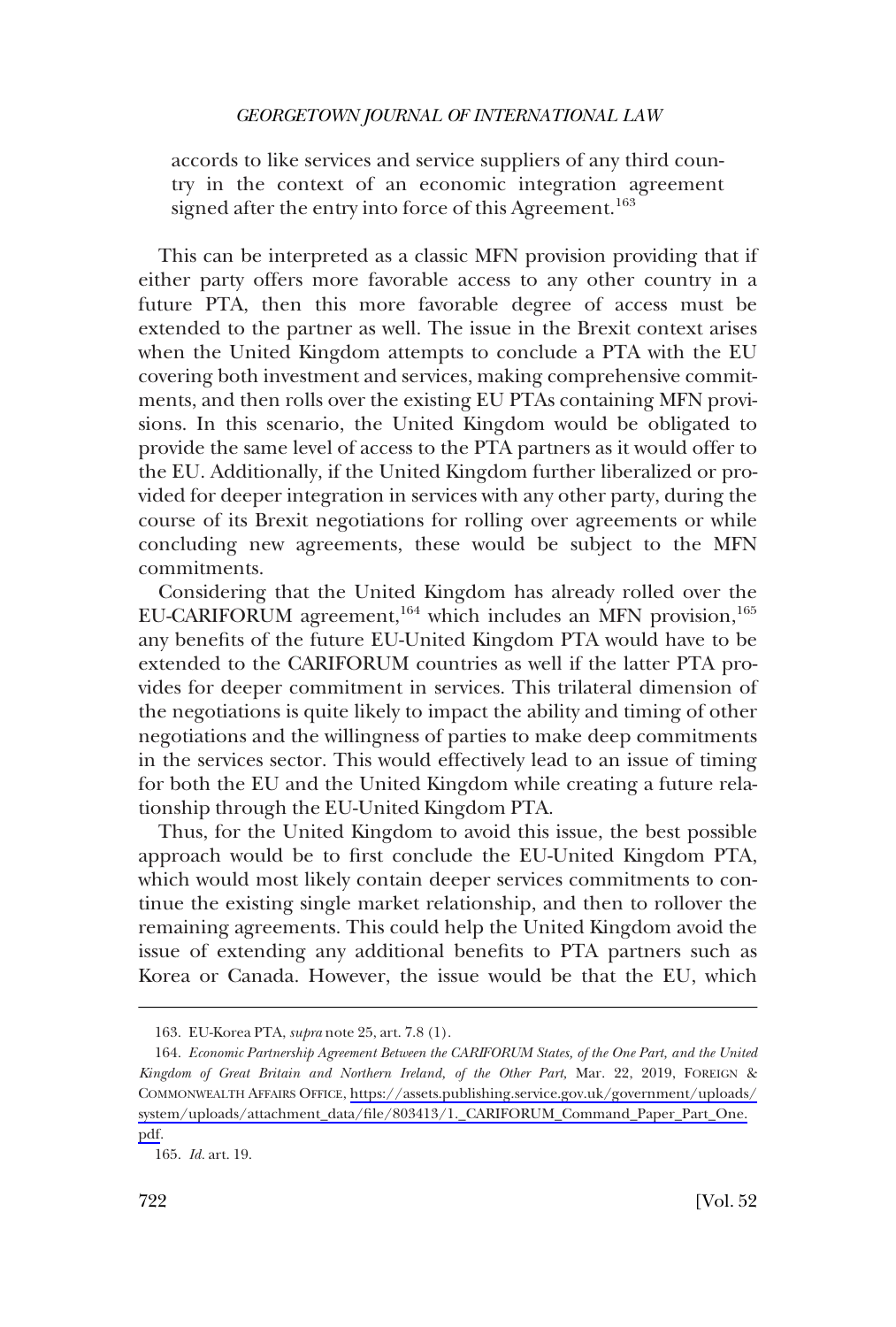accords to like services and service suppliers of any third country in the context of an economic integration agreement signed after the entry into force of this Agreement.<sup>163</sup>

This can be interpreted as a classic MFN provision providing that if either party offers more favorable access to any other country in a future PTA, then this more favorable degree of access must be extended to the partner as well. The issue in the Brexit context arises when the United Kingdom attempts to conclude a PTA with the EU covering both investment and services, making comprehensive commitments, and then rolls over the existing EU PTAs containing MFN provisions. In this scenario, the United Kingdom would be obligated to provide the same level of access to the PTA partners as it would offer to the EU. Additionally, if the United Kingdom further liberalized or provided for deeper integration in services with any other party, during the course of its Brexit negotiations for rolling over agreements or while concluding new agreements, these would be subject to the MFN commitments.

Considering that the United Kingdom has already rolled over the EU-CARIFORUM agreement,<sup>164</sup> which includes an MFN provision,<sup>165</sup> any benefits of the future EU-United Kingdom PTA would have to be extended to the CARIFORUM countries as well if the latter PTA provides for deeper commitment in services. This trilateral dimension of the negotiations is quite likely to impact the ability and timing of other negotiations and the willingness of parties to make deep commitments in the services sector. This would effectively lead to an issue of timing for both the EU and the United Kingdom while creating a future relationship through the EU-United Kingdom PTA.

Thus, for the United Kingdom to avoid this issue, the best possible approach would be to first conclude the EU-United Kingdom PTA, which would most likely contain deeper services commitments to continue the existing single market relationship, and then to rollover the remaining agreements. This could help the United Kingdom avoid the issue of extending any additional benefits to PTA partners such as Korea or Canada. However, the issue would be that the EU, which

<sup>163.</sup> EU-Korea PTA, *supra* note 25, art. 7.8 (1).

<sup>164.</sup> Economic Partnership Agreement Between the CARIFORUM States, of the One Part, and the United *Kingdom of Great Britain and Northern Ireland, of the Other Part,* Mar. 22, 2019, FOREIGN & COMMONWEALTH AFFAIRS OFFICE, [https://assets.publishing.service.gov.uk/government/uploads/](https://assets.publishing.service.gov.uk/government/uploads/system/uploads/attachment_data/file/803413/1._CARIFORUM_Command_Paper_Part_One.pdf) [system/uploads/attachment\\_data/file/803413/1.\\_CARIFORUM\\_Command\\_Paper\\_Part\\_One.](https://assets.publishing.service.gov.uk/government/uploads/system/uploads/attachment_data/file/803413/1._CARIFORUM_Command_Paper_Part_One.pdf)  [pdf.](https://assets.publishing.service.gov.uk/government/uploads/system/uploads/attachment_data/file/803413/1._CARIFORUM_Command_Paper_Part_One.pdf)

<sup>165.</sup> *Id.* art. 19.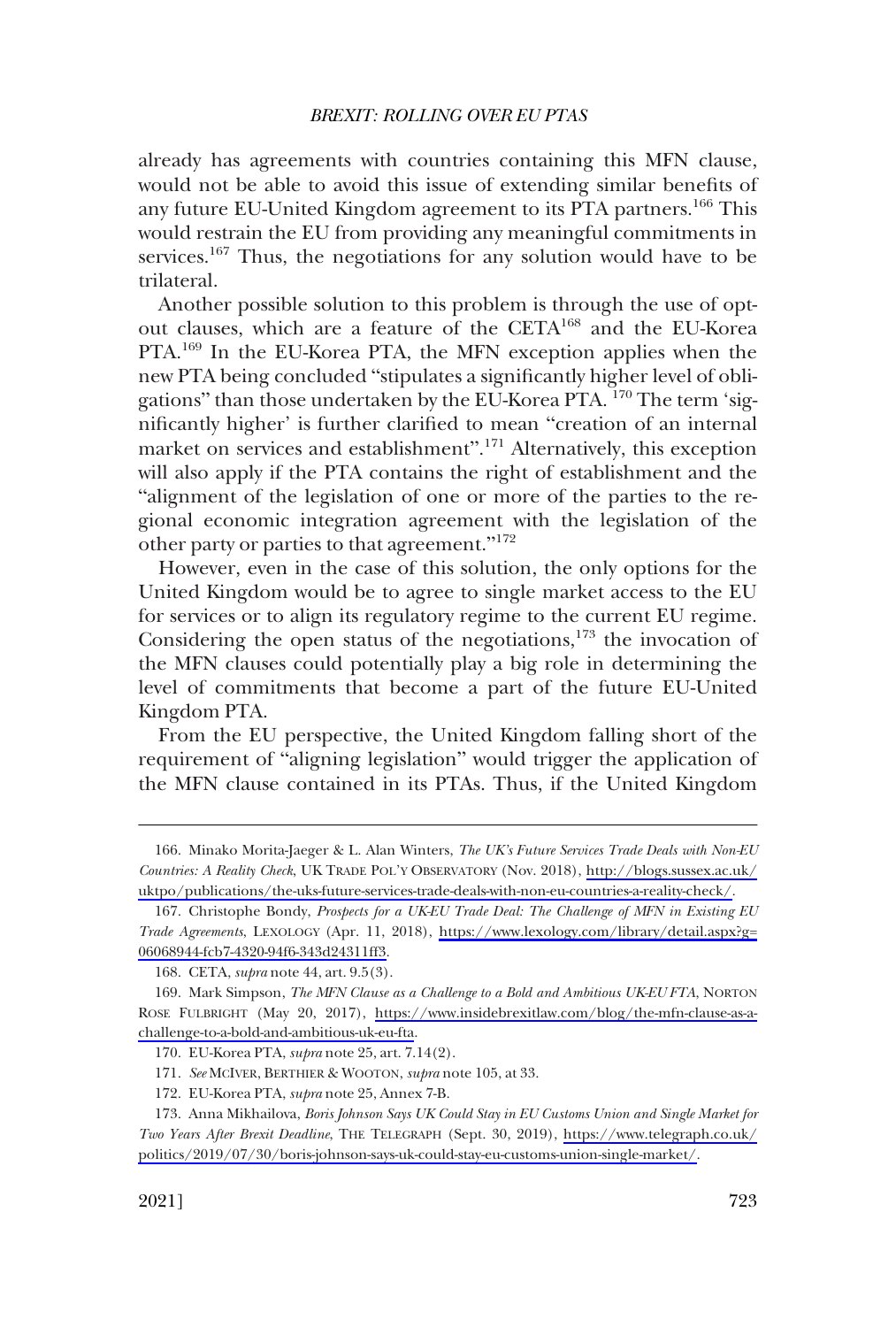already has agreements with countries containing this MFN clause, would not be able to avoid this issue of extending similar benefits of any future EU-United Kingdom agreement to its PTA partners.<sup>166</sup> This would restrain the EU from providing any meaningful commitments in services.<sup>167</sup> Thus, the negotiations for any solution would have to be trilateral.

Another possible solution to this problem is through the use of optout clauses, which are a feature of the CETA168 and the EU-Korea PTA.169 In the EU-Korea PTA, the MFN exception applies when the new PTA being concluded "stipulates a significantly higher level of obligations" than those undertaken by the EU-Korea PTA. 170 The term 'significantly higher' is further clarified to mean "creation of an internal market on services and establishment".<sup>171</sup> Alternatively, this exception will also apply if the PTA contains the right of establishment and the "alignment of the legislation of one or more of the parties to the regional economic integration agreement with the legislation of the other party or parties to that agreement."<sup>172</sup>

However, even in the case of this solution, the only options for the United Kingdom would be to agree to single market access to the EU for services or to align its regulatory regime to the current EU regime. Considering the open status of the negotiations, $173$  the invocation of the MFN clauses could potentially play a big role in determining the level of commitments that become a part of the future EU-United Kingdom PTA.

From the EU perspective, the United Kingdom falling short of the requirement of "aligning legislation" would trigger the application of the MFN clause contained in its PTAs. Thus, if the United Kingdom

<sup>166.</sup> Minako Morita-Jaeger & L. Alan Winters, *The UK's Future Services Trade Deals with Non-EU Countries: A Reality Check*, UK TRADE POL'Y OBSERVATORY (Nov. 2018), [http://blogs.sussex.ac.uk/](http://blogs.sussex.ac.uk/uktpo/publications/the-uks-future-services-trade-deals-with-non-eu-countries-a-reality-check/) [uktpo/publications/the-uks-future-services-trade-deals-with-non-eu-countries-a-reality-check/](http://blogs.sussex.ac.uk/uktpo/publications/the-uks-future-services-trade-deals-with-non-eu-countries-a-reality-check/).

<sup>167.</sup> Christophe Bondy, *Prospects for a UK-EU Trade Deal: The Challenge of MFN in Existing EU Trade Agreements*, LEXOLOGY (Apr. 11, 2018), [https://www.lexology.com/library/detail.aspx?g=](https://www.lexology.com/library/detail.aspx?g=06068944-fcb7-4320-94f6-343d24311ff3)  [06068944-fcb7-4320-94f6-343d24311ff3.](https://www.lexology.com/library/detail.aspx?g=06068944-fcb7-4320-94f6-343d24311ff3)

<sup>168.</sup> CETA, *supra* note 44, art. 9.5(3).

<sup>169.</sup> Mark Simpson, *The MFN Clause as a Challenge to a Bold and Ambitious UK-EU FTA*, NORTON ROSE FULBRIGHT (May 20, 2017), [https://www.insidebrexitlaw.com/blog/the-mfn-clause-as-a](https://www.insidebrexitlaw.com/blog/the-mfn-clause-as-a-challenge-to-a-bold-and-ambitious-uk-eu-fta)[challenge-to-a-bold-and-ambitious-uk-eu-fta.](https://www.insidebrexitlaw.com/blog/the-mfn-clause-as-a-challenge-to-a-bold-and-ambitious-uk-eu-fta)

<sup>170.</sup> EU-Korea PTA, *supra* note 25, art. 7.14(2).

<sup>171.</sup> *See* MCIVER, BERTHIER & WOOTON, *supra* note 105, at 33.

<sup>172.</sup> EU-Korea PTA, *supra* note 25, Annex 7-B.

<sup>173.</sup> Anna Mikhailova, *Boris Johnson Says UK Could Stay in EU Customs Union and Single Market for Two Years After Brexit Deadline*, THE TELEGRAPH (Sept. 30, 2019), [https://www.telegraph.co.uk/](https://www.telegraph.co.uk/politics/2019/07/30/boris-johnson-says-uk-could-stay-eu-customs-union-single-market/) [politics/2019/07/30/boris-johnson-says-uk-could-stay-eu-customs-union-single-market/](https://www.telegraph.co.uk/politics/2019/07/30/boris-johnson-says-uk-could-stay-eu-customs-union-single-market/).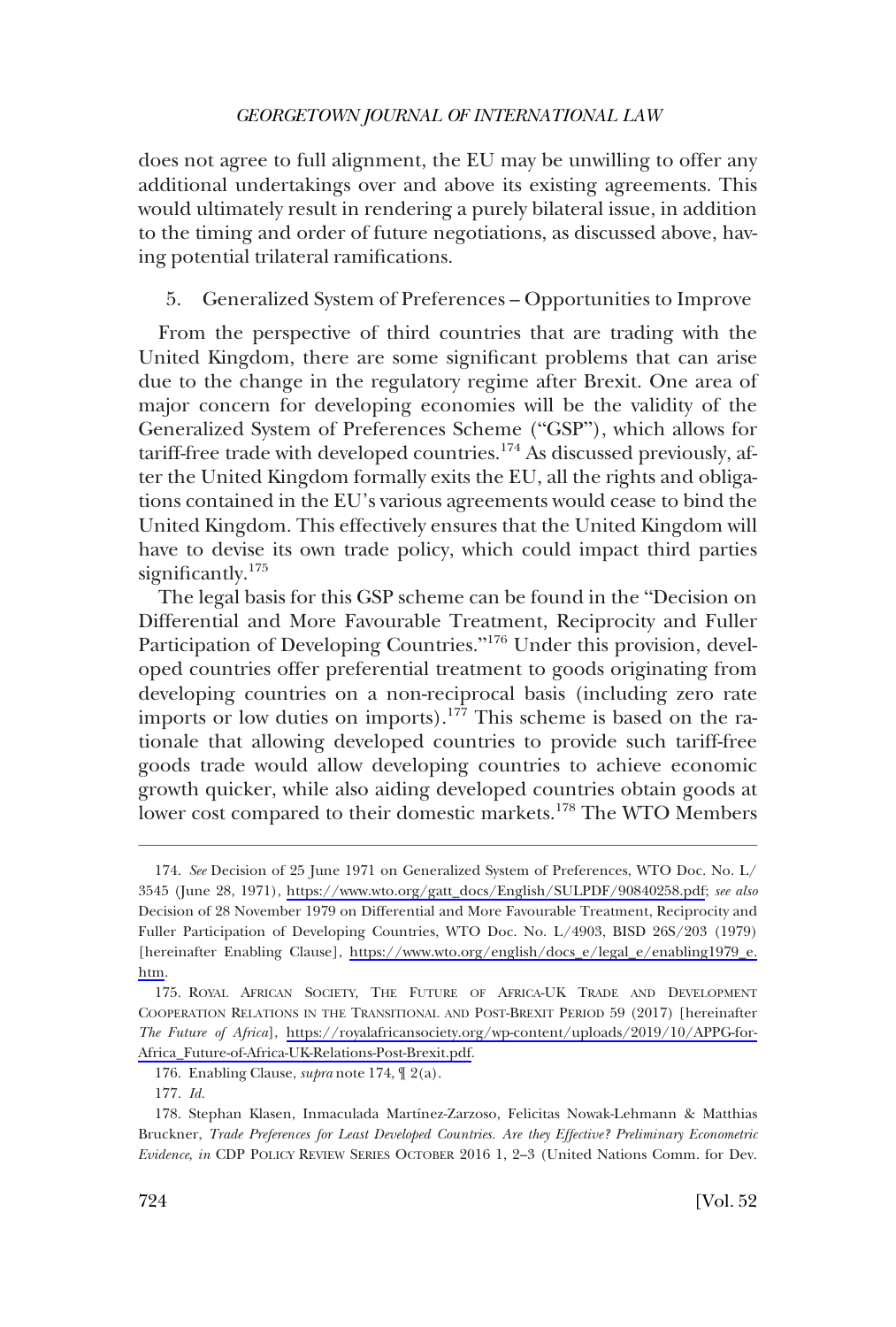<span id="page-45-0"></span>does not agree to full alignment, the EU may be unwilling to offer any additional undertakings over and above its existing agreements. This would ultimately result in rendering a purely bilateral issue, in addition to the timing and order of future negotiations, as discussed above, having potential trilateral ramifications.

### 5. Generalized System of Preferences – Opportunities to Improve

From the perspective of third countries that are trading with the United Kingdom, there are some significant problems that can arise due to the change in the regulatory regime after Brexit. One area of major concern for developing economies will be the validity of the Generalized System of Preferences Scheme ("GSP"), which allows for tariff-free trade with developed countries.<sup>174</sup> As discussed previously, after the United Kingdom formally exits the EU, all the rights and obligations contained in the EU's various agreements would cease to bind the United Kingdom. This effectively ensures that the United Kingdom will have to devise its own trade policy, which could impact third parties significantly.<sup>175</sup>

The legal basis for this GSP scheme can be found in the "Decision on Differential and More Favourable Treatment, Reciprocity and Fuller Participation of Developing Countries."<sup>176</sup> Under this provision, developed countries offer preferential treatment to goods originating from developing countries on a non-reciprocal basis (including zero rate imports or low duties on imports).<sup>177</sup> This scheme is based on the rationale that allowing developed countries to provide such tariff-free goods trade would allow developing countries to achieve economic growth quicker, while also aiding developed countries obtain goods at lower cost compared to their domestic markets.<sup>178</sup> The WTO Members

*See* Decision of 25 June 1971 on Generalized System of Preferences, WTO Doc. No. L/ 174. 3545 (June 28, 1971), [https://www.wto.org/gatt\\_docs/English/SULPDF/90840258.pdf;](https://www.wto.org/gatt_docs/English/SULPDF/90840258.pdf) *see also*  Decision of 28 November 1979 on Differential and More Favourable Treatment, Reciprocity and Fuller Participation of Developing Countries, WTO Doc. No. L/4903, BISD 26S/203 (1979) [hereinafter Enabling Clause], [https://www.wto.org/english/docs\\_e/legal\\_e/enabling1979\\_e.](https://www.wto.org/english/docs_e/legal_e/enabling1979_e.htm) [htm](https://www.wto.org/english/docs_e/legal_e/enabling1979_e.htm).

<sup>175.</sup> ROYAL AFRICAN SOCIETY, THE FUTURE OF AFRICA-UK TRADE AND DEVELOPMENT COOPERATION RELATIONS IN THE TRANSITIONAL AND POST-BREXIT PERIOD 59 (2017) [hereinafter *The Future of Africa*], [https://royalafricansociety.org/wp-content/uploads/2019/10/APPG-for-](https://royalafricansociety.org/wp-content/uploads/2019/10/APPG-for-Africa_Future-of-Africa-UK-Relations-Post-Brexit.pdf)[Africa\\_Future-of-Africa-UK-Relations-Post-Brexit.pdf.](https://royalafricansociety.org/wp-content/uploads/2019/10/APPG-for-Africa_Future-of-Africa-UK-Relations-Post-Brexit.pdf)

<sup>176.</sup> Enabling Clause, *supra* note 174, ¶ 2(a).

<sup>177.</sup> *Id.* 

<sup>178.</sup> Stephan Klasen, Inmaculada Martínez-Zarzoso, Felicitas Nowak-Lehmann & Matthias Bruckner, *Trade Preferences for Least Developed Countries. Are they Effective? Preliminary Econometric Evidence*, *in* CDP POLICY REVIEW SERIES OCTOBER 2016 1, 2–3 (United Nations Comm. for Dev.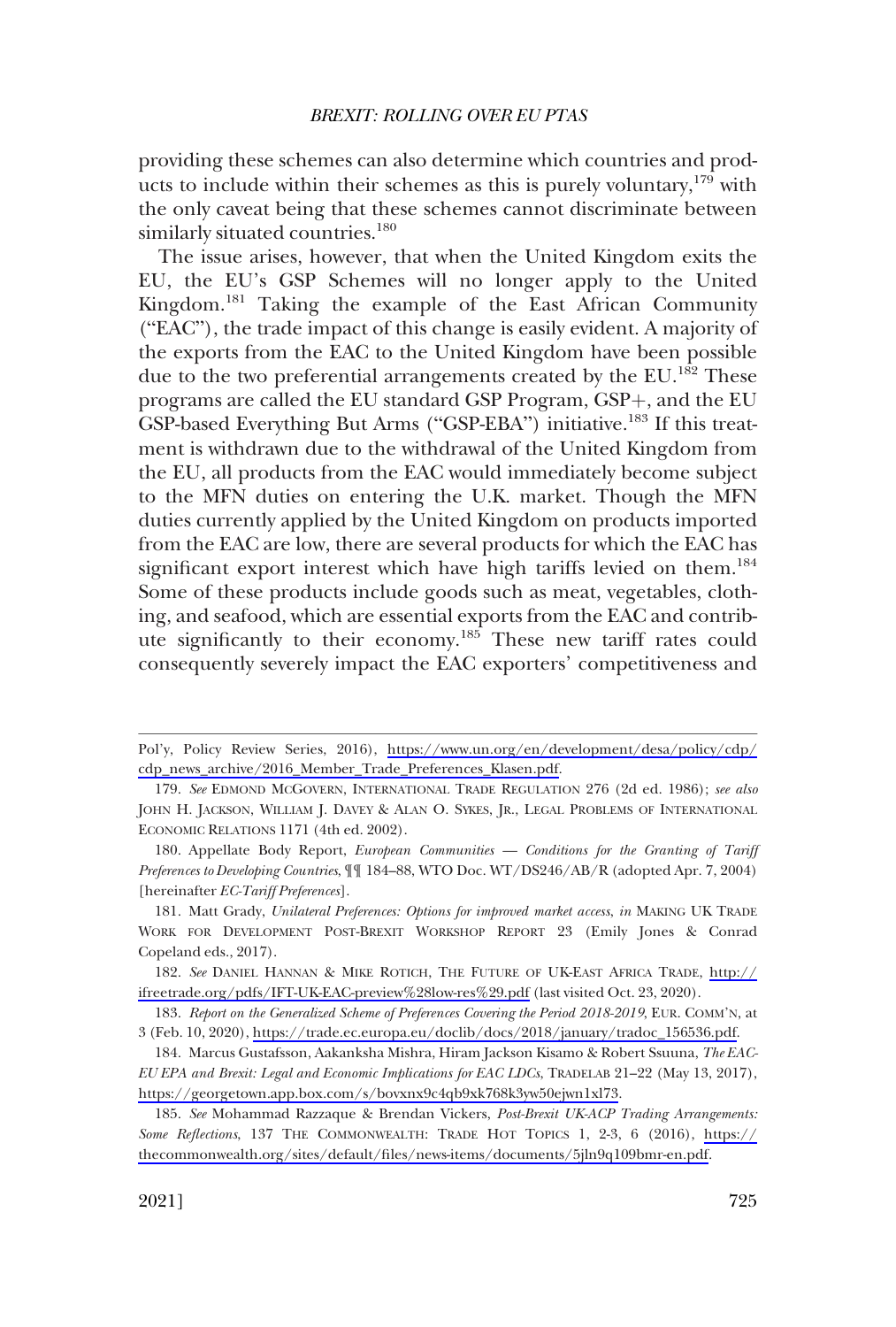providing these schemes can also determine which countries and products to include within their schemes as this is purely voluntary,  $179$  with the only caveat being that these schemes cannot discriminate between similarly situated countries.<sup>180</sup>

The issue arises, however, that when the United Kingdom exits the EU, the EU's GSP Schemes will no longer apply to the United Kingdom.181 Taking the example of the East African Community ("EAC"), the trade impact of this change is easily evident. A majority of the exports from the EAC to the United Kingdom have been possible due to the two preferential arrangements created by the  $EU$ .<sup>182</sup> These programs are called the EU standard GSP Program, GSP+, and the EU GSP-based Everything But Arms ("GSP-EBA") initiative.<sup>183</sup> If this treatment is withdrawn due to the withdrawal of the United Kingdom from the EU, all products from the EAC would immediately become subject to the MFN duties on entering the U.K. market. Though the MFN duties currently applied by the United Kingdom on products imported from the EAC are low, there are several products for which the EAC has significant export interest which have high tariffs levied on them.<sup>184</sup> Some of these products include goods such as meat, vegetables, clothing, and seafood, which are essential exports from the EAC and contribute significantly to their economy.<sup>185</sup> These new tariff rates could consequently severely impact the EAC exporters' competitiveness and

Pol'y, Policy Review Series, 2016), [https://www.un.org/en/development/desa/policy/cdp/](https://www.un.org/en/development/desa/policy/cdp/cdp_news_archive/2016_Member_Trade_Preferences_Klasen.pdf) [cdp\\_news\\_archive/2016\\_Member\\_Trade\\_Preferences\\_Klasen.pdf](https://www.un.org/en/development/desa/policy/cdp/cdp_news_archive/2016_Member_Trade_Preferences_Klasen.pdf).

<sup>179.</sup> *See* EDMOND MCGOVERN, INTERNATIONAL TRADE REGULATION 276 (2d ed. 1986); *see also*  JOHN H. JACKSON, WILLIAM J. DAVEY & ALAN O. SYKES, JR., LEGAL PROBLEMS OF INTERNATIONAL ECONOMIC RELATIONS 1171 (4th ed. 2002).

<sup>180.</sup> Appellate Body Report, *European Communities — Conditions for the Granting of Tariff Preferences to Developing Countries*, ¶¶ 184–88, WTO Doc. WT/DS246/AB/R (adopted Apr. 7, 2004) [hereinafter *EC-Tariff Preferences*].

<sup>181.</sup> Matt Grady, *Unilateral Preferences: Options for improved market access*, *in* MAKING UK TRADE WORK FOR DEVELOPMENT POST-BREXIT WORKSHOP REPORT 23 (Emily Jones & Conrad Copeland eds., 2017).

<sup>182.</sup> See DANIEL HANNAN & MIKE ROTICH, THE FUTURE OF UK-EAST AFRICA TRADE, [http://](http://ifreetrade.org/pdfs/IFT-UK-EAC-preview%28low-res%29.pdf) [ifreetrade.org/pdfs/IFT-UK-EAC-preview%28low-res%29.pdf](http://ifreetrade.org/pdfs/IFT-UK-EAC-preview%28low-res%29.pdf) (last visited Oct. 23, 2020).

<sup>183.</sup> Report on the Generalized Scheme of Preferences Covering the Period 2018-2019, EUR. COMM'N, at 3 (Feb. 10, 2020), [https://trade.ec.europa.eu/doclib/docs/2018/january/tradoc\\_156536.pdf.](https://trade.ec.europa.eu/doclib/docs/2018/january/tradoc_156536.pdf)

Marcus Gustafsson, Aakanksha Mishra, Hiram Jackson Kisamo & Robert Ssuuna, *The EAC-*184. *EU EPA and Brexit: Legal and Economic Implications for EAC LDCs*, TRADELAB 21–22 (May 13, 2017), [https://georgetown.app.box.com/s/bovxnx9c4qb9xk768k3yw50ejwn1xl73.](https://georgetown.app.box.com/s/bovxnx9c4qb9xk768k3yw50ejwn1xl73)

*See* Mohammad Razzaque & Brendan Vickers, *Post-Brexit UK-ACP Trading Arrangements:*  185. *Some Reflections*, 137 THE COMMONWEALTH: TRADE HOT TOPICS 1, 2-3, 6 (2016), [https://](https://thecommonwealth.org/sites/default/files/news-items/documents/5jln9q109bmr-en.pdf) [thecommonwealth.org/sites/default/files/news-items/documents/5jln9q109bmr-en.pdf.](https://thecommonwealth.org/sites/default/files/news-items/documents/5jln9q109bmr-en.pdf)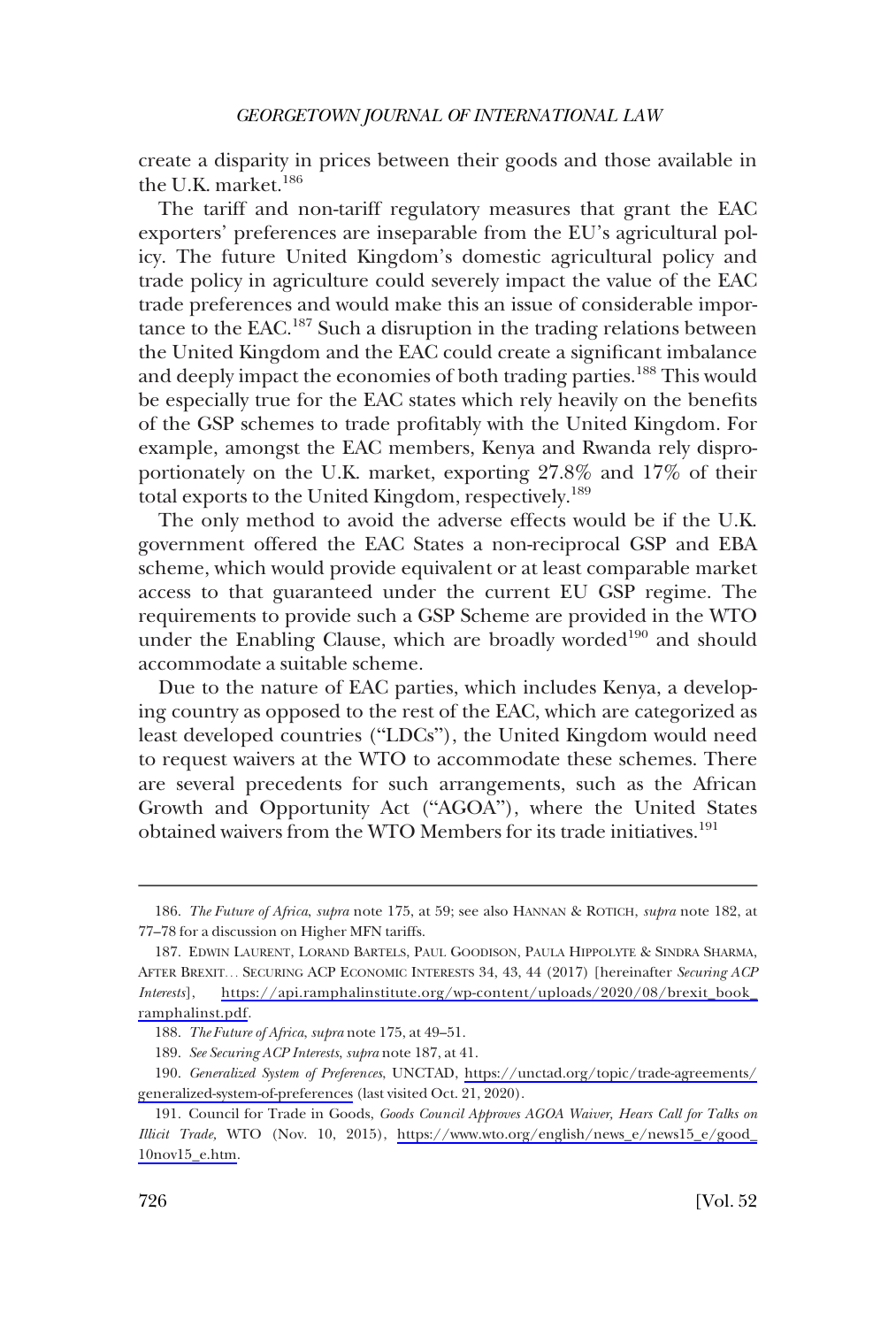create a disparity in prices between their goods and those available in the U.K. market.<sup>186</sup>

The tariff and non-tariff regulatory measures that grant the EAC exporters' preferences are inseparable from the EU's agricultural policy. The future United Kingdom's domestic agricultural policy and trade policy in agriculture could severely impact the value of the EAC trade preferences and would make this an issue of considerable importance to the EAC.187 Such a disruption in the trading relations between the United Kingdom and the EAC could create a significant imbalance and deeply impact the economies of both trading parties.<sup>188</sup> This would be especially true for the EAC states which rely heavily on the benefits of the GSP schemes to trade profitably with the United Kingdom. For example, amongst the EAC members, Kenya and Rwanda rely disproportionately on the U.K. market, exporting 27.8% and 17% of their total exports to the United Kingdom, respectively.189

The only method to avoid the adverse effects would be if the U.K. government offered the EAC States a non-reciprocal GSP and EBA scheme, which would provide equivalent or at least comparable market access to that guaranteed under the current EU GSP regime. The requirements to provide such a GSP Scheme are provided in the WTO under the Enabling Clause, which are broadly worded<sup>190</sup> and should accommodate a suitable scheme.

Due to the nature of EAC parties, which includes Kenya, a developing country as opposed to the rest of the EAC, which are categorized as least developed countries ("LDCs"), the United Kingdom would need to request waivers at the WTO to accommodate these schemes. There are several precedents for such arrangements, such as the African Growth and Opportunity Act ("AGOA"), where the United States obtained waivers from the WTO Members for its trade initiatives.<sup>191</sup>

189. *See Securing ACP Interests*, *supra* note 187, at 41.

<sup>186.</sup> *The Future of Africa*, *supra* note 175, at 59; see also HANNAN & ROTICH, *supra* note 182, at 77–78 for a discussion on Higher MFN tariffs.

<sup>187.</sup> EDWIN LAURENT, LORAND BARTELS, PAUL GOODISON, PAULA HIPPOLYTE & SINDRA SHARMA, AFTER BREXIT. . . SECURING ACP ECONOMIC INTERESTS 34, 43, 44 (2017) [hereinafter *Securing ACP Interests*], [https://api.ramphalinstitute.org/wp-content/uploads/2020/08/brexit\\_book\\_](https://api.ramphalinstitute.org/wp-content/uploads/2020/08/brexit_book_ramphalinst.pdf) [ramphalinst.pdf](https://api.ramphalinstitute.org/wp-content/uploads/2020/08/brexit_book_ramphalinst.pdf).

<sup>188.</sup> *The Future of Africa*, *supra* note 175, at 49–51.

*Generalized System of Preferences*, UNCTAD, [https://unctad.org/topic/trade-agreements/](https://unctad.org/topic/trade-agreements/generalized-system-of-preferences)  190. [generalized-system-of-preferences](https://unctad.org/topic/trade-agreements/generalized-system-of-preferences) (last visited Oct. 21, 2020).

<sup>191.</sup> Council for Trade in Goods, *Goods Council Approves AGOA Waiver, Hears Call for Talks on Illicit Trade,* WTO (Nov. 10, 2015), [https://www.wto.org/english/news\\_e/news15\\_e/good\\_](https://www.wto.org/english/news_e/news15_e/good_10nov15_e.htm) [10nov15\\_e.htm.](https://www.wto.org/english/news_e/news15_e/good_10nov15_e.htm)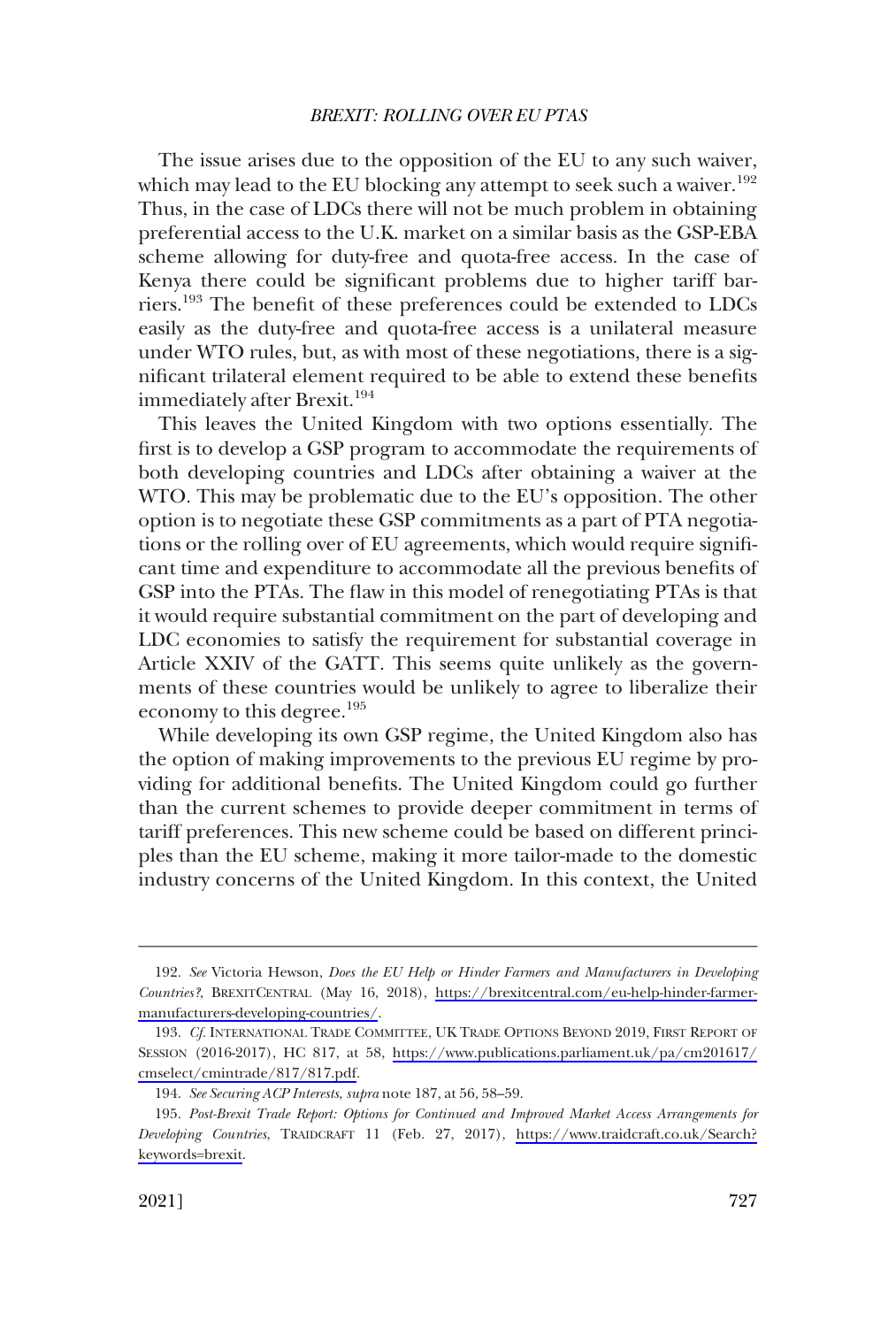The issue arises due to the opposition of the EU to any such waiver, which may lead to the EU blocking any attempt to seek such a waiver.<sup>192</sup> Thus, in the case of LDCs there will not be much problem in obtaining preferential access to the U.K. market on a similar basis as the GSP-EBA scheme allowing for duty-free and quota-free access. In the case of Kenya there could be significant problems due to higher tariff barriers.<sup>193</sup> The benefit of these preferences could be extended to LDCs easily as the duty-free and quota-free access is a unilateral measure under WTO rules, but, as with most of these negotiations, there is a significant trilateral element required to be able to extend these benefits immediately after Brexit.<sup>194</sup>

This leaves the United Kingdom with two options essentially. The first is to develop a GSP program to accommodate the requirements of both developing countries and LDCs after obtaining a waiver at the WTO. This may be problematic due to the EU's opposition. The other option is to negotiate these GSP commitments as a part of PTA negotiations or the rolling over of EU agreements, which would require significant time and expenditure to accommodate all the previous benefits of GSP into the PTAs. The flaw in this model of renegotiating PTAs is that it would require substantial commitment on the part of developing and LDC economies to satisfy the requirement for substantial coverage in Article XXIV of the GATT. This seems quite unlikely as the governments of these countries would be unlikely to agree to liberalize their economy to this degree.195

While developing its own GSP regime, the United Kingdom also has the option of making improvements to the previous EU regime by providing for additional benefits. The United Kingdom could go further than the current schemes to provide deeper commitment in terms of tariff preferences. This new scheme could be based on different principles than the EU scheme, making it more tailor-made to the domestic industry concerns of the United Kingdom. In this context, the United

*See* Victoria Hewson, *Does the EU Help or Hinder Farmers and Manufacturers in Developing*  192. *Countries?*, BREXITCENTRAL (May 16, 2018), [https://brexitcentral.com/eu-help-hinder-farmer](https://brexitcentral.com/eu-help-hinder-farmer-manufacturers-developing-countries/)[manufacturers-developing-countries/](https://brexitcentral.com/eu-help-hinder-farmer-manufacturers-developing-countries/).

<sup>193.</sup> Cf. INTERNATIONAL TRADE COMMITTEE, UK TRADE OPTIONS BEYOND 2019, FIRST REPORT OF SESSION (2016-2017), HC 817, at 58, [https://www.publications.parliament.uk/pa/cm201617/](https://www.publications.parliament.uk/pa/cm201617/cmselect/cmintrade/817/817.pdf) [cmselect/cmintrade/817/817.pdf.](https://www.publications.parliament.uk/pa/cm201617/cmselect/cmintrade/817/817.pdf)

<sup>194.</sup> *See Securing ACP Interests*, *supra* note 187, at 56, 58–59.

<sup>195.</sup> Post-Brexit Trade Report: Options for Continued and Improved Market Access Arrangements for *Developing Countries*, TRAIDCRAFT 11 (Feb. 27, 2017), [https://www.traidcraft.co.uk/Search?](https://www.traidcraft.co.uk/Search?keywords=brexit)  [keywords=brexit](https://www.traidcraft.co.uk/Search?keywords=brexit).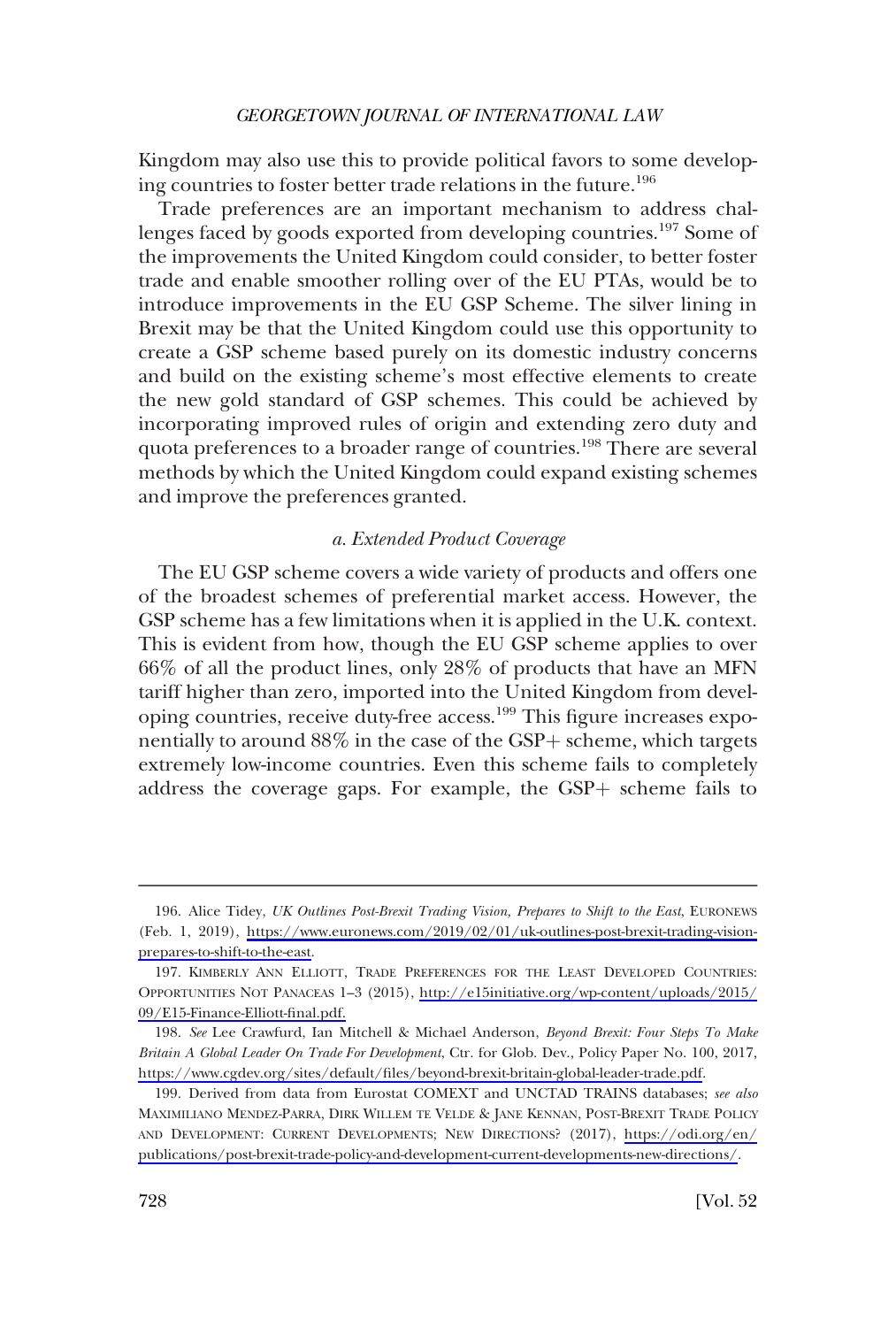<span id="page-49-0"></span>Kingdom may also use this to provide political favors to some developing countries to foster better trade relations in the future.<sup>196</sup>

Trade preferences are an important mechanism to address challenges faced by goods exported from developing countries.<sup>197</sup> Some of the improvements the United Kingdom could consider, to better foster trade and enable smoother rolling over of the EU PTAs, would be to introduce improvements in the EU GSP Scheme. The silver lining in Brexit may be that the United Kingdom could use this opportunity to create a GSP scheme based purely on its domestic industry concerns and build on the existing scheme's most effective elements to create the new gold standard of GSP schemes. This could be achieved by incorporating improved rules of origin and extending zero duty and quota preferences to a broader range of countries.<sup>198</sup> There are several methods by which the United Kingdom could expand existing schemes and improve the preferences granted.

### *a. Extended Product Coverage*

The EU GSP scheme covers a wide variety of products and offers one of the broadest schemes of preferential market access. However, the GSP scheme has a few limitations when it is applied in the U.K. context. This is evident from how, though the EU GSP scheme applies to over 66% of all the product lines, only 28% of products that have an MFN tariff higher than zero, imported into the United Kingdom from developing countries, receive duty-free access.<sup>199</sup> This figure increases exponentially to around  $88\%$  in the case of the GSP+ scheme, which targets extremely low-income countries. Even this scheme fails to completely address the coverage gaps. For example, the  $GSP+$  scheme fails to

<sup>196.</sup> Alice Tidey, UK Outlines Post-Brexit Trading Vision, Prepares to Shift to the East, EURONEWS (Feb. 1, 2019), [https://www.euronews.com/2019/02/01/uk-outlines-post-brexit-trading-vision](https://www.euronews.com/2019/02/01/uk-outlines-post-brexit-trading-vision-prepares-to-shift-to-the-east)[prepares-to-shift-to-the-east.](https://www.euronews.com/2019/02/01/uk-outlines-post-brexit-trading-vision-prepares-to-shift-to-the-east)

<sup>197.</sup> KIMBERLY ANN ELLIOTT, TRADE PREFERENCES FOR THE LEAST DEVELOPED COUNTRIES: OPPORTUNITIES NOT PANACEAS 1–3 (2015), [http://e15initiative.org/wp-content/uploads/2015/](http://e15initiative.org/wp-content/uploads/2015/09/E15-Finance-Elliott-final.pdf) [09/E15-Finance-Elliott-final.pdf.](http://e15initiative.org/wp-content/uploads/2015/09/E15-Finance-Elliott-final.pdf)

*See* Lee Crawfurd, Ian Mitchell & Michael Anderson, *Beyond Brexit: Four Steps To Make*  198. *Britain A Global Leader On Trade For Development*, Ctr. for Glob. Dev., Policy Paper No. 100, 2017, <https://www.cgdev.org/sites/default/files/beyond-brexit-britain-global-leader-trade.pdf>.

<sup>199.</sup> Derived from data from Eurostat COMEXT and UNCTAD TRAINS databases; see also MAXIMILIANO MENDEZ-PARRA, DIRK WILLEM TE VELDE & JANE KENNAN, POST-BREXIT TRADE POLICY AND DEVELOPMENT: CURRENT DEVELOPMENTS; NEW DIRECTIONS? (2017), [https://odi.org/en/](https://odi.org/en/publications/post-brexit-trade-policy-and-development-current-developments-new-directions/)  [publications/post-brexit-trade-policy-and-development-current-developments-new-directions/](https://odi.org/en/publications/post-brexit-trade-policy-and-development-current-developments-new-directions/).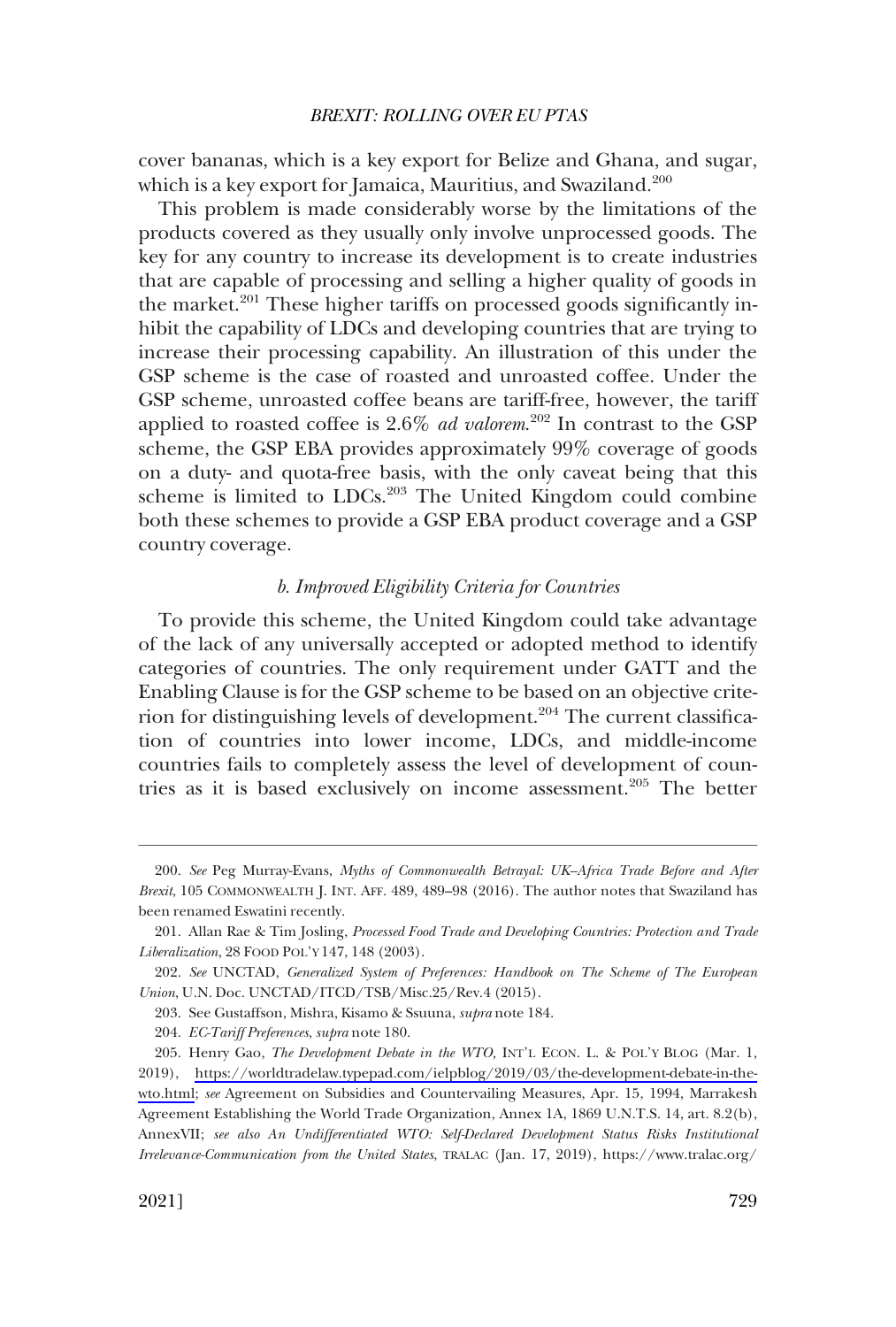<span id="page-50-0"></span>cover bananas, which is a key export for Belize and Ghana, and sugar, which is a key export for Jamaica, Mauritius, and Swaziland.<sup>200</sup>

This problem is made considerably worse by the limitations of the products covered as they usually only involve unprocessed goods. The key for any country to increase its development is to create industries that are capable of processing and selling a higher quality of goods in the market.<sup>201</sup> These higher tariffs on processed goods significantly inhibit the capability of LDCs and developing countries that are trying to increase their processing capability. An illustration of this under the GSP scheme is the case of roasted and unroasted coffee. Under the GSP scheme, unroasted coffee beans are tariff-free, however, the tariff applied to roasted coffee is 2.6% *ad valorem*. 202 In contrast to the GSP scheme, the GSP EBA provides approximately 99% coverage of goods on a duty- and quota-free basis, with the only caveat being that this scheme is limited to LDCs.<sup>203</sup> The United Kingdom could combine both these schemes to provide a GSP EBA product coverage and a GSP country coverage.

### *b. Improved Eligibility Criteria for Countries*

To provide this scheme, the United Kingdom could take advantage of the lack of any universally accepted or adopted method to identify categories of countries. The only requirement under GATT and the Enabling Clause is for the GSP scheme to be based on an objective criterion for distinguishing levels of development.<sup>204</sup> The current classification of countries into lower income, LDCs, and middle-income countries fails to completely assess the level of development of countries as it is based exclusively on income assessment.<sup>205</sup> The better

<sup>200.</sup> *See* Peg Murray-Evans, *Myths of Commonwealth Betrayal: UK–Africa Trade Before and After Brexit*, 105 COMMONWEALTH J. INT. AFF. 489, 489–98 (2016). The author notes that Swaziland has been renamed Eswatini recently.

<sup>201.</sup> Allan Rae & Tim Josling, *Processed Food Trade and Developing Countries: Protection and Trade Liberalization*, 28 FOOD POL'Y 147, 148 (2003).

<sup>202.</sup> *See* UNCTAD, *Generalized System of Preferences: Handbook on The Scheme of The European Union*, U.N. Doc. UNCTAD/ITCD/TSB/Misc.25/Rev.4 (2015).

<sup>203.</sup> See Gustaffson, Mishra, Kisamo & Ssuuna, *supra* note 184.

<sup>204.</sup> *EC-Tariff Preferences*, *supra* note 180.

<sup>205.</sup> Henry Gao, *The Development Debate in the WTO*, INT'L ECON. L. & POL'Y BLOG (Mar. 1, 2019), [https://worldtradelaw.typepad.com/ielpblog/2019/03/the-development-debate-in-the](https://worldtradelaw.typepad.com/ielpblog/2019/03/the-development-debate-in-the-wto.html)[wto.html;](https://worldtradelaw.typepad.com/ielpblog/2019/03/the-development-debate-in-the-wto.html) *see* Agreement on Subsidies and Countervailing Measures, Apr. 15, 1994, Marrakesh Agreement Establishing the World Trade Organization, Annex 1A, 1869 U.N.T.S. 14, art. 8.2(b), AnnexVII; *see also An Undifferentiated WTO: Self-Declared Development Status Risks Institutional Irrelevance-Communication from the United States*, TRALAC (Jan. 17, 2019), https://www.tralac.org/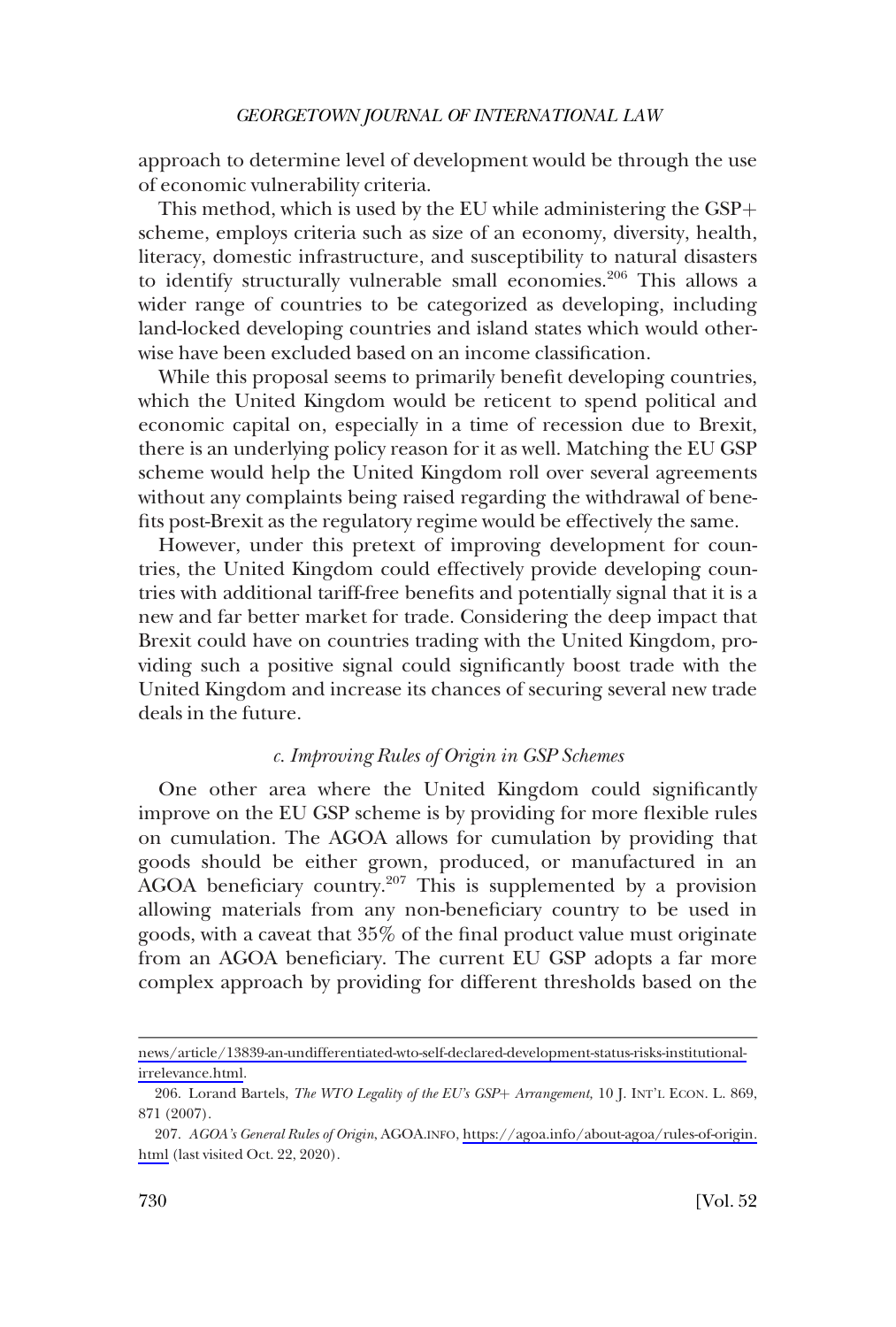<span id="page-51-0"></span>approach to determine level of development would be through the use of economic vulnerability criteria.

This method, which is used by the EU while administering the  $GSP<sub>+</sub>$ scheme, employs criteria such as size of an economy, diversity, health, literacy, domestic infrastructure, and susceptibility to natural disasters to identify structurally vulnerable small economies.206 This allows a wider range of countries to be categorized as developing, including land-locked developing countries and island states which would otherwise have been excluded based on an income classification.

While this proposal seems to primarily benefit developing countries, which the United Kingdom would be reticent to spend political and economic capital on, especially in a time of recession due to Brexit, there is an underlying policy reason for it as well. Matching the EU GSP scheme would help the United Kingdom roll over several agreements without any complaints being raised regarding the withdrawal of benefits post-Brexit as the regulatory regime would be effectively the same.

However, under this pretext of improving development for countries, the United Kingdom could effectively provide developing countries with additional tariff-free benefits and potentially signal that it is a new and far better market for trade. Considering the deep impact that Brexit could have on countries trading with the United Kingdom, providing such a positive signal could significantly boost trade with the United Kingdom and increase its chances of securing several new trade deals in the future.

### *c. Improving Rules of Origin in GSP Schemes*

One other area where the United Kingdom could significantly improve on the EU GSP scheme is by providing for more flexible rules on cumulation. The AGOA allows for cumulation by providing that goods should be either grown, produced, or manufactured in an AGOA beneficiary country.<sup>207</sup> This is supplemented by a provision allowing materials from any non-beneficiary country to be used in goods, with a caveat that 35% of the final product value must originate from an AGOA beneficiary. The current EU GSP adopts a far more complex approach by providing for different thresholds based on the

[news/article/13839-an-undifferentiated-wto-self-declared-development-status-risks-institutional](https://www.tralac.org/news/article/13839-an-undifferentiated-wto-self-declared-development-status-risks-institutional-irrelevance.html)[irrelevance.html](https://www.tralac.org/news/article/13839-an-undifferentiated-wto-self-declared-development-status-risks-institutional-irrelevance.html).

<sup>206.</sup> Lorand Bartels, *The WTO Legality of the EU's GSP+ Arrangement*, 10 J. INT'L ECON. L. 869, 871 (2007).

*AGOA's General Rules of Origin*, AGOA.INFO, [https://agoa.info/about-agoa/rules-of-origin.](https://agoa.info/about-agoa/rules-of-origin.html) 207. [html](https://agoa.info/about-agoa/rules-of-origin.html) (last visited Oct. 22, 2020).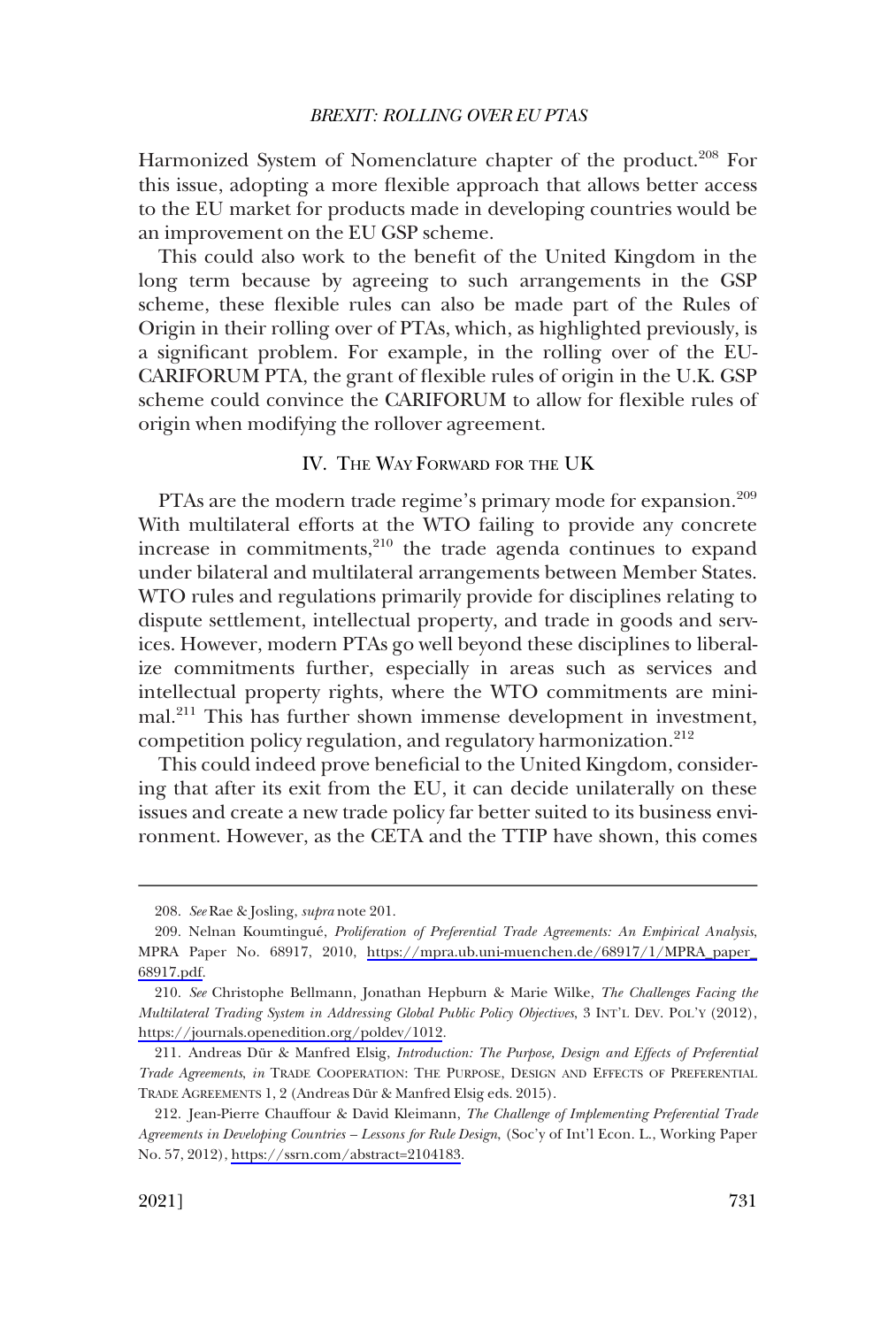<span id="page-52-0"></span>Harmonized System of Nomenclature chapter of the product.<sup>208</sup> For this issue, adopting a more flexible approach that allows better access to the EU market for products made in developing countries would be an improvement on the EU GSP scheme.

This could also work to the benefit of the United Kingdom in the long term because by agreeing to such arrangements in the GSP scheme, these flexible rules can also be made part of the Rules of Origin in their rolling over of PTAs, which, as highlighted previously, is a significant problem. For example, in the rolling over of the EU-CARIFORUM PTA, the grant of flexible rules of origin in the U.K. GSP scheme could convince the CARIFORUM to allow for flexible rules of origin when modifying the rollover agreement.

### IV. THE WAY FORWARD FOR THE UK

PTAs are the modern trade regime's primary mode for expansion.<sup>209</sup> With multilateral efforts at the WTO failing to provide any concrete increase in commitments,<sup>210</sup> the trade agenda continues to expand under bilateral and multilateral arrangements between Member States. WTO rules and regulations primarily provide for disciplines relating to dispute settlement, intellectual property, and trade in goods and services. However, modern PTAs go well beyond these disciplines to liberalize commitments further, especially in areas such as services and intellectual property rights, where the WTO commitments are minimal.211 This has further shown immense development in investment, competition policy regulation, and regulatory harmonization.<sup>212</sup>

This could indeed prove beneficial to the United Kingdom, considering that after its exit from the EU, it can decide unilaterally on these issues and create a new trade policy far better suited to its business environment. However, as the CETA and the TTIP have shown, this comes

<sup>208.</sup> *See* Rae & Josling, *supra* note 201.

<sup>209.</sup> Nelnan Koumtingué, Proliferation of Preferential Trade Agreements: An Empirical Analysis, MPRA Paper No. 68917, 2010, [https://mpra.ub.uni-muenchen.de/68917/1/MPRA\\_paper\\_](https://mpra.ub.uni-muenchen.de/68917/1/MPRA_paper_68917.pdf)  [68917.pdf.](https://mpra.ub.uni-muenchen.de/68917/1/MPRA_paper_68917.pdf)

*See* Christophe Bellmann, Jonathan Hepburn & Marie Wilke, *The Challenges Facing the*  210. *Multilateral Trading System in Addressing Global Public Policy Objectives*, 3 INT'L DEV. POL'Y (2012), <https://journals.openedition.org/poldev/1012>.

<sup>211.</sup> Andreas Du¨r & Manfred Elsig, *Introduction: The Purpose, Design and Effects of Preferential Trade Agreements*, *in* TRADE COOPERATION: THE PURPOSE, DESIGN AND EFFECTS OF PREFERENTIAL TRADE AGREEMENTS 1, 2 (Andreas Du¨r & Manfred Elsig eds. 2015).

<sup>212.</sup> Jean-Pierre Chauffour & David Kleimann, *The Challenge of Implementing Preferential Trade Agreements in Developing Countries – Lessons for Rule Design*, (Soc'y of Int'l Econ. L., Working Paper No. 57, 2012),<https://ssrn.com/abstract=2104183>.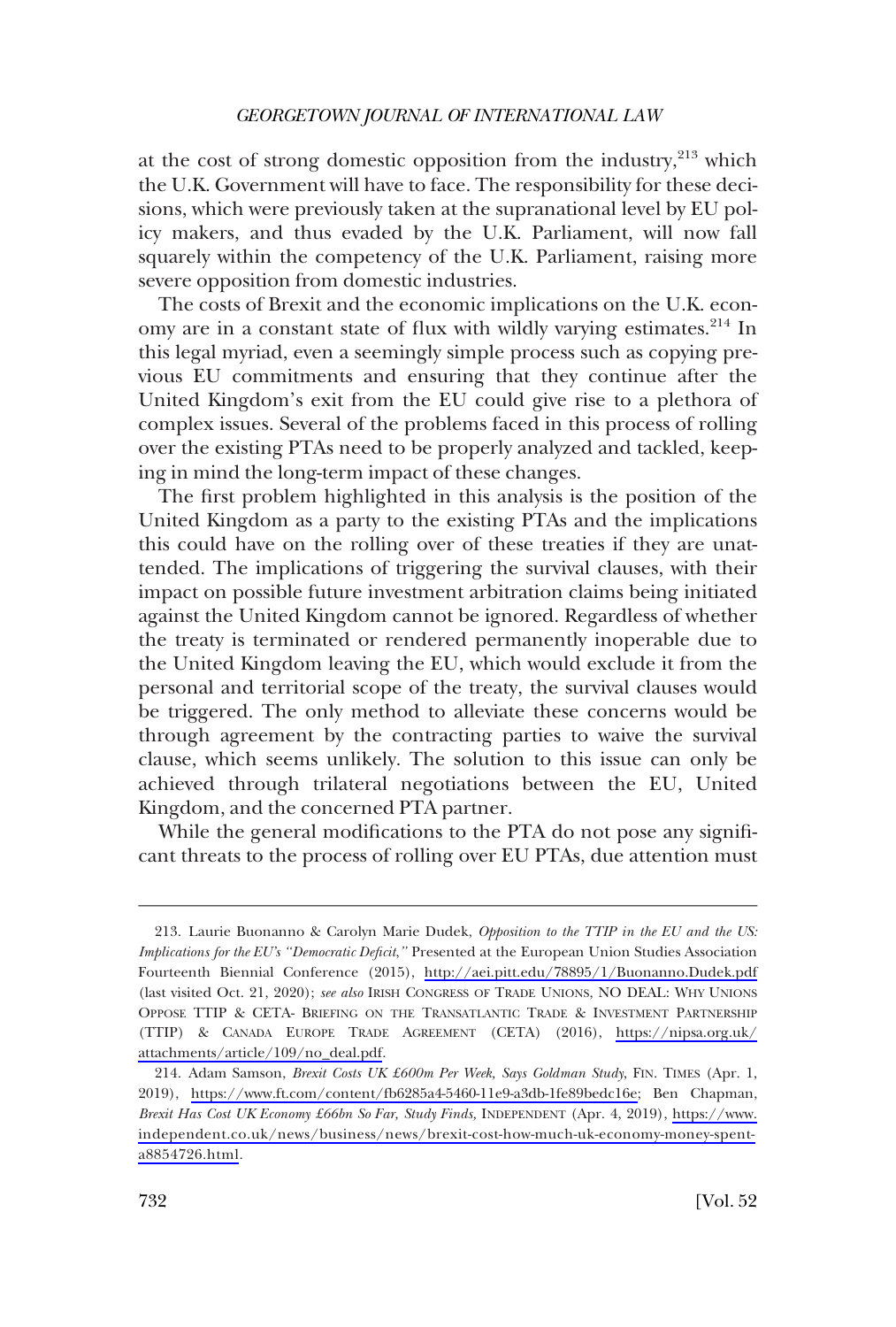at the cost of strong domestic opposition from the industry, $2^{13}$  which the U.K. Government will have to face. The responsibility for these decisions, which were previously taken at the supranational level by EU policy makers, and thus evaded by the U.K. Parliament, will now fall squarely within the competency of the U.K. Parliament, raising more severe opposition from domestic industries.

The costs of Brexit and the economic implications on the U.K. economy are in a constant state of flux with wildly varying estimates.<sup>214</sup> In this legal myriad, even a seemingly simple process such as copying previous EU commitments and ensuring that they continue after the United Kingdom's exit from the EU could give rise to a plethora of complex issues. Several of the problems faced in this process of rolling over the existing PTAs need to be properly analyzed and tackled, keeping in mind the long-term impact of these changes.

The first problem highlighted in this analysis is the position of the United Kingdom as a party to the existing PTAs and the implications this could have on the rolling over of these treaties if they are unattended. The implications of triggering the survival clauses, with their impact on possible future investment arbitration claims being initiated against the United Kingdom cannot be ignored. Regardless of whether the treaty is terminated or rendered permanently inoperable due to the United Kingdom leaving the EU, which would exclude it from the personal and territorial scope of the treaty, the survival clauses would be triggered. The only method to alleviate these concerns would be through agreement by the contracting parties to waive the survival clause, which seems unlikely. The solution to this issue can only be achieved through trilateral negotiations between the EU, United Kingdom, and the concerned PTA partner.

While the general modifications to the PTA do not pose any significant threats to the process of rolling over EU PTAs, due attention must

Laurie Buonanno & Carolyn Marie Dudek, *Opposition to the TTIP in the EU and the US:*  213. *Implications for the EU's "Democratic Deficit*,*"* Presented at the European Union Studies Association Fourteenth Biennial Conference (2015), <http://aei.pitt.edu/78895/1/Buonanno.Dudek.pdf> (last visited Oct. 21, 2020); *see also* IRISH CONGRESS OF TRADE UNIONS, NO DEAL: WHY UNIONS OPPOSE TTIP & CETA- BRIEFING ON THE TRANSATLANTIC TRADE & INVESTMENT PARTNERSHIP (TTIP) & CANADA EUROPE TRADE AGREEMENT (CETA) (2016), [https://nipsa.org.uk/](https://nipsa.org.uk/attachments/article/109/no_deal.pdf) [attachments/article/109/no\\_deal.pdf](https://nipsa.org.uk/attachments/article/109/no_deal.pdf).

Adam Samson, *Brexit Costs UK £600m Per Week, Says Goldman Study*, FIN. TIMES (Apr. 1, 214. 2019), [https://www.ft.com/content/fb6285a4-5460-11e9-a3db-1fe89bedc16e;](https://www.ft.com/content/fb6285a4-5460-11e9-a3db-1fe89bedc16e) Ben Chapman, *Brexit Has Cost UK Economy £66bn So Far, Study Finds,* INDEPENDENT (Apr. 4, 2019), [https://www.](https://www.independent.co.uk/news/business/news/brexit-cost-how-much-uk-economy-money-spent-a8854726.html) [independent.co.uk/news/business/news/brexit-cost-how-much-uk-economy-money-spent](https://www.independent.co.uk/news/business/news/brexit-cost-how-much-uk-economy-money-spent-a8854726.html)[a8854726.html.](https://www.independent.co.uk/news/business/news/brexit-cost-how-much-uk-economy-money-spent-a8854726.html)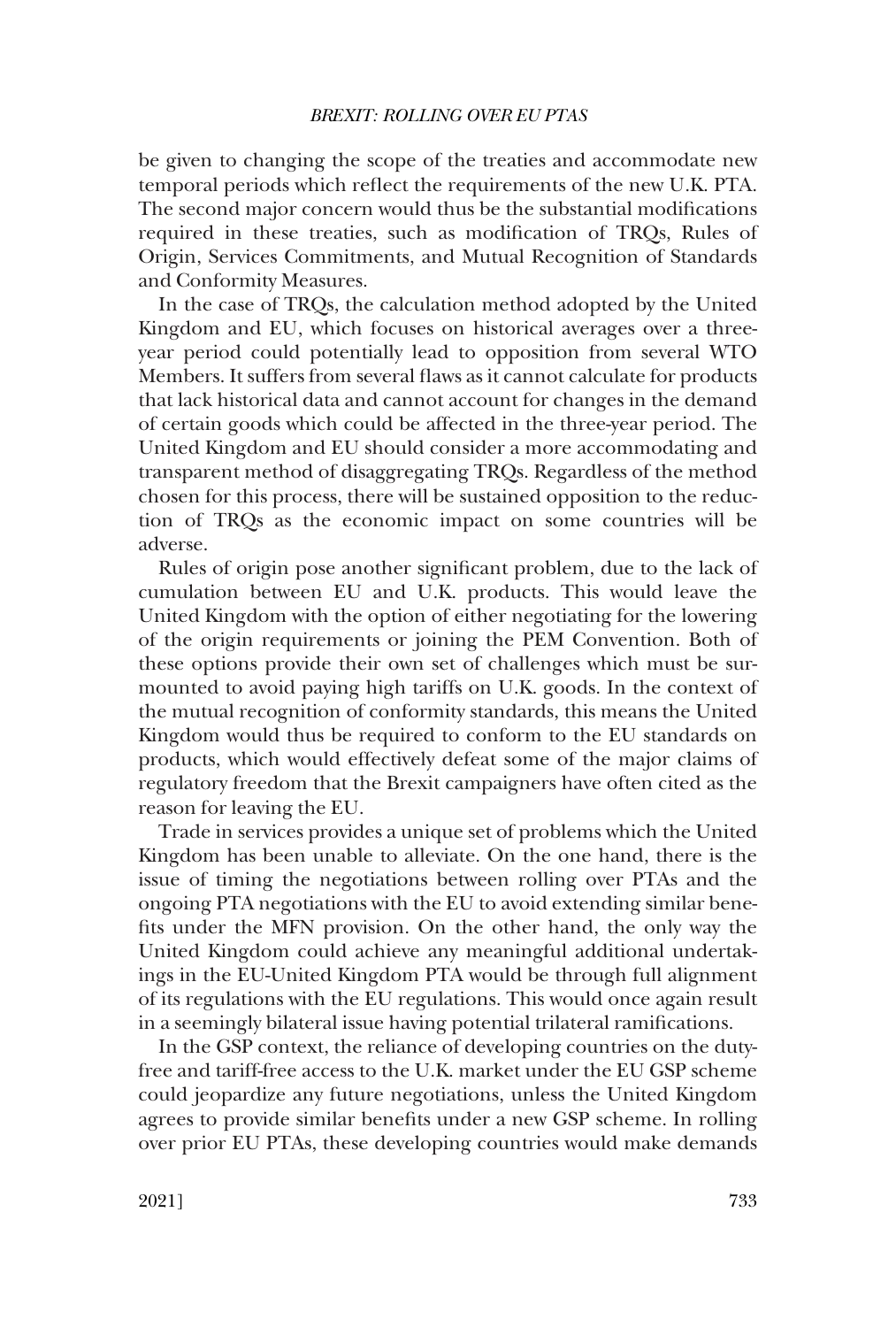be given to changing the scope of the treaties and accommodate new temporal periods which reflect the requirements of the new U.K. PTA. The second major concern would thus be the substantial modifications required in these treaties, such as modification of TRQs, Rules of Origin, Services Commitments, and Mutual Recognition of Standards and Conformity Measures.

In the case of TRQs, the calculation method adopted by the United Kingdom and EU, which focuses on historical averages over a threeyear period could potentially lead to opposition from several WTO Members. It suffers from several flaws as it cannot calculate for products that lack historical data and cannot account for changes in the demand of certain goods which could be affected in the three-year period. The United Kingdom and EU should consider a more accommodating and transparent method of disaggregating TRQs. Regardless of the method chosen for this process, there will be sustained opposition to the reduction of TRQs as the economic impact on some countries will be adverse.

Rules of origin pose another significant problem, due to the lack of cumulation between EU and U.K. products. This would leave the United Kingdom with the option of either negotiating for the lowering of the origin requirements or joining the PEM Convention. Both of these options provide their own set of challenges which must be surmounted to avoid paying high tariffs on U.K. goods. In the context of the mutual recognition of conformity standards, this means the United Kingdom would thus be required to conform to the EU standards on products, which would effectively defeat some of the major claims of regulatory freedom that the Brexit campaigners have often cited as the reason for leaving the EU.

Trade in services provides a unique set of problems which the United Kingdom has been unable to alleviate. On the one hand, there is the issue of timing the negotiations between rolling over PTAs and the ongoing PTA negotiations with the EU to avoid extending similar benefits under the MFN provision. On the other hand, the only way the United Kingdom could achieve any meaningful additional undertakings in the EU-United Kingdom PTA would be through full alignment of its regulations with the EU regulations. This would once again result in a seemingly bilateral issue having potential trilateral ramifications.

In the GSP context, the reliance of developing countries on the dutyfree and tariff-free access to the U.K. market under the EU GSP scheme could jeopardize any future negotiations, unless the United Kingdom agrees to provide similar benefits under a new GSP scheme. In rolling over prior EU PTAs, these developing countries would make demands